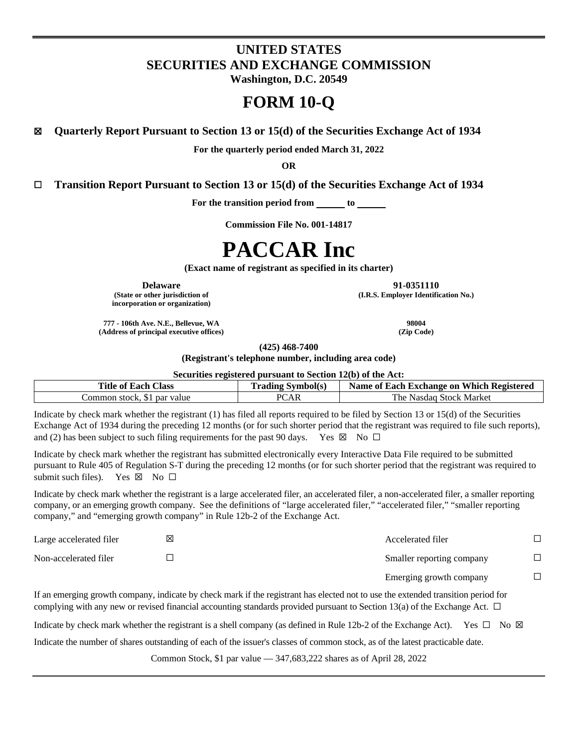# **UNITED STATES SECURITIES AND EXCHANGE COMMISSION**

**Washington, D.C. 20549**

# **FORM 10-Q**

**☒ Quarterly Report Pursuant to Section 13 or 15(d) of the Securities Exchange Act of 1934**

**For the quarterly period ended March 31, 2022**

**OR**

**☐ Transition Report Pursuant to Section 13 or 15(d) of the Securities Exchange Act of 1934**

For the transition period from <u>to</u> to

**Commission File No. 001-14817**

# **PACCAR Inc**

**(Exact name of registrant as specified in its charter)**

**Delaware 91-0351110**

**(State or other jurisdiction of incorporation or organization)** **(I.R.S. Employer Identification No.)**

**777 - 106th Ave. N.E., Bellevue, WA 98004 (Address of principal executive offices) (Zip Code)**

**(425) 468-7400**

**(Registrant's telephone number, including area code)**

**Securities registered pursuant to Section 12(b) of the Act:**

| <b>Title of Each Class</b>     | <b>Trading Symbol(s)</b> | Name of Each Exchange on Which Registered |
|--------------------------------|--------------------------|-------------------------------------------|
| par value<br>Common stock. \$1 | PCAR                     | ≅Nasdaɑ Stock Market -<br>The .           |

Indicate by check mark whether the registrant (1) has filed all reports required to be filed by Section 13 or 15(d) of the Securities Exchange Act of 1934 during the preceding 12 months (or for such shorter period that the registrant was required to file such reports), and (2) has been subject to such filing requirements for the past 90 days. Yes  $\boxtimes$  No  $\Box$ 

Indicate by check mark whether the registrant has submitted electronically every Interactive Data File required to be submitted pursuant to Rule 405 of Regulation S-T during the preceding 12 months (or for such shorter period that the registrant was required to submit such files). Yes  $\boxtimes$  No  $\square$ 

Indicate by check mark whether the registrant is a large accelerated filer, an accelerated filer, a non-accelerated filer, a smaller reporting company, or an emerging growth company. See the definitions of "large accelerated filer," "accelerated filer," "smaller reporting company," and "emerging growth company" in Rule 12b-2 of the Exchange Act.

| Large accelerated filer | X | Accelerated filer         |  |
|-------------------------|---|---------------------------|--|
| Non-accelerated filer   |   | Smaller reporting company |  |
|                         |   | Emerging growth company   |  |

If an emerging growth company, indicate by check mark if the registrant has elected not to use the extended transition period for complying with any new or revised financial accounting standards provided pursuant to Section 13(a) of the Exchange Act.  $\Box$ 

Indicate by check mark whether the registrant is a shell company (as defined in Rule 12b-2 of the Exchange Act). Yes  $\Box$  No  $\boxtimes$ 

Indicate the number of shares outstanding of each of the issuer's classes of common stock, as of the latest practicable date.

Common Stock, \$1 par value — 347,683,222 shares as of April 28, 2022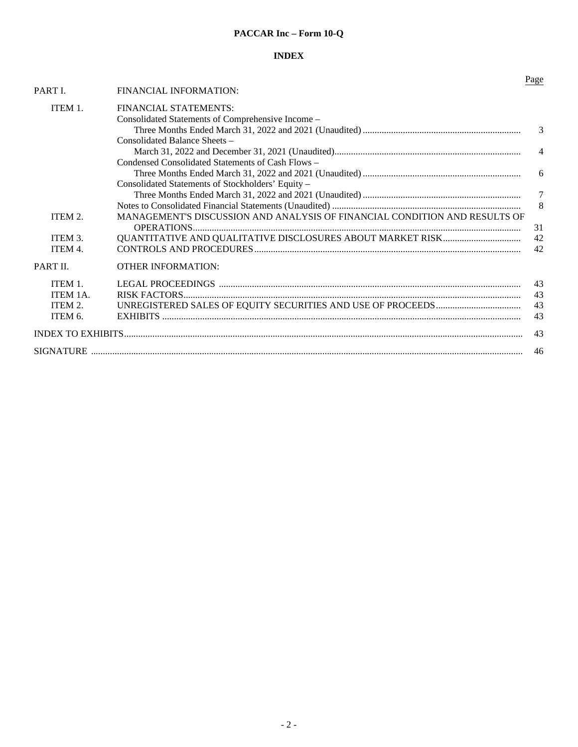# **PACCAR Inc – Form 10-Q**

# **INDEX**

|          |                                                                            | Page           |
|----------|----------------------------------------------------------------------------|----------------|
| PART I.  | <b>FINANCIAL INFORMATION:</b>                                              |                |
| ITEM 1.  | <b>FINANCIAL STATEMENTS:</b>                                               |                |
|          | Consolidated Statements of Comprehensive Income -                          |                |
|          |                                                                            | 3              |
|          | Consolidated Balance Sheets –                                              |                |
|          |                                                                            | $\overline{4}$ |
|          | Condensed Consolidated Statements of Cash Flows -                          |                |
|          |                                                                            | 6              |
|          | Consolidated Statements of Stockholders' Equity -                          |                |
|          |                                                                            | $\overline{7}$ |
|          |                                                                            | 8              |
| ITEM 2.  | MANAGEMENT'S DISCUSSION AND ANALYSIS OF FINANCIAL CONDITION AND RESULTS OF |                |
|          |                                                                            | 31             |
| ITEM 3.  |                                                                            | 42             |
| ITEM 4.  | CONTROLS AND PROCEDURES                                                    | 42             |
| PART II. | <b>OTHER INFORMATION:</b>                                                  |                |
| ITEM 1.  |                                                                            | 43             |
| ITEM 1A. |                                                                            | 43             |
| ITEM 2.  |                                                                            | 43             |
| ITEM 6.  |                                                                            | 43             |
|          |                                                                            | 43             |
|          |                                                                            | 46             |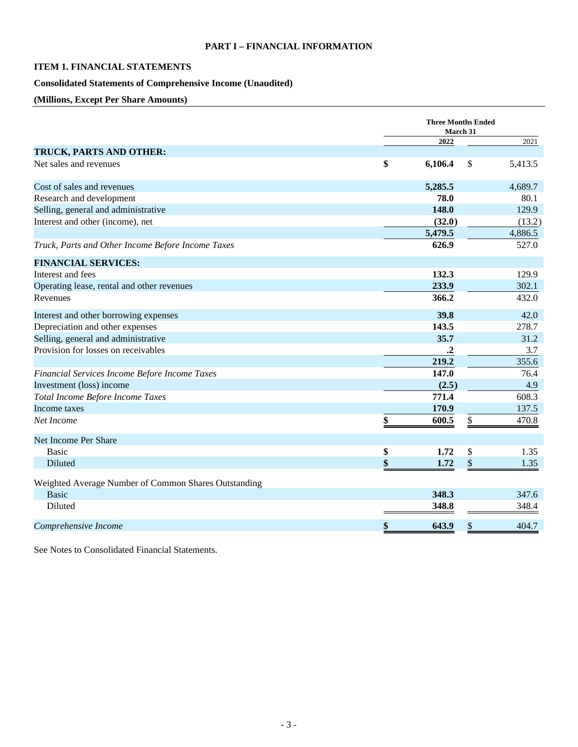# <span id="page-2-2"></span><span id="page-2-0"></span>**PART I – FINANCIAL INFORMATION**

# <span id="page-2-1"></span>**ITEM 1. FINANCIAL STATEMENTS**

# **Consolidated Statements of Comprehensive Income (Unaudited)**

# **(Millions, Except Per Share Amounts)**

|                                                      | <b>Three Months Ended</b><br>March 31 |                      |    |         |
|------------------------------------------------------|---------------------------------------|----------------------|----|---------|
|                                                      |                                       | 2022                 |    | 2021    |
| TRUCK, PARTS AND OTHER:                              |                                       |                      |    |         |
| Net sales and revenues                               | \$                                    | 6,106.4              | \$ | 5,413.5 |
| Cost of sales and revenues                           |                                       | 5,285.5              |    | 4,689.7 |
| Research and development                             |                                       | 78.0                 |    | 80.1    |
| Selling, general and administrative                  |                                       | 148.0                |    | 129.9   |
| Interest and other (income), net                     |                                       | (32.0)               |    | (13.2)  |
|                                                      |                                       | 5,479.5              |    | 4,886.5 |
| Truck, Parts and Other Income Before Income Taxes    |                                       | 626.9                |    | 527.0   |
| <b>FINANCIAL SERVICES:</b>                           |                                       |                      |    |         |
| Interest and fees                                    |                                       | 132.3                |    | 129.9   |
| Operating lease, rental and other revenues           |                                       | 233.9                |    | 302.1   |
| Revenues                                             |                                       | 366.2                |    | 432.0   |
| Interest and other borrowing expenses                |                                       | 39.8                 |    | 42.0    |
| Depreciation and other expenses                      |                                       | 143.5                |    | 278.7   |
| Selling, general and administrative                  |                                       | 35.7                 |    | 31.2    |
| Provision for losses on receivables                  |                                       | $\cdot$ <sup>2</sup> |    | 3.7     |
|                                                      |                                       | 219.2                |    | 355.6   |
| Financial Services Income Before Income Taxes        |                                       | 147.0                |    | 76.4    |
| Investment (loss) income                             |                                       | (2.5)                |    | 4.9     |
| Total Income Before Income Taxes                     |                                       | 771.4                |    | 608.3   |
| <b>Income taxes</b>                                  |                                       | 170.9                |    | 137.5   |
| Net Income                                           | \$                                    | 600.5                | \$ | 470.8   |
| Net Income Per Share                                 |                                       |                      |    |         |
| <b>Basic</b>                                         | \$                                    | 1.72                 | \$ | 1.35    |
| <b>Diluted</b>                                       | \$                                    | 1.72                 | \$ | 1.35    |
| Weighted Average Number of Common Shares Outstanding |                                       |                      |    |         |
| <b>Basic</b>                                         |                                       | 348.3                |    | 347.6   |
| Diluted                                              |                                       | 348.8                |    | 348.4   |
| Comprehensive Income                                 | \$                                    | 643.9                | \$ | 404.7   |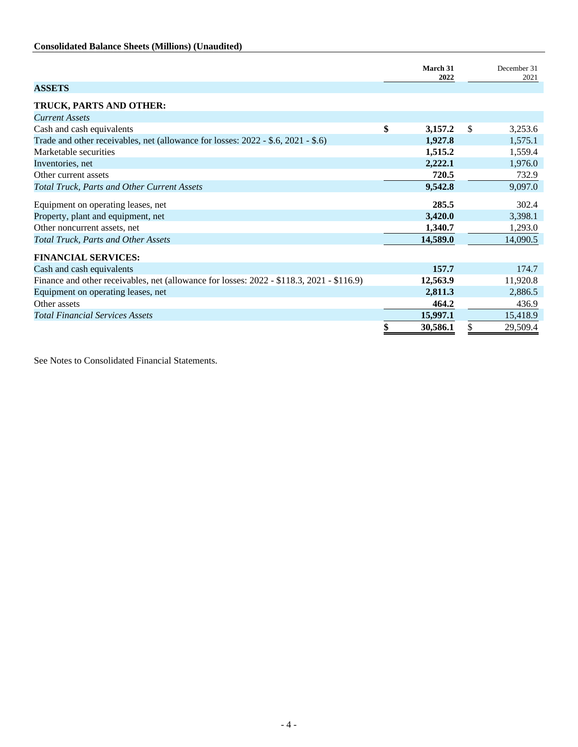<span id="page-3-0"></span>

| <b>Consolidated Balance Sheets (Millions) (Unaudited)</b> |  |
|-----------------------------------------------------------|--|
|-----------------------------------------------------------|--|

|                                                                                           | March 31<br>2022 | December 31<br>2021 |
|-------------------------------------------------------------------------------------------|------------------|---------------------|
| <b>ASSETS</b>                                                                             |                  |                     |
| TRUCK, PARTS AND OTHER:                                                                   |                  |                     |
| <b>Current Assets</b>                                                                     |                  |                     |
| Cash and cash equivalents                                                                 | \$<br>3,157.2    | \$<br>3,253.6       |
| Trade and other receivables, net (allowance for losses: 2022 - \$.6, 2021 - \$.6)         | 1,927.8          | 1,575.1             |
| Marketable securities                                                                     | 1,515.2          | 1,559.4             |
| Inventories, net                                                                          | 2,222.1          | 1,976.0             |
| Other current assets                                                                      | 720.5            | 732.9               |
| <b>Total Truck, Parts and Other Current Assets</b>                                        | 9,542.8          | 9,097.0             |
|                                                                                           |                  |                     |
| Equipment on operating leases, net                                                        | 285.5            | 302.4               |
| Property, plant and equipment, net                                                        | 3,420.0          | 3,398.1             |
| Other noncurrent assets, net                                                              | 1,340.7          | 1,293.0             |
| <b>Total Truck, Parts and Other Assets</b>                                                | 14,589.0         | 14,090.5            |
| <b>FINANCIAL SERVICES:</b>                                                                |                  |                     |
| Cash and cash equivalents                                                                 | 157.7            | 174.7               |
|                                                                                           |                  |                     |
| Finance and other receivables, net (allowance for losses: 2022 - \$118.3, 2021 - \$116.9) | 12,563.9         | 11,920.8            |
| Equipment on operating leases, net                                                        | 2,811.3          | 2,886.5             |
| Other assets                                                                              | 464.2            | 436.9               |
| <b>Total Financial Services Assets</b>                                                    | 15,997.1         | 15,418.9            |
|                                                                                           | \$<br>30,586.1   | \$<br>29,509.4      |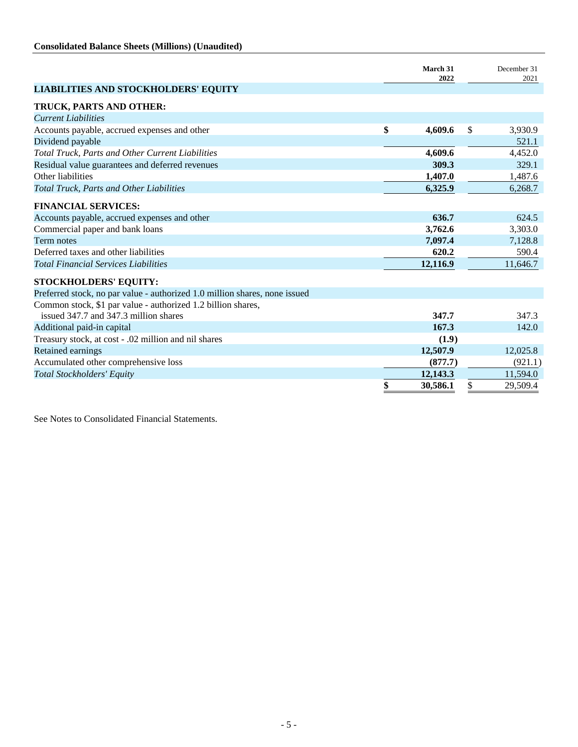|                                                                            | March 31       | December 31    |
|----------------------------------------------------------------------------|----------------|----------------|
| <b>LIABILITIES AND STOCKHOLDERS' EQUITY</b>                                | 2022           | 2021           |
| TRUCK, PARTS AND OTHER:                                                    |                |                |
| <b>Current Liabilities</b>                                                 |                |                |
| Accounts payable, accrued expenses and other                               | \$<br>4,609.6  | \$<br>3,930.9  |
| Dividend payable                                                           |                | 521.1          |
| Total Truck, Parts and Other Current Liabilities                           | 4,609.6        | 4,452.0        |
| Residual value guarantees and deferred revenues                            | 309.3          | 329.1          |
| Other liabilities                                                          | 1,407.0        | 1,487.6        |
| <b>Total Truck, Parts and Other Liabilities</b>                            | 6.325.9        | 6.268.7        |
| <b>FINANCIAL SERVICES:</b>                                                 |                |                |
|                                                                            |                |                |
| Accounts payable, accrued expenses and other                               | 636.7          | 624.5          |
| Commercial paper and bank loans                                            | 3,762.6        | 3,303.0        |
| Term notes                                                                 | 7,097.4        | 7,128.8        |
| Deferred taxes and other liabilities                                       | 620.2          | 590.4          |
| <b>Total Financial Services Liabilities</b>                                | 12,116.9       | 11,646.7       |
| <b>STOCKHOLDERS' EQUITY:</b>                                               |                |                |
| Preferred stock, no par value - authorized 1.0 million shares, none issued |                |                |
| Common stock, \$1 par value - authorized 1.2 billion shares,               |                |                |
| issued 347.7 and 347.3 million shares                                      | 347.7          | 347.3          |
| Additional paid-in capital                                                 | 167.3          | 142.0          |
| Treasury stock, at cost - .02 million and nil shares                       | (1.9)          |                |
| Retained earnings                                                          | 12,507.9       | 12,025.8       |
| Accumulated other comprehensive loss                                       | (877.7)        | (921.1)        |
| <b>Total Stockholders' Equity</b>                                          | 12,143.3       | 11,594.0       |
|                                                                            | \$<br>30,586.1 | \$<br>29,509.4 |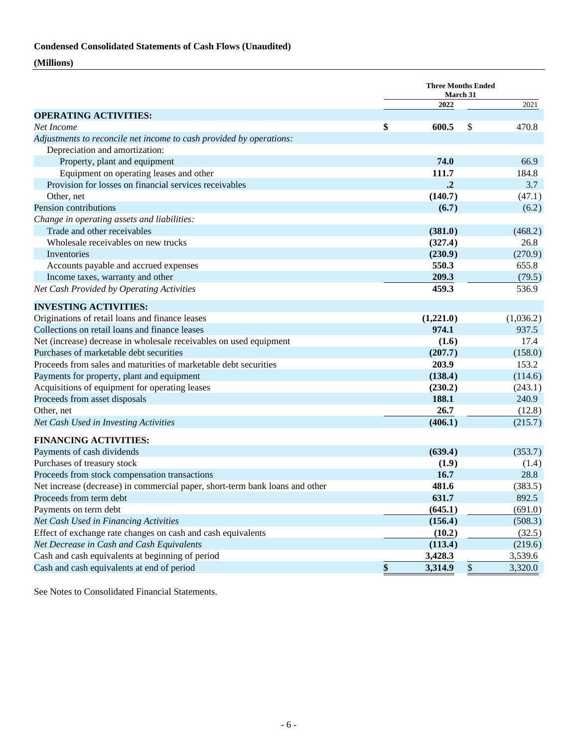# <span id="page-5-0"></span>**Condensed Consolidated Statements of Cash Flows (Unaudited)**

# **(Millions)**

|                                                                              | <b>Three Months Ended</b><br>March 31 |                      |        |           |
|------------------------------------------------------------------------------|---------------------------------------|----------------------|--------|-----------|
|                                                                              |                                       | 2022                 |        | 2021      |
| <b>OPERATING ACTIVITIES:</b>                                                 |                                       |                      |        |           |
| Net Income                                                                   | \$                                    | 600.5                | \$     | 470.8     |
| Adjustments to reconcile net income to cash provided by operations:          |                                       |                      |        |           |
| Depreciation and amortization:                                               |                                       |                      |        |           |
| Property, plant and equipment                                                |                                       | 74.0                 |        | 66.9      |
| Equipment on operating leases and other                                      |                                       | 111.7                |        | 184.8     |
| Provision for losses on financial services receivables                       |                                       | $\cdot$ <sup>2</sup> |        | 3.7       |
| Other, net                                                                   |                                       | (140.7)              |        | (47.1)    |
| Pension contributions                                                        |                                       | (6.7)                |        | (6.2)     |
| Change in operating assets and liabilities:                                  |                                       |                      |        |           |
| Trade and other receivables                                                  |                                       | (381.0)              |        | (468.2)   |
| Wholesale receivables on new trucks                                          |                                       | (327.4)              |        | 26.8      |
| Inventories                                                                  |                                       | (230.9)              |        | (270.9)   |
| Accounts payable and accrued expenses                                        |                                       | 550.3                |        | 655.8     |
| Income taxes, warranty and other                                             |                                       | 209.3                |        | (79.5)    |
| Net Cash Provided by Operating Activities                                    |                                       | 459.3                |        | 536.9     |
| <b>INVESTING ACTIVITIES:</b>                                                 |                                       |                      |        |           |
| Originations of retail loans and finance leases                              |                                       | (1,221.0)            |        | (1,036.2) |
| Collections on retail loans and finance leases                               |                                       | 974.1                |        | 937.5     |
| Net (increase) decrease in wholesale receivables on used equipment           |                                       | (1.6)                |        | 17.4      |
| Purchases of marketable debt securities                                      |                                       | (207.7)              |        | (158.0)   |
| Proceeds from sales and maturities of marketable debt securities             |                                       | 203.9                |        | 153.2     |
| Payments for property, plant and equipment                                   |                                       | (138.4)              |        | (114.6)   |
| Acquisitions of equipment for operating leases                               |                                       | (230.2)              |        | (243.1)   |
| Proceeds from asset disposals                                                |                                       | 188.1                |        | 240.9     |
| Other, net                                                                   |                                       | 26.7                 |        | (12.8)    |
| Net Cash Used in Investing Activities                                        |                                       | (406.1)              |        | (215.7)   |
| <b>FINANCING ACTIVITIES:</b>                                                 |                                       |                      |        |           |
| Payments of cash dividends                                                   |                                       | (639.4)              |        | (353.7)   |
| Purchases of treasury stock                                                  |                                       | (1.9)                |        | (1.4)     |
| Proceeds from stock compensation transactions                                |                                       | 16.7                 |        | 28.8      |
| Net increase (decrease) in commercial paper, short-term bank loans and other |                                       | 481.6                |        | (383.5)   |
| Proceeds from term debt                                                      |                                       | 631.7                |        | 892.5     |
| Payments on term debt                                                        |                                       | (645.1)              |        | (691.0)   |
| Net Cash Used in Financing Activities                                        |                                       | (156.4)              |        | (508.3)   |
| Effect of exchange rate changes on cash and cash equivalents                 |                                       | (10.2)               |        | (32.5)    |
| Net Decrease in Cash and Cash Equivalents                                    |                                       | (113.4)              |        | (219.6)   |
| Cash and cash equivalents at beginning of period                             |                                       | 3,428.3              |        | 3,539.6   |
| Cash and cash equivalents at end of period                                   | \$                                    | 3,314.9              | $\$\,$ | 3,320.0   |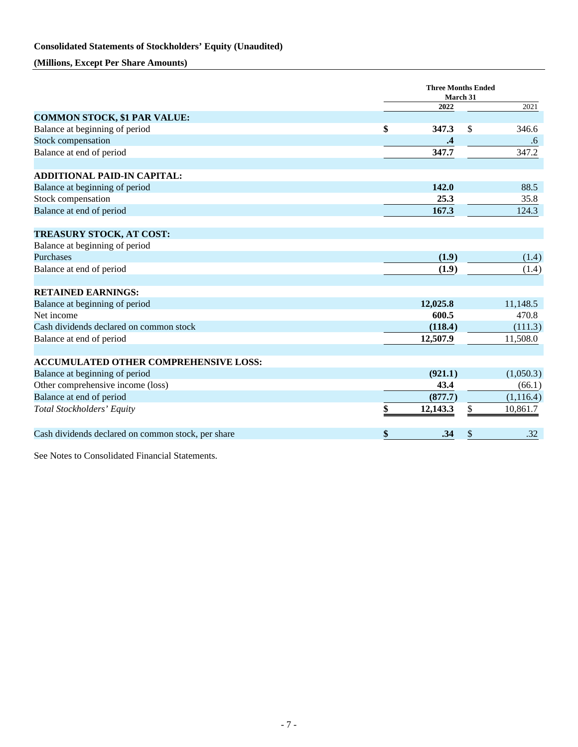# <span id="page-6-0"></span>**Consolidated Statements of Stockholders' Equity (Unaudited)**

# **(Millions, Except Per Share Amounts)**

|                                                    | <b>Three Months Ended</b><br>March 31 |    |           |  |
|----------------------------------------------------|---------------------------------------|----|-----------|--|
|                                                    | 2022                                  |    | 2021      |  |
| <b>COMMON STOCK, \$1 PAR VALUE:</b>                |                                       |    |           |  |
| Balance at beginning of period                     | \$<br>347.3                           | \$ | 346.6     |  |
| Stock compensation                                 | $\cdot$                               |    | .6        |  |
| Balance at end of period                           | 347.7                                 |    | 347.2     |  |
|                                                    |                                       |    |           |  |
| <b>ADDITIONAL PAID-IN CAPITAL:</b>                 |                                       |    |           |  |
| Balance at beginning of period                     | 142.0                                 |    | 88.5      |  |
| Stock compensation                                 | 25.3                                  |    | 35.8      |  |
| Balance at end of period                           | 167.3                                 |    | 124.3     |  |
|                                                    |                                       |    |           |  |
| <b>TREASURY STOCK, AT COST:</b>                    |                                       |    |           |  |
| Balance at beginning of period                     |                                       |    |           |  |
| Purchases                                          | (1.9)                                 |    | (1.4)     |  |
| Balance at end of period                           | (1.9)                                 |    | (1.4)     |  |
| <b>RETAINED EARNINGS:</b>                          |                                       |    |           |  |
| Balance at beginning of period                     | 12,025.8                              |    | 11,148.5  |  |
| Net income                                         | 600.5                                 |    | 470.8     |  |
| Cash dividends declared on common stock            | (118.4)                               |    | (111.3)   |  |
| Balance at end of period                           | 12,507.9                              |    | 11,508.0  |  |
|                                                    |                                       |    |           |  |
| <b>ACCUMULATED OTHER COMPREHENSIVE LOSS:</b>       |                                       |    |           |  |
| Balance at beginning of period                     | (921.1)                               |    | (1,050.3) |  |
| Other comprehensive income (loss)                  | 43.4                                  |    | (66.1)    |  |
| Balance at end of period                           | (877.7)                               |    | (1,116.4) |  |
| Total Stockholders' Equity                         | \$<br>12,143.3                        | \$ | 10,861.7  |  |
| Cash dividends declared on common stock, per share | \$<br>.34                             | \$ | .32       |  |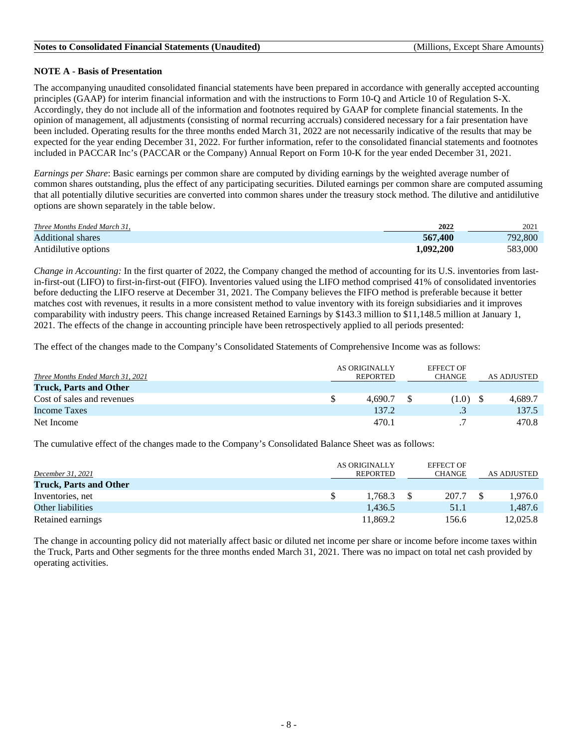#### <span id="page-7-0"></span>**NOTE A - Basis of Presentation**

The accompanying unaudited consolidated financial statements have been prepared in accordance with generally accepted accounting principles (GAAP) for interim financial information and with the instructions to Form 10-Q and Article 10 of Regulation S-X. Accordingly, they do not include all of the information and footnotes required by GAAP for complete financial statements. In the opinion of management, all adjustments (consisting of normal recurring accruals) considered necessary for a fair presentation have been included. Operating results for the three months ended March 31, 2022 are not necessarily indicative of the results that may be expected for the year ending December 31, 2022. For further information, refer to the consolidated financial statements and footnotes included in PACCAR Inc's (PACCAR or the Company) Annual Report on Form 10-K for the year ended December 31, 2021.

*Earnings per Share*: Basic earnings per common share are computed by dividing earnings by the weighted average number of common shares outstanding, plus the effect of any participating securities. Diluted earnings per common share are computed assuming that all potentially dilutive securities are converted into common shares under the treasury stock method. The dilutive and antidilutive options are shown separately in the table below.

| Three Months Ended March 31. | 2022      | 2021    |
|------------------------------|-----------|---------|
| <b>Additional shares</b>     | 567,400   | 792,800 |
| Antidilutive options         | 1.092.200 | 583,000 |

*Change in Accounting:* In the first quarter of 2022, the Company changed the method of accounting for its U.S. inventories from lastin-first-out (LIFO) to first-in-first-out (FIFO). Inventories valued using the LIFO method comprised 41% of consolidated inventories before deducting the LIFO reserve at December 31, 2021. The Company believes the FIFO method is preferable because it better matches cost with revenues, it results in a more consistent method to value inventory with its foreign subsidiaries and it improves comparability with industry peers. This change increased Retained Earnings by \$143.3 million to \$11,148.5 million at January 1, 2021. The effects of the change in accounting principle have been retrospectively applied to all periods presented:

The effect of the changes made to the Company's Consolidated Statements of Comprehensive Income was as follows:

| Three Months Ended March 31, 2021<br><b>Truck, Parts and Other</b> | <b>AS ORIGINALLY</b><br>REPORTED | <b>EFFECT OF</b><br><b>CHANGE</b> | AS ADJUSTED |
|--------------------------------------------------------------------|----------------------------------|-----------------------------------|-------------|
| Cost of sales and revenues                                         | 4.690.7                          | (1.0)                             | 4.689.7     |
| <b>Income Taxes</b>                                                | 137.2                            |                                   | 137.5       |
| Net Income                                                         | 470.1                            |                                   | 470.8       |

The cumulative effect of the changes made to the Company's Consolidated Balance Sheet was as follows:

| December 31, 2021<br><b>Truck, Parts and Other</b> | <b>AS ORIGINALLY</b><br>REPORTED | <b>EFFECT OF</b><br><b>CHANGE</b> |    | AS ADJUSTED |
|----------------------------------------------------|----------------------------------|-----------------------------------|----|-------------|
| Inventories, net                                   | 1.768.3                          | 207.7                             | -S | 1.976.0     |
| Other liabilities                                  | 1.436.5                          | 51.1                              |    | 1.487.6     |
| Retained earnings                                  | 11.869.2                         | 156.6                             |    | 12.025.8    |

The change in accounting policy did not materially affect basic or diluted net income per share or income before income taxes within the Truck, Parts and Other segments for the three months ended March 31, 2021. There was no impact on total net cash provided by operating activities.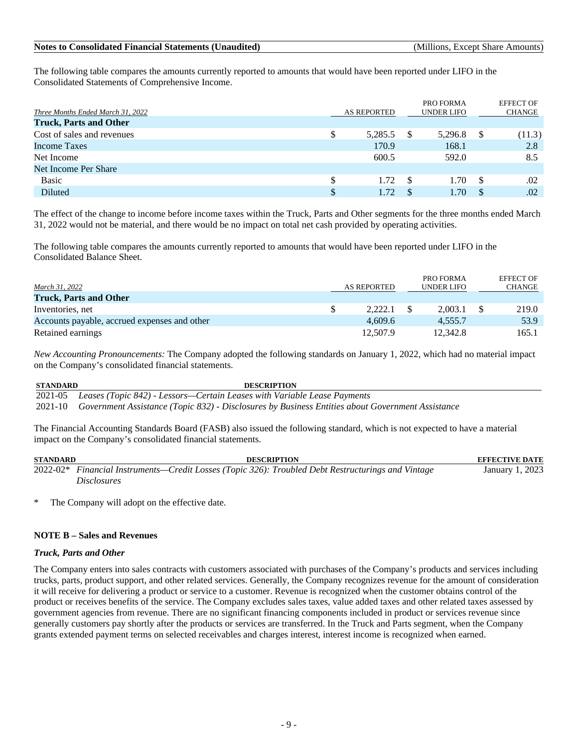|                                   |                    | PRO FORMA         |    | EFFECI OF        |
|-----------------------------------|--------------------|-------------------|----|------------------|
| Three Months Ended March 31, 2022 | <b>AS REPORTED</b> | <b>UNDER LIFO</b> |    | CHANGE           |
| <b>Truck, Parts and Other</b>     |                    |                   |    |                  |
| Cost of sales and revenues        | \$<br>5,285.5      | 5,296.8           | -S | (11.3)           |
| <b>Income Taxes</b>               | 170.9              | 168.1             |    | 2.8              |
| Net Income                        | 600.5              | 592.0             |    | 8.5              |
| Net Income Per Share              |                    |                   |    |                  |
| Basic                             | 1.72               | 1.70              | -S | .02              |
| Diluted                           | 1.72               | 1.70              |    | .02 <sub>1</sub> |
|                                   |                    |                   |    |                  |

The effect of the change to income before income taxes within the Truck, Parts and Other segments for the three months ended March 31, 2022 would not be material, and there would be no impact on total net cash provided by operating activities.

The following table compares the amounts currently reported to amounts that would have been reported under LIFO in the Consolidated Balance Sheet.

The following table compares the amounts currently reported to amounts that would have been reported under LIFO in the

|                                              |                    | PRO FORMA  | <b>EFFECT OF</b> |
|----------------------------------------------|--------------------|------------|------------------|
| March 31, 2022                               | <b>AS REPORTED</b> | UNDER LIFO | <b>CHANGE</b>    |
| <b>Truck, Parts and Other</b>                |                    |            |                  |
| Inventories, net                             | 2.222.1            | 2.003.1    | 219.0            |
| Accounts payable, accrued expenses and other | 4.609.6            | 4.555.7    | 53.9             |
| Retained earnings                            | 12.507.9           | 12.342.8   | 165.1            |

*New Accounting Pronouncements:* The Company adopted the following standards on January 1, 2022, which had no material impact on the Company's consolidated financial statements.

2021-05 *Leases (Topic 842) - Lessors—Certain Leases with Variable Lease Payments*

2021-10 *Government Assistance (Topic 832) - Disclosures by Business Entities about Government Assistance*

The Financial Accounting Standards Board (FASB) also issued the following standard, which is not expected to have a material impact on the Company's consolidated financial statements.

| <b>STANDARD</b> | <b>DESCRIPTION</b>                                                                                 | <b>EFFECTIVE DATE</b> |
|-----------------|----------------------------------------------------------------------------------------------------|-----------------------|
|                 | 2022-02* Financial Instruments—Credit Losses (Topic 326): Troubled Debt Restructurings and Vintage | January 1, 2023       |
|                 | <i>Disclosures</i>                                                                                 |                       |

The Company will adopt on the effective date.

#### **NOTE B – Sales and Revenues**

#### *Truck, Parts and Other*

The Company enters into sales contracts with customers associated with purchases of the Company's products and services including trucks, parts, product support, and other related services. Generally, the Company recognizes revenue for the amount of consideration it will receive for delivering a product or service to a customer. Revenue is recognized when the customer obtains control of the product or receives benefits of the service. The Company excludes sales taxes, value added taxes and other related taxes assessed by government agencies from revenue. There are no significant financing components included in product or services revenue since generally customers pay shortly after the products or services are transferred. In the Truck and Parts segment, when the Company grants extended payment terms on selected receivables and charges interest, interest income is recognized when earned.

EFFECT OF

PRO FORMA

Consolidated Statements of Comprehensive Income.

**STANDARD DESCRIPTION**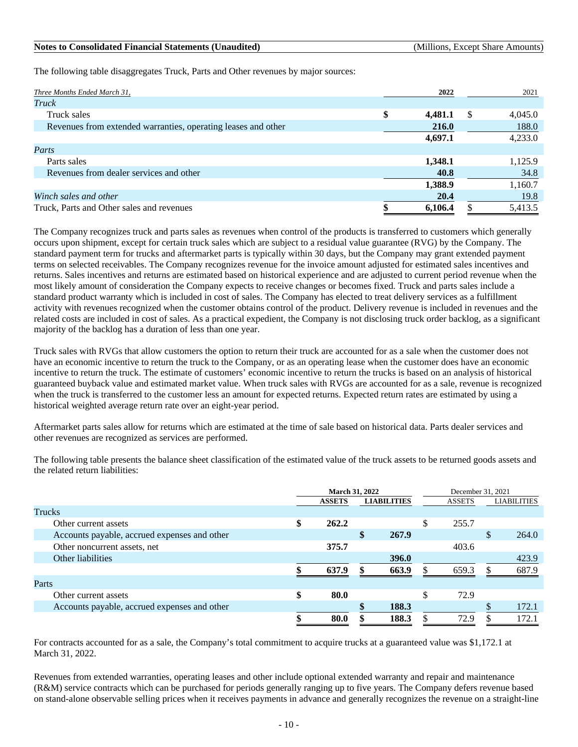| Notes to Consolidated Financial Statements (Unaudited) | (Millions, Except Share Amounts) |
|--------------------------------------------------------|----------------------------------|
|--------------------------------------------------------|----------------------------------|

The following table disaggregates Truck, Parts and Other revenues by major sources:

| Three Months Ended March 31,                                  | 2022          |    | 2021    |
|---------------------------------------------------------------|---------------|----|---------|
| Truck                                                         |               |    |         |
| Truck sales                                                   | \$<br>4,481.1 | -S | 4,045.0 |
| Revenues from extended warranties, operating leases and other | 216.0         |    | 188.0   |
|                                                               | 4,697.1       |    | 4,233.0 |
| Parts                                                         |               |    |         |
| Parts sales                                                   | 1,348.1       |    | 1,125.9 |
| Revenues from dealer services and other                       | 40.8          |    | 34.8    |
|                                                               | 1,388.9       |    | 1,160.7 |
| Winch sales and other                                         | 20.4          |    | 19.8    |
| Truck, Parts and Other sales and revenues                     | 6,106.4       |    | 5,413.5 |

The Company recognizes truck and parts sales as revenues when control of the products is transferred to customers which generally occurs upon shipment, except for certain truck sales which are subject to a residual value guarantee (RVG) by the Company. The standard payment term for trucks and aftermarket parts is typically within 30 days, but the Company may grant extended payment terms on selected receivables. The Company recognizes revenue for the invoice amount adjusted for estimated sales incentives and returns. Sales incentives and returns are estimated based on historical experience and are adjusted to current period revenue when the most likely amount of consideration the Company expects to receive changes or becomes fixed. Truck and parts sales include a standard product warranty which is included in cost of sales. The Company has elected to treat delivery services as a fulfillment activity with revenues recognized when the customer obtains control of the product. Delivery revenue is included in revenues and the related costs are included in cost of sales. As a practical expedient, the Company is not disclosing truck order backlog, as a significant majority of the backlog has a duration of less than one year.

Truck sales with RVGs that allow customers the option to return their truck are accounted for as a sale when the customer does not have an economic incentive to return the truck to the Company, or as an operating lease when the customer does have an economic incentive to return the truck. The estimate of customers' economic incentive to return the trucks is based on an analysis of historical guaranteed buyback value and estimated market value. When truck sales with RVGs are accounted for as a sale, revenue is recognized when the truck is transferred to the customer less an amount for expected returns. Expected return rates are estimated by using a historical weighted average return rate over an eight-year period.

Aftermarket parts sales allow for returns which are estimated at the time of sale based on historical data. Parts dealer services and other revenues are recognized as services are performed.

The following table presents the balance sheet classification of the estimated value of the truck assets to be returned goods assets and the related return liabilities:

|                                              | <b>March 31, 2022</b> |               |    |                    | December 31, 2021 |   |                    |
|----------------------------------------------|-----------------------|---------------|----|--------------------|-------------------|---|--------------------|
|                                              |                       | <b>ASSETS</b> |    | <b>LIABILITIES</b> | <b>ASSETS</b>     |   | <b>LIABILITIES</b> |
| Trucks                                       |                       |               |    |                    |                   |   |                    |
| Other current assets                         | \$                    | 262.2         |    |                    | \$<br>255.7       |   |                    |
| Accounts payable, accrued expenses and other |                       |               | \$ | 267.9              |                   | S | 264.0              |
| Other noncurrent assets, net                 |                       | 375.7         |    |                    | 403.6             |   |                    |
| Other liabilities                            |                       |               |    | 396.0              |                   |   | 423.9              |
|                                              |                       | 637.9         |    | 663.9              | 659.3             | Ж | 687.9              |
| Parts                                        |                       |               |    |                    |                   |   |                    |
| Other current assets                         | \$                    | 80.0          |    |                    | \$<br>72.9        |   |                    |
| Accounts payable, accrued expenses and other |                       |               | п  | 188.3              |                   |   | 172.1              |
|                                              |                       | 80.0          |    | 188.3              | 72.9              |   | 172.1              |

For contracts accounted for as a sale, the Company's total commitment to acquire trucks at a guaranteed value was \$1,172.1 at March 31, 2022.

Revenues from extended warranties, operating leases and other include optional extended warranty and repair and maintenance (R&M) service contracts which can be purchased for periods generally ranging up to five years. The Company defers revenue based on stand-alone observable selling prices when it receives payments in advance and generally recognizes the revenue on a straight-line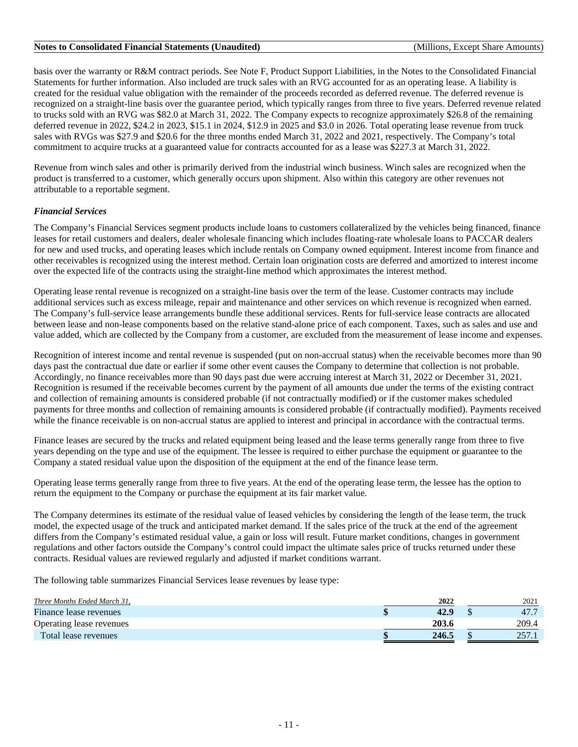basis over the warranty or R&M contract periods. See Note F, Product Support Liabilities, in the Notes to the Consolidated Financial Statements for further information. Also included are truck sales with an RVG accounted for as an operating lease. A liability is created for the residual value obligation with the remainder of the proceeds recorded as deferred revenue. The deferred revenue is recognized on a straight-line basis over the guarantee period, which typically ranges from three to five years. Deferred revenue related to trucks sold with an RVG was \$82.0 at March 31, 2022. The Company expects to recognize approximately \$26.8 of the remaining deferred revenue in 2022, \$24.2 in 2023, \$15.1 in 2024, \$12.9 in 2025 and \$3.0 in 2026. Total operating lease revenue from truck sales with RVGs was \$27.9 and \$20.6 for the three months ended March 31, 2022 and 2021, respectively. The Company's total commitment to acquire trucks at a guaranteed value for contracts accounted for as a lease was \$227.3 at March 31, 2022.

Revenue from winch sales and other is primarily derived from the industrial winch business. Winch sales are recognized when the product is transferred to a customer, which generally occurs upon shipment. Also within this category are other revenues not attributable to a reportable segment.

# *Financial Services*

The Company's Financial Services segment products include loans to customers collateralized by the vehicles being financed, finance leases for retail customers and dealers, dealer wholesale financing which includes floating-rate wholesale loans to PACCAR dealers for new and used trucks, and operating leases which include rentals on Company owned equipment. Interest income from finance and other receivables is recognized using the interest method. Certain loan origination costs are deferred and amortized to interest income over the expected life of the contracts using the straight-line method which approximates the interest method.

Operating lease rental revenue is recognized on a straight-line basis over the term of the lease. Customer contracts may include additional services such as excess mileage, repair and maintenance and other services on which revenue is recognized when earned. The Company's full-service lease arrangements bundle these additional services. Rents for full-service lease contracts are allocated between lease and non-lease components based on the relative stand-alone price of each component. Taxes, such as sales and use and value added, which are collected by the Company from a customer, are excluded from the measurement of lease income and expenses.

Recognition of interest income and rental revenue is suspended (put on non-accrual status) when the receivable becomes more than 90 days past the contractual due date or earlier if some other event causes the Company to determine that collection is not probable. Accordingly, no finance receivables more than 90 days past due were accruing interest at March 31, 2022 or December 31, 2021. Recognition is resumed if the receivable becomes current by the payment of all amounts due under the terms of the existing contract and collection of remaining amounts is considered probable (if not contractually modified) or if the customer makes scheduled payments for three months and collection of remaining amounts is considered probable (if contractually modified). Payments received while the finance receivable is on non-accrual status are applied to interest and principal in accordance with the contractual terms.

Finance leases are secured by the trucks and related equipment being leased and the lease terms generally range from three to five years depending on the type and use of the equipment. The lessee is required to either purchase the equipment or guarantee to the Company a stated residual value upon the disposition of the equipment at the end of the finance lease term.

Operating lease terms generally range from three to five years. At the end of the operating lease term, the lessee has the option to return the equipment to the Company or purchase the equipment at its fair market value.

The Company determines its estimate of the residual value of leased vehicles by considering the length of the lease term, the truck model, the expected usage of the truck and anticipated market demand. If the sales price of the truck at the end of the agreement differs from the Company's estimated residual value, a gain or loss will result. Future market conditions, changes in government regulations and other factors outside the Company's control could impact the ultimate sales price of trucks returned under these contracts. Residual values are reviewed regularly and adjusted if market conditions warrant.

The following table summarizes Financial Services lease revenues by lease type:

| Three Months Ended March 31. | 2022  | 2021  |
|------------------------------|-------|-------|
| Finance lease revenues       | 42.9  | 47.   |
| Operating lease revenues     | 203.6 | 209.4 |
| Total lease revenues         | 246.5 | 257.1 |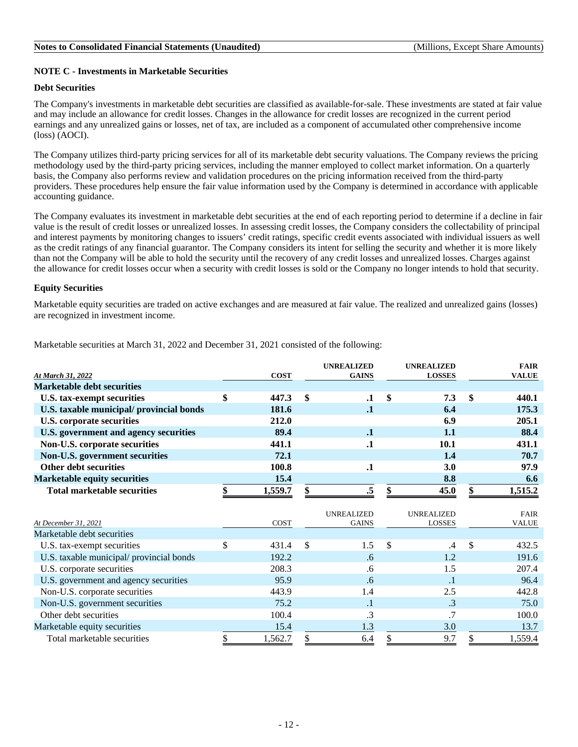### **NOTE C - Investments in Marketable Securities**

### **Debt Securities**

The Company's investments in marketable debt securities are classified as available-for-sale. These investments are stated at fair value and may include an allowance for credit losses. Changes in the allowance for credit losses are recognized in the current period earnings and any unrealized gains or losses, net of tax, are included as a component of accumulated other comprehensive income (loss) (AOCI).

The Company utilizes third-party pricing services for all of its marketable debt security valuations. The Company reviews the pricing methodology used by the third-party pricing services, including the manner employed to collect market information. On a quarterly basis, the Company also performs review and validation procedures on the pricing information received from the third-party providers. These procedures help ensure the fair value information used by the Company is determined in accordance with applicable accounting guidance.

The Company evaluates its investment in marketable debt securities at the end of each reporting period to determine if a decline in fair value is the result of credit losses or unrealized losses. In assessing credit losses, the Company considers the collectability of principal and interest payments by monitoring changes to issuers' credit ratings, specific credit events associated with individual issuers as well as the credit ratings of any financial guarantor. The Company considers its intent for selling the security and whether it is more likely than not the Company will be able to hold the security until the recovery of any credit losses and unrealized losses. Charges against the allowance for credit losses occur when a security with credit losses is sold or the Company no longer intends to hold that security.

#### **Equity Securities**

Marketable equity securities are traded on active exchanges and are measured at fair value. The realized and unrealized gains (losses) are recognized in investment income.

|                                          |             |    | <b>UNREALIZED</b> |      | <b>UNREALIZED</b> |      | <b>FAIR</b>  |
|------------------------------------------|-------------|----|-------------------|------|-------------------|------|--------------|
| At March 31, 2022                        | <b>COST</b> |    | <b>GAINS</b>      |      | <b>LOSSES</b>     |      | <b>VALUE</b> |
| <b>Marketable debt securities</b>        |             |    |                   |      |                   |      |              |
| U.S. tax-exempt securities               | 447.3       | -S |                   | - \$ | 7.3               | - \$ | 440.1        |
| U.S. taxable municipal/ provincial bonds | 181.6       |    | . .               |      | 6.4               |      | 175.3        |
| <b>U.S. corporate securities</b>         | 212.0       |    |                   |      | 6.9               |      | 205.1        |
| U.S. government and agency securities    | 89.4        |    | .1                |      | 1.1               |      | 88.4         |
| Non-U.S. corporate securities            | 441.1       |    | . .               |      | <b>10.1</b>       |      | 431.1        |
| Non-U.S. government securities           | 72.1        |    |                   |      | 1.4               |      | 70.7         |
| <b>Other debt securities</b>             | 100.8       |    | .1                |      | 3.0               |      | 97.9         |
| <b>Marketable equity securities</b>      | 15.4        |    |                   |      | 8.8               |      | 6.6          |
| <b>Total marketable securities</b>       | 1,559.7     |    | $.5\,$            |      | 45.0              |      | 1,515.2      |

Marketable securities at March 31, 2022 and December 31, 2021 consisted of the following:

|                                         |             |               | <b>UNREALIZED</b> |               | <b>UNREALIZED</b> |               | <b>FAIR</b>  |
|-----------------------------------------|-------------|---------------|-------------------|---------------|-------------------|---------------|--------------|
| At December 31, 2021                    | <b>COST</b> |               | <b>GAINS</b>      |               | <b>LOSSES</b>     |               | <b>VALUE</b> |
| Marketable debt securities              |             |               |                   |               |                   |               |              |
| U.S. tax-exempt securities              | 431.4       | <sup>\$</sup> | $\overline{.5}$   | <sup>\$</sup> | .4                | <sup>\$</sup> | 432.5        |
| U.S. taxable municipal/provincial bonds | 192.2       |               | .6                |               | 1.2               |               | 191.6        |
| U.S. corporate securities               | 208.3       |               | .6                |               | 1.5               |               | 207.4        |
| U.S. government and agency securities   | 95.9        |               | .6                |               |                   |               | 96.4         |
| Non-U.S. corporate securities           | 443.9       |               | $1.4^{\circ}$     |               | 2.5               |               | 442.8        |
| Non-U.S. government securities          | 75.2        |               |                   |               | $\cdot$ 3         |               | 75.0         |
| Other debt securities                   | 100.4       |               |                   |               |                   |               | 100.0        |
| Marketable equity securities            | 15.4        |               | 1.3               |               | 3.0               |               | 13.7         |
| Total marketable securities             | 1.562.7     |               | 6.4               |               | 9.7               |               | 1.559.4      |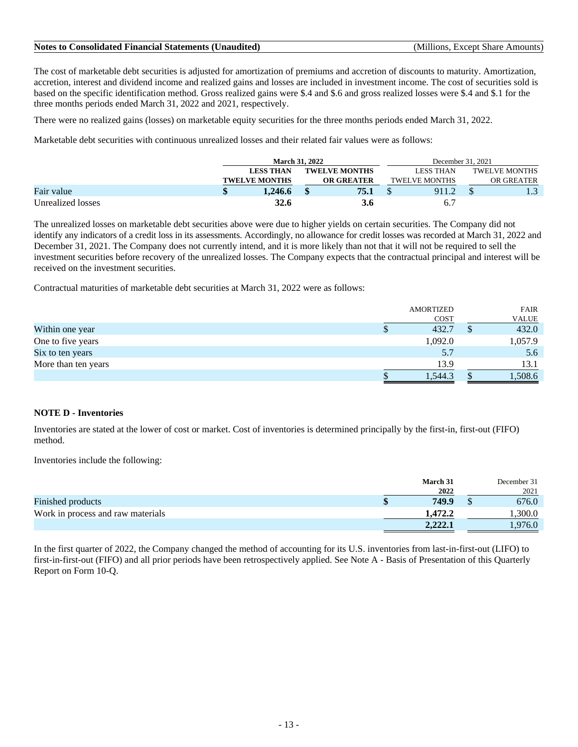The cost of marketable debt securities is adjusted for amortization of premiums and accretion of discounts to maturity. Amortization, accretion, interest and dividend income and realized gains and losses are included in investment income. The cost of securities sold is based on the specific identification method. Gross realized gains were \$.4 and \$.6 and gross realized losses were \$.4 and \$.1 for the three months periods ended March 31, 2022 and 2021, respectively.

There were no realized gains (losses) on marketable equity securities for the three months periods ended March 31, 2022.

Marketable debt securities with continuous unrealized losses and their related fair values were as follows:

|                   | <b>March 31, 2022</b> |                      | December 31, 2021 |                      |                      |
|-------------------|-----------------------|----------------------|-------------------|----------------------|----------------------|
|                   | <b>LESS THAN</b>      | <b>TWELVE MONTHS</b> |                   | <b>LESS THAN</b>     | <b>TWELVE MONTHS</b> |
|                   | <b>TWELVE MONTHS</b>  |                      | <b>OR GREATER</b> | <b>TWELVE MONTHS</b> | OR GREATER           |
| Fair value        | 1.246.6               |                      | 75.1              | 911.2                | .                    |
| Unrealized losses | 32.6                  |                      | 3.6               | 6.                   |                      |

The unrealized losses on marketable debt securities above were due to higher yields on certain securities. The Company did not identify any indicators of a credit loss in its assessments. Accordingly, no allowance for credit losses was recorded at March 31, 2022 and December 31, 2021. The Company does not currently intend, and it is more likely than not that it will not be required to sell the investment securities before recovery of the unrealized losses. The Company expects that the contractual principal and interest will be received on the investment securities.

Contractual maturities of marketable debt securities at March 31, 2022 were as follows:

|                     | AMORTIZED   | <b>FAIR</b>  |
|---------------------|-------------|--------------|
|                     | <b>COST</b> | <b>VALUE</b> |
| Within one year     | 432.7       | 432.0        |
| One to five years   | 1,092.0     | 1,057.9      |
| Six to ten years    | 5.7         | 5.6          |
| More than ten years | 13.9        | 13.1         |
|                     | 1,544.3     | 1,508.6      |

# **NOTE D - Inventories**

Inventories are stated at the lower of cost or market. Cost of inventories is determined principally by the first-in, first-out (FIFO) method.

Inventories include the following:

|                                   | <b>March 31</b><br>2022 |    | December 31<br>2021 |
|-----------------------------------|-------------------------|----|---------------------|
| Finished products                 | 749.9                   | ۰D | 676.0               |
| Work in process and raw materials | 1.472.2                 |    | .300.0              |
|                                   | 2,222.1                 |    | .976.0              |

In the first quarter of 2022, the Company changed the method of accounting for its U.S. inventories from last-in-first-out (LIFO) to first-in-first-out (FIFO) and all prior periods have been retrospectively applied. See Note A - Basis of Presentation of this Quarterly Report on Form 10-Q.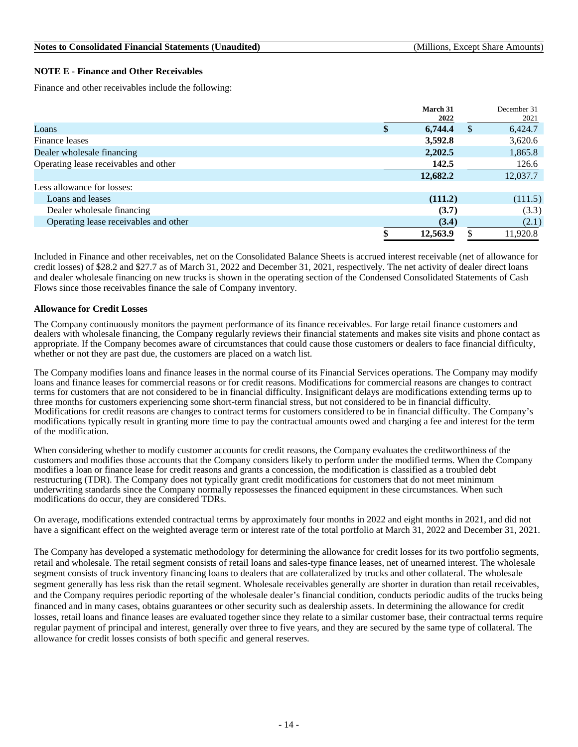#### **NOTE E - Finance and Other Receivables**

Finance and other receivables include the following:

| 2022<br>6,744.4<br>Loans<br>\$<br>\$           | 2021<br>6,424.7 |
|------------------------------------------------|-----------------|
|                                                |                 |
|                                                |                 |
| 3,592.8<br>Finance leases                      | 3,620.6         |
| 2,202.5<br>Dealer wholesale financing          | 1,865.8         |
| Operating lease receivables and other<br>142.5 | 126.6           |
| 12,682.2                                       | 12,037.7        |
| Less allowance for losses:                     |                 |
| (111.2)<br>Loans and leases                    | (111.5)         |
| Dealer wholesale financing<br>(3.7)            | (3.3)           |
| Operating lease receivables and other<br>(3.4) | (2.1)           |
| 12,563.9                                       | 11,920.8        |

Included in Finance and other receivables, net on the Consolidated Balance Sheets is accrued interest receivable (net of allowance for credit losses) of \$28.2 and \$27.7 as of March 31, 2022 and December 31, 2021, respectively. The net activity of dealer direct loans and dealer wholesale financing on new trucks is shown in the operating section of the Condensed Consolidated Statements of Cash Flows since those receivables finance the sale of Company inventory.

#### **Allowance for Credit Losses**

The Company continuously monitors the payment performance of its finance receivables. For large retail finance customers and dealers with wholesale financing, the Company regularly reviews their financial statements and makes site visits and phone contact as appropriate. If the Company becomes aware of circumstances that could cause those customers or dealers to face financial difficulty, whether or not they are past due, the customers are placed on a watch list.

The Company modifies loans and finance leases in the normal course of its Financial Services operations. The Company may modify loans and finance leases for commercial reasons or for credit reasons. Modifications for commercial reasons are changes to contract terms for customers that are not considered to be in financial difficulty. Insignificant delays are modifications extending terms up to three months for customers experiencing some short-term financial stress, but not considered to be in financial difficulty. Modifications for credit reasons are changes to contract terms for customers considered to be in financial difficulty. The Company's modifications typically result in granting more time to pay the contractual amounts owed and charging a fee and interest for the term of the modification.

When considering whether to modify customer accounts for credit reasons, the Company evaluates the creditworthiness of the customers and modifies those accounts that the Company considers likely to perform under the modified terms. When the Company modifies a loan or finance lease for credit reasons and grants a concession, the modification is classified as a troubled debt restructuring (TDR). The Company does not typically grant credit modifications for customers that do not meet minimum underwriting standards since the Company normally repossesses the financed equipment in these circumstances. When such modifications do occur, they are considered TDRs.

On average, modifications extended contractual terms by approximately four months in 2022 and eight months in 2021, and did not have a significant effect on the weighted average term or interest rate of the total portfolio at March 31, 2022 and December 31, 2021.

The Company has developed a systematic methodology for determining the allowance for credit losses for its two portfolio segments, retail and wholesale. The retail segment consists of retail loans and sales-type finance leases, net of unearned interest. The wholesale segment consists of truck inventory financing loans to dealers that are collateralized by trucks and other collateral. The wholesale segment generally has less risk than the retail segment. Wholesale receivables generally are shorter in duration than retail receivables, and the Company requires periodic reporting of the wholesale dealer's financial condition, conducts periodic audits of the trucks being financed and in many cases, obtains guarantees or other security such as dealership assets. In determining the allowance for credit losses, retail loans and finance leases are evaluated together since they relate to a similar customer base, their contractual terms require regular payment of principal and interest, generally over three to five years, and they are secured by the same type of collateral. The allowance for credit losses consists of both specific and general reserves.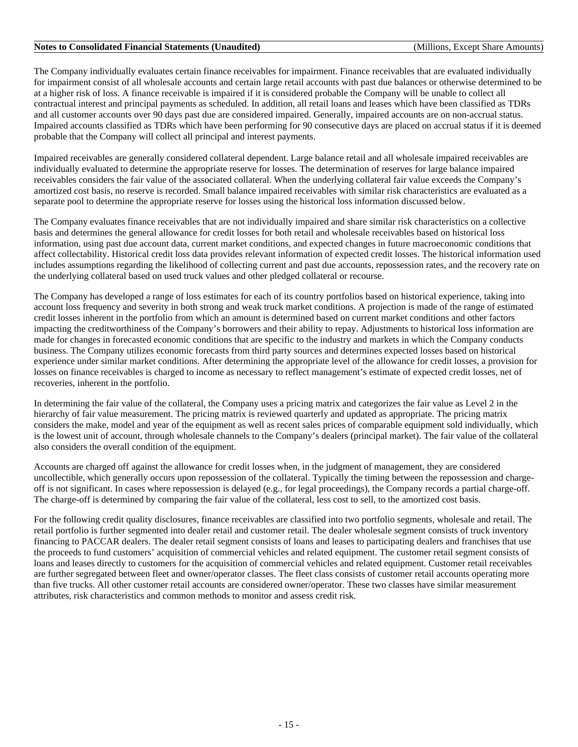The Company individually evaluates certain finance receivables for impairment. Finance receivables that are evaluated individually for impairment consist of all wholesale accounts and certain large retail accounts with past due balances or otherwise determined to be at a higher risk of loss. A finance receivable is impaired if it is considered probable the Company will be unable to collect all contractual interest and principal payments as scheduled. In addition, all retail loans and leases which have been classified as TDRs and all customer accounts over 90 days past due are considered impaired. Generally, impaired accounts are on non-accrual status. Impaired accounts classified as TDRs which have been performing for 90 consecutive days are placed on accrual status if it is deemed probable that the Company will collect all principal and interest payments.

Impaired receivables are generally considered collateral dependent. Large balance retail and all wholesale impaired receivables are individually evaluated to determine the appropriate reserve for losses. The determination of reserves for large balance impaired receivables considers the fair value of the associated collateral. When the underlying collateral fair value exceeds the Company's amortized cost basis, no reserve is recorded. Small balance impaired receivables with similar risk characteristics are evaluated as a separate pool to determine the appropriate reserve for losses using the historical loss information discussed below.

The Company evaluates finance receivables that are not individually impaired and share similar risk characteristics on a collective basis and determines the general allowance for credit losses for both retail and wholesale receivables based on historical loss information, using past due account data, current market conditions, and expected changes in future macroeconomic conditions that affect collectability. Historical credit loss data provides relevant information of expected credit losses. The historical information used includes assumptions regarding the likelihood of collecting current and past due accounts, repossession rates, and the recovery rate on the underlying collateral based on used truck values and other pledged collateral or recourse.

The Company has developed a range of loss estimates for each of its country portfolios based on historical experience, taking into account loss frequency and severity in both strong and weak truck market conditions. A projection is made of the range of estimated credit losses inherent in the portfolio from which an amount is determined based on current market conditions and other factors impacting the creditworthiness of the Company's borrowers and their ability to repay. Adjustments to historical loss information are made for changes in forecasted economic conditions that are specific to the industry and markets in which the Company conducts business. The Company utilizes economic forecasts from third party sources and determines expected losses based on historical experience under similar market conditions. After determining the appropriate level of the allowance for credit losses, a provision for losses on finance receivables is charged to income as necessary to reflect management's estimate of expected credit losses, net of recoveries, inherent in the portfolio.

In determining the fair value of the collateral, the Company uses a pricing matrix and categorizes the fair value as Level 2 in the hierarchy of fair value measurement. The pricing matrix is reviewed quarterly and updated as appropriate. The pricing matrix considers the make, model and year of the equipment as well as recent sales prices of comparable equipment sold individually, which is the lowest unit of account, through wholesale channels to the Company's dealers (principal market). The fair value of the collateral also considers the overall condition of the equipment.

Accounts are charged off against the allowance for credit losses when, in the judgment of management, they are considered uncollectible, which generally occurs upon repossession of the collateral. Typically the timing between the repossession and chargeoff is not significant. In cases where repossession is delayed (e.g., for legal proceedings), the Company records a partial charge-off. The charge-off is determined by comparing the fair value of the collateral, less cost to sell, to the amortized cost basis.

For the following credit quality disclosures, finance receivables are classified into two portfolio segments, wholesale and retail. The retail portfolio is further segmented into dealer retail and customer retail. The dealer wholesale segment consists of truck inventory financing to PACCAR dealers. The dealer retail segment consists of loans and leases to participating dealers and franchises that use the proceeds to fund customers' acquisition of commercial vehicles and related equipment. The customer retail segment consists of loans and leases directly to customers for the acquisition of commercial vehicles and related equipment. Customer retail receivables are further segregated between fleet and owner/operator classes. The fleet class consists of customer retail accounts operating more than five trucks. All other customer retail accounts are considered owner/operator. These two classes have similar measurement attributes, risk characteristics and common methods to monitor and assess credit risk.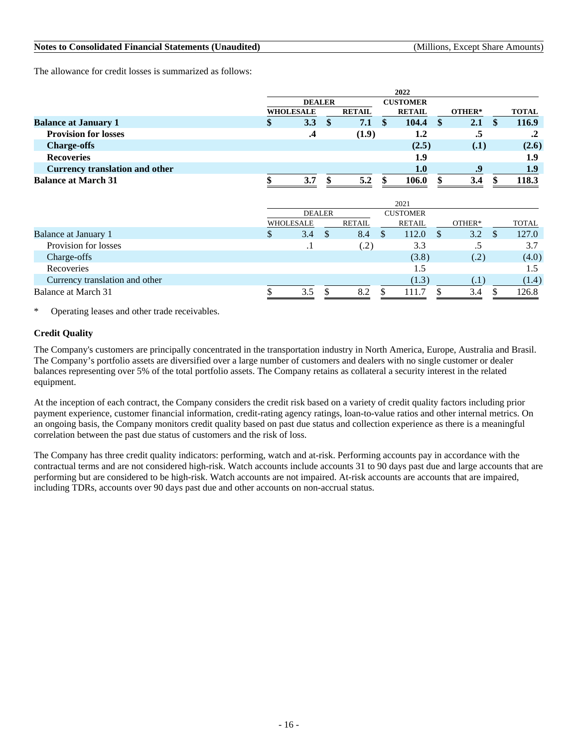The allowance for credit losses is summarized as follows:

|                                       |                                  |     |               |  | 2022          |           |                      |
|---------------------------------------|----------------------------------|-----|---------------|--|---------------|-----------|----------------------|
|                                       | <b>CUSTOMER</b><br><b>DEALER</b> |     |               |  |               |           |                      |
|                                       | <b>WHOLESALE</b>                 |     | <b>RETAIL</b> |  | <b>RETAIL</b> | OTHER*    | <b>TOTAL</b>         |
| <b>Balance at January 1</b>           | \$<br>3.3                        | -SS | 7.1           |  | 104.4         | \$<br>2.1 | 116.9                |
| <b>Provision for losses</b>           | .4                               |     | (1.9)         |  | 1.2           | د.        | $\cdot$ <sup>2</sup> |
| <b>Charge-offs</b>                    |                                  |     |               |  | (2.5)         | (.1)      | (2.6)                |
| <b>Recoveries</b>                     |                                  |     |               |  | 1.9           |           | 1.9                  |
| <b>Currency translation and other</b> |                                  |     |               |  | 1.0           | .9        | 1.9                  |
| <b>Balance at March 31</b>            | 3.7                              |     | 5.2           |  | 106.0         | 3.4       | 118.3                |

|                                |   |                  |  |               |  | 2021            |                     |              |
|--------------------------------|---|------------------|--|---------------|--|-----------------|---------------------|--------------|
|                                |   | <b>DEALER</b>    |  |               |  | <b>CUSTOMER</b> |                     |              |
|                                |   | <b>WHOLESALE</b> |  | <b>RETAIL</b> |  | <b>RETAIL</b>   | OTHER*              | <b>TOTAL</b> |
| <b>Balance at January 1</b>    | S | 3.4              |  | 8.4           |  | 112.0           | 3.2                 | 127.0        |
| Provision for losses           |   | $\cdot$          |  | (2)           |  | 3.3             | د.                  | 3.7          |
| Charge-offs                    |   |                  |  |               |  | (3.8)           | (.2)                | (4.0)        |
| Recoveries                     |   |                  |  |               |  | 1.5             |                     | 1.5          |
| Currency translation and other |   |                  |  |               |  | (1.3)           | $\left( .1 \right)$ | (1.4)        |
| Balance at March 31            |   | 3.5              |  | 8.2           |  |                 | 3.4                 | 126.8        |

\* Operating leases and other trade receivables.

# **Credit Quality**

The Company's customers are principally concentrated in the transportation industry in North America, Europe, Australia and Brasil. The Company's portfolio assets are diversified over a large number of customers and dealers with no single customer or dealer balances representing over 5% of the total portfolio assets. The Company retains as collateral a security interest in the related equipment.

At the inception of each contract, the Company considers the credit risk based on a variety of credit quality factors including prior payment experience, customer financial information, credit-rating agency ratings, loan-to-value ratios and other internal metrics. On an ongoing basis, the Company monitors credit quality based on past due status and collection experience as there is a meaningful correlation between the past due status of customers and the risk of loss.

The Company has three credit quality indicators: performing, watch and at-risk. Performing accounts pay in accordance with the contractual terms and are not considered high-risk. Watch accounts include accounts 31 to 90 days past due and large accounts that are performing but are considered to be high-risk. Watch accounts are not impaired. At-risk accounts are accounts that are impaired, including TDRs, accounts over 90 days past due and other accounts on non-accrual status.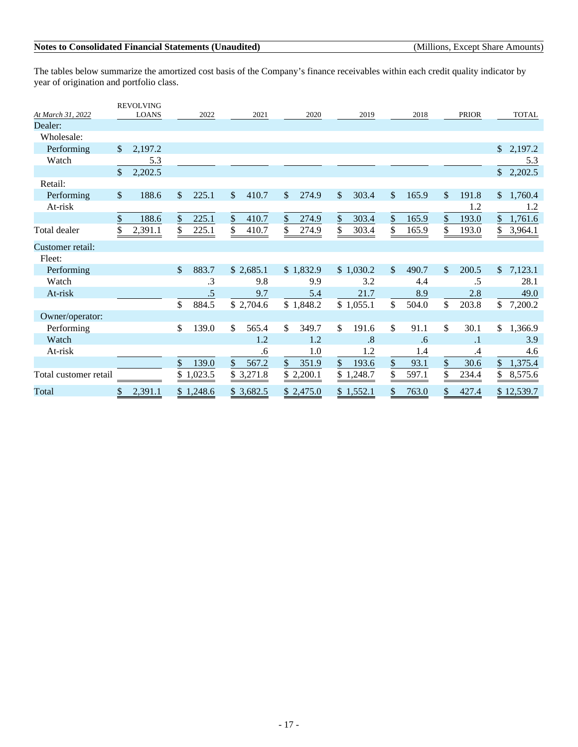The tables below summarize the amortized cost basis of the Company's finance receivables within each credit quality indicator by year of origination and portfolio class.

|                       |               | <b>REVOLVING</b> |               |           |               |           |     |           |                 |               |       |               |              |               |              |
|-----------------------|---------------|------------------|---------------|-----------|---------------|-----------|-----|-----------|-----------------|---------------|-------|---------------|--------------|---------------|--------------|
| At March 31, 2022     |               | <b>LOANS</b>     |               | 2022      |               | 2021      |     | 2020      | 2019            |               | 2018  |               | <b>PRIOR</b> |               | <b>TOTAL</b> |
| Dealer:               |               |                  |               |           |               |           |     |           |                 |               |       |               |              |               |              |
| Wholesale:            |               |                  |               |           |               |           |     |           |                 |               |       |               |              |               |              |
| Performing            | $\mathbb{S}$  | 2,197.2          |               |           |               |           |     |           |                 |               |       |               |              | $\mathbb{S}$  | 2,197.2      |
| Watch                 |               | 5.3              |               |           |               |           |     |           |                 |               |       |               |              |               | 5.3          |
|                       | $\mathbb{S}$  | 2,202.5          |               |           |               |           |     |           |                 |               |       |               |              | $\mathcal{S}$ | 2,202.5      |
| Retail:               |               |                  |               |           |               |           |     |           |                 |               |       |               |              |               |              |
| Performing            | \$            | 188.6            | \$            | 225.1     | $\mathcal{S}$ | 410.7     | \$. | 274.9     | \$<br>303.4     | $\mathcal{S}$ | 165.9 | \$            | 191.8        |               | \$1,760.4    |
| At-risk               |               |                  |               |           |               |           |     |           |                 |               |       |               | 1.2          |               | 1.2          |
|                       | $\mathcal{S}$ | 188.6            | \$            | 225.1     | \$.           | 410.7     | \$  | 274.9     | \$<br>303.4     | $\mathcal{S}$ | 165.9 | \$            | 193.0        | <sup>\$</sup> | 1,761.6      |
| Total dealer          |               | 2,391.1          | \$            | 225.1     | \$            | 410.7     | \$  | 274.9     | \$<br>303.4     | \$            | 165.9 | \$            | 193.0        | \$            | 3,964.1      |
| Customer retail:      |               |                  |               |           |               |           |     |           |                 |               |       |               |              |               |              |
| Fleet:                |               |                  |               |           |               |           |     |           |                 |               |       |               |              |               |              |
| Performing            |               |                  | $\mathcal{S}$ | 883.7     |               | \$2,685.1 |     | \$1,832.9 | \$1,030.2       | $\mathcal{S}$ | 490.7 | $\mathcal{S}$ | 200.5        |               | \$7,123.1    |
| Watch                 |               |                  |               | .3        |               | 9.8       |     | 9.9       | 3.2             |               | 4.4   |               | .5           |               | 28.1         |
| At-risk               |               |                  |               | .5        |               | 9.7       |     | 5.4       | 21.7            |               | 8.9   |               | 2.8          |               | 49.0         |
|                       |               |                  | \$            | 884.5     |               | \$2,704.6 |     | \$1,848.2 | \$1,055.1       | \$            | 504.0 | \$            | 203.8        | $\mathbb{S}$  | 7,200.2      |
| Owner/operator:       |               |                  |               |           |               |           |     |           |                 |               |       |               |              |               |              |
| Performing            |               |                  | \$            | 139.0     | \$            | 565.4     | \$  | 349.7     | \$<br>191.6     | \$            | 91.1  | \$            | 30.1         | $\mathbb{S}$  | 1,366.9      |
| Watch                 |               |                  |               |           |               | 1.2       |     | 1.2       | $\overline{.8}$ |               | .6    |               | $\cdot$ 1    |               | 3.9          |
| At-risk               |               |                  |               |           |               | .6        |     | 1.0       | 1.2             |               | 1.4   |               | $\cdot$ 4    |               | 4.6          |
|                       |               |                  | \$            | 139.0     | $\mathcal{S}$ | 567.2     | \$  | 351.9     | \$<br>193.6     | \$            | 93.1  | \$            | 30.6         | \$            | 1,375.4      |
| Total customer retail |               |                  | \$            | 1,023.5   | \$            | 3,271.8   |     | \$2,200.1 | \$<br>1,248.7   | \$            | 597.1 | \$            | 234.4        | \$            | 8,575.6      |
| Total                 | \$            | 2,391.1          |               | \$1,248.6 |               | \$3,682.5 |     | \$2,475.0 | \$1,552.1       | \$            | 763.0 | \$            | 427.4        |               | \$12,539.7   |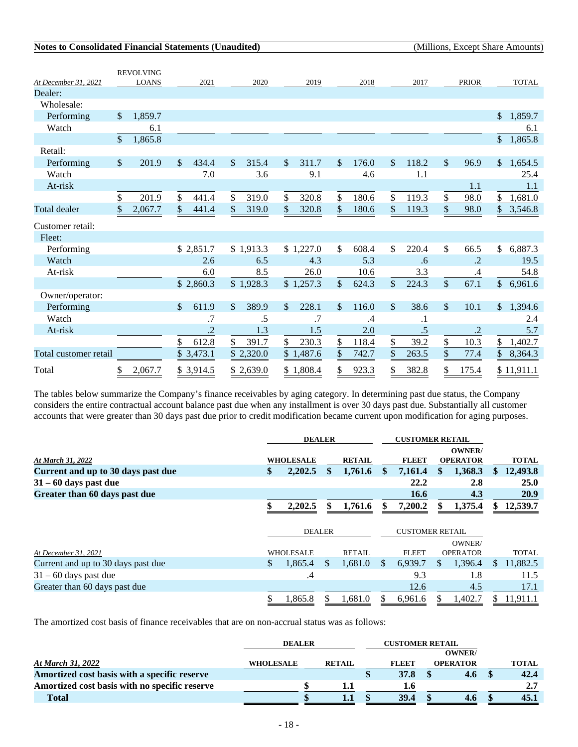| <b>Notes to Consolidated Financial Statements (Unaudited)</b> |               |                  |    |           |     |           |              |           |              |       |               |           |               | (Millions, Except Share Amounts) |              |              |
|---------------------------------------------------------------|---------------|------------------|----|-----------|-----|-----------|--------------|-----------|--------------|-------|---------------|-----------|---------------|----------------------------------|--------------|--------------|
|                                                               |               | <b>REVOLVING</b> |    |           |     |           |              |           |              |       |               |           |               |                                  |              |              |
| At December 31, 2021                                          |               | <b>LOANS</b>     |    | 2021      |     | 2020      |              | 2019      |              | 2018  |               | 2017      |               | <b>PRIOR</b>                     |              | <b>TOTAL</b> |
| Dealer:                                                       |               |                  |    |           |     |           |              |           |              |       |               |           |               |                                  |              |              |
| Wholesale:                                                    |               |                  |    |           |     |           |              |           |              |       |               |           |               |                                  |              |              |
| Performing                                                    | \$            | 1,859.7          |    |           |     |           |              |           |              |       |               |           |               |                                  | \$           | 1,859.7      |
| Watch                                                         |               | 6.1              |    |           |     |           |              |           |              |       |               |           |               |                                  |              | 6.1          |
|                                                               | \$            | 1,865.8          |    |           |     |           |              |           |              |       |               |           |               |                                  | \$           | 1,865.8      |
| Retail:                                                       |               |                  |    |           |     |           |              |           |              |       |               |           |               |                                  |              |              |
| Performing                                                    | $\mathcal{S}$ | 201.9            | \$ | 434.4     | \$  | 315.4     | \$           | 311.7     | \$           | 176.0 | $\mathcal{S}$ | 118.2     | $\mathcal{S}$ | 96.9                             | $\mathbb{S}$ | 1,654.5      |
| Watch                                                         |               |                  |    | 7.0       |     | 3.6       |              | 9.1       |              | 4.6   |               | 1.1       |               |                                  |              | 25.4         |
| At-risk                                                       |               |                  |    |           |     |           |              |           |              |       |               |           |               | 1.1                              |              | 1.1          |
|                                                               | \$            | 201.9            | \$ | 441.4     | \$. | 319.0     | \$           | 320.8     | \$           | 180.6 | \$            | 119.3     | \$            | 98.0                             | \$           | 1,681.0      |
| <b>Total dealer</b>                                           | $\mathbb{S}$  | 2,067.7          | \$ | 441.4     | \$  | 319.0     | \$           | 320.8     | \$           | 180.6 | $\frac{1}{2}$ | 119.3     | \$            | 98.0                             |              | \$3,546.8    |
| Customer retail:                                              |               |                  |    |           |     |           |              |           |              |       |               |           |               |                                  |              |              |
| Fleet:                                                        |               |                  |    |           |     |           |              |           |              |       |               |           |               |                                  |              |              |
| Performing                                                    |               |                  |    | \$2,851.7 |     | \$1,913.3 |              | \$1,227.0 | \$           | 608.4 | \$            | 220.4     | $\mathbb{S}$  | 66.5                             | \$           | 6,887.3      |
| Watch                                                         |               |                  |    | 2.6       |     | 6.5       |              | 4.3       |              | 5.3   |               | .6        |               | $\cdot$ .2                       |              | 19.5         |
| At-risk                                                       |               |                  |    | 6.0       |     | 8.5       |              | 26.0      |              | 10.6  |               | 3.3       |               | $\cdot$ 4                        |              | 54.8         |
|                                                               |               |                  |    | \$2,860.3 |     | \$1,928.3 |              | \$1,257.3 | $\mathbb{S}$ | 624.3 | \$            | 224.3     | \$            | 67.1                             |              | \$6,961.6    |
| Owner/operator:                                               |               |                  |    |           |     |           |              |           |              |       |               |           |               |                                  |              |              |
| Performing                                                    |               |                  | \$ | 611.9     | \$  | 389.9     | $\mathbb{S}$ | 228.1     | $\mathbb{S}$ | 116.0 | \$            | 38.6      | $\mathcal{S}$ | 10.1                             |              | \$1,394.6    |
| Watch                                                         |               |                  |    | .7        |     | .5        |              | .7        |              | .4    |               | $\cdot$ 1 |               |                                  |              | 2.4          |
| At-risk                                                       |               |                  |    | $\cdot$   |     | 1.3       |              | 1.5       |              | 2.0   |               | .5        |               | $\cdot$                          |              | 5.7          |
|                                                               |               |                  | \$ | 612.8     |     | 391.7     | \$           | 230.3     | \$           | 118.4 | \$            | 39.2      | \$            | 10.3                             | \$           | 1,402.7      |
| Total customer retail                                         |               |                  | \$ | 3,473.1   |     | \$2,320.0 |              | \$1,487.6 | \$           | 742.7 | \$            | 263.5     | \$            | 77.4                             | \$           | 8,364.3      |
| Total                                                         | \$            | 2,067.7          |    | \$3,914.5 |     | \$2,639.0 |              | \$1,808.4 | \$           | 923.3 |               | 382.8     | \$            | 175.4                            |              | \$11,911.1   |

The tables below summarize the Company's finance receivables by aging category. In determining past due status, the Company considers the entire contractual account balance past due when any installment is over 30 days past due. Substantially all customer accounts that were greater than 30 days past due prior to credit modification became current upon modification for aging purposes.

|                                    | <b>CUSTOMER RETAIL</b><br><b>DEALER</b> |    |               |    |                        |    |                 |               |              |
|------------------------------------|-----------------------------------------|----|---------------|----|------------------------|----|-----------------|---------------|--------------|
|                                    |                                         |    |               |    |                        |    | <b>OWNER</b>    |               |              |
| At March 31, 2022                  | <b>WHOLESALE</b>                        |    | <b>RETAIL</b> |    | <b>FLEET</b>           |    | <b>OPERATOR</b> |               | <b>TOTAL</b> |
| Current and up to 30 days past due | \$<br>2,202.5                           | S  | 1,761.6       | \$ | 7,161.4                | \$ | 1,368.3         | S.            | 12,493.8     |
| $31 - 60$ days past due            |                                         |    |               |    | 22.2                   |    | 2.8             |               | 25.0         |
| Greater than 60 days past due      |                                         |    |               |    | <b>16.6</b>            |    | 4.3             |               | <b>20.9</b>  |
|                                    | 2,202.5                                 | \$ | 1,761.6       |    | 7,200.2                |    | 1,375.4         |               | 12,539.7     |
|                                    |                                         |    |               |    |                        |    |                 |               |              |
|                                    | <b>DEALER</b>                           |    |               |    | <b>CUSTOMER RETAIL</b> |    |                 |               |              |
|                                    |                                         |    |               |    |                        |    | OWNER/          |               |              |
| At December 31, 2021               | <b>WHOLESALE</b>                        |    | <b>RETAIL</b> |    | <b>FLEET</b>           |    | <b>OPERATOR</b> |               | <b>TOTAL</b> |
| Current and up to 30 days past due | 1,865.4                                 | S  | 1,681.0       | \$ | 6,939.7                | S  | 1,396.4         | <sup>\$</sup> | 11,882.5     |
| $31 - 60$ days past due            | $\cdot$                                 |    |               |    | 9.3                    |    | 1.8             |               | 11.5         |
| Greater than 60 days past due      |                                         |    |               |    | 12.6                   |    | 4.5             |               | 17.1         |
|                                    | 1,865.8                                 |    | 1.681.0       | Я  | 6.961.6                |    | 1.402.7         |               | 11.911.1     |

The amortized cost basis of finance receivables that are on non-accrual status was as follows:

|                                               | <b>DEALER</b>    |  |               |  | <b>CUSTOMER RETAIL</b> |                 |              |
|-----------------------------------------------|------------------|--|---------------|--|------------------------|-----------------|--------------|
|                                               |                  |  |               |  |                        | OWNER/          |              |
| At March 31, 2022                             | <b>WHOLESALE</b> |  | <b>RETAIL</b> |  | <b>FLEET</b>           | <b>OPERATOR</b> | <b>TOTAL</b> |
| Amortized cost basis with a specific reserve  |                  |  |               |  | 37.8                   | 4.6             | 42.4         |
| Amortized cost basis with no specific reserve |                  |  |               |  |                        |                 | 2.7          |
| Total                                         |                  |  | 1.1           |  | 39.4                   | 4.6             | 45.1         |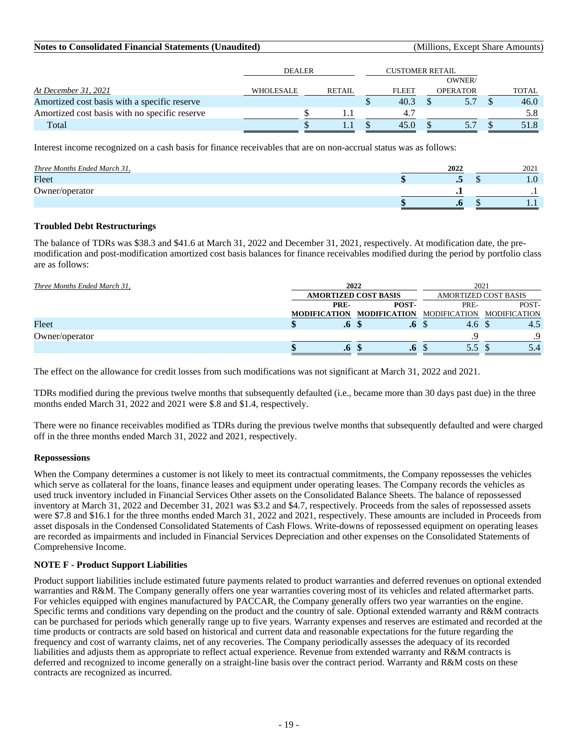| <b>Notes to Consolidated Financial Statements (Unaudited)</b> | (Millions, Except Share Amounts) |  |
|---------------------------------------------------------------|----------------------------------|--|
|                                                               |                                  |  |

|                                               | <b>DEALER</b>    |  |               |  | <b>CUSTOMER RETAIL</b> |                 |              |
|-----------------------------------------------|------------------|--|---------------|--|------------------------|-----------------|--------------|
|                                               |                  |  |               |  |                        | OWNER/          |              |
| At December 31, 2021                          | <b>WHOLESALE</b> |  | <b>RETAIL</b> |  | <b>FLEET</b>           | <b>OPERATOR</b> | <b>TOTAL</b> |
| Amortized cost basis with a specific reserve  |                  |  |               |  | 40.3                   | 5.7             | 46.0         |
| Amortized cost basis with no specific reserve |                  |  |               |  | 4.7                    |                 | 5.8          |
| Total                                         |                  |  |               |  | 45.0                   |                 | 51.8         |

Interest income recognized on a cash basis for finance receivables that are on non-accrual status was as follows:

| Three Months Ended March 31, | 2022                     | 202 |
|------------------------------|--------------------------|-----|
| Fleet                        | $\overline{\phantom{a}}$ |     |
| Owner/operator               | . .                      |     |
|                              | ۰u                       |     |

# **Troubled Debt Restructurings**

The balance of TDRs was \$38.3 and \$41.6 at March 31, 2022 and December 31, 2021, respectively. At modification date, the premodification and post-modification amortized cost basis balances for finance receivables modified during the period by portfolio class are as follows:

| Three Months Ended March 31, |                     | 2022                        |        | 2021                        |  |  |
|------------------------------|---------------------|-----------------------------|--------|-----------------------------|--|--|
|                              |                     | <b>AMORTIZED COST BASIS</b> |        | <b>AMORTIZED COST BASIS</b> |  |  |
|                              | PRE-                | POST-                       | PRE-   | POST-                       |  |  |
|                              | <b>MODIFICATION</b> | <b>MODIFICATION</b>         |        | MODIFICATION MODIFICATION   |  |  |
| Fleet                        | $\cdot 0$<br>Φ      | $\cdot$ o                   | 4.6 \$ | 4.5                         |  |  |
| Owner/operator               |                     |                             |        | q                           |  |  |
|                              | $\cdot$ o           | $\cdot$ 0                   | 5.5    | 5.4                         |  |  |

The effect on the allowance for credit losses from such modifications was not significant at March 31, 2022 and 2021.

TDRs modified during the previous twelve months that subsequently defaulted (i.e., became more than 30 days past due) in the three months ended March 31, 2022 and 2021 were \$.8 and \$1.4, respectively.

There were no finance receivables modified as TDRs during the previous twelve months that subsequently defaulted and were charged off in the three months ended March 31, 2022 and 2021, respectively.

# **Repossessions**

When the Company determines a customer is not likely to meet its contractual commitments, the Company repossesses the vehicles which serve as collateral for the loans, finance leases and equipment under operating leases. The Company records the vehicles as used truck inventory included in Financial Services Other assets on the Consolidated Balance Sheets. The balance of repossessed inventory at March 31, 2022 and December 31, 2021 was \$3.2 and \$4.7, respectively. Proceeds from the sales of repossessed assets were \$7.8 and \$16.1 for the three months ended March 31, 2022 and 2021, respectively. These amounts are included in Proceeds from asset disposals in the Condensed Consolidated Statements of Cash Flows. Write-downs of repossessed equipment on operating leases are recorded as impairments and included in Financial Services Depreciation and other expenses on the Consolidated Statements of Comprehensive Income.

# **NOTE F - Product Support Liabilities**

Product support liabilities include estimated future payments related to product warranties and deferred revenues on optional extended warranties and R&M. The Company generally offers one year warranties covering most of its vehicles and related aftermarket parts. For vehicles equipped with engines manufactured by PACCAR, the Company generally offers two year warranties on the engine. Specific terms and conditions vary depending on the product and the country of sale. Optional extended warranty and R&M contracts can be purchased for periods which generally range up to five years. Warranty expenses and reserves are estimated and recorded at the time products or contracts are sold based on historical and current data and reasonable expectations for the future regarding the frequency and cost of warranty claims, net of any recoveries. The Company periodically assesses the adequacy of its recorded liabilities and adjusts them as appropriate to reflect actual experience. Revenue from extended warranty and R&M contracts is deferred and recognized to income generally on a straight-line basis over the contract period. Warranty and R&M costs on these contracts are recognized as incurred.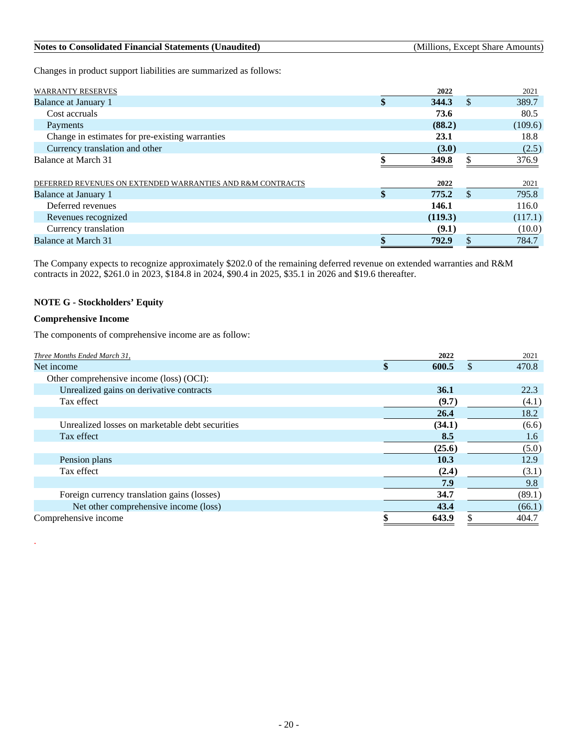| <b>Notes to Consolidated Financial Statements (Unaudited)</b> | (Millions, Except Share Amounts) |
|---------------------------------------------------------------|----------------------------------|
|---------------------------------------------------------------|----------------------------------|

Changes in product support liabilities are summarized as follows:

| <b>WARRANTY RESERVES</b>                                   | 2022    |               | 2021    |
|------------------------------------------------------------|---------|---------------|---------|
| Balance at January 1                                       | 344.3   | $\mathcal{S}$ | 389.7   |
| Cost accruals                                              | 73.6    |               | 80.5    |
| Payments                                                   | (88.2)  |               | (109.6) |
| Change in estimates for pre-existing warranties            | 23.1    |               | 18.8    |
| Currency translation and other                             | (3.0)   |               | (2.5)   |
| Balance at March 31                                        | 349.8   |               | 376.9   |
| DEFERRED REVENUES ON EXTENDED WARRANTIES AND R&M CONTRACTS | 2022    |               | 2021    |
| Balance at January 1                                       | 775.2   | $\mathcal{S}$ | 795.8   |
| Deferred revenues                                          | 146.1   |               | 116.0   |
| Revenues recognized                                        | (119.3) |               | (117.1) |
| Currency translation                                       | (9.1)   |               | (10.0)  |
| <b>Balance at March 31</b>                                 | 792.9   |               | 784.7   |

The Company expects to recognize approximately \$202.0 of the remaining deferred revenue on extended warranties and R&M contracts in 2022, \$261.0 in 2023, \$184.8 in 2024, \$90.4 in 2025, \$35.1 in 2026 and \$19.6 thereafter.

# **NOTE G - Stockholders' Equity**

#### **Comprehensive Income**

.

The components of comprehensive income are as follow:

| Three Months Ended March 31,                    | 2022        | 2021        |
|-------------------------------------------------|-------------|-------------|
| Net income                                      | \$<br>600.5 | \$<br>470.8 |
| Other comprehensive income (loss) (OCI):        |             |             |
| Unrealized gains on derivative contracts        | 36.1        | 22.3        |
| Tax effect                                      | (9.7)       | (4.1)       |
|                                                 | 26.4        | 18.2        |
| Unrealized losses on marketable debt securities | (34.1)      | (6.6)       |
| Tax effect                                      | 8.5         | 1.6         |
|                                                 | (25.6)      | (5.0)       |
| Pension plans                                   | 10.3        | 12.9        |
| Tax effect                                      | (2.4)       | (3.1)       |
|                                                 | 7.9         | 9.8         |
| Foreign currency translation gains (losses)     | 34.7        | (89.1)      |
| Net other comprehensive income (loss)           | 43.4        | (66.1)      |
| Comprehensive income                            | 643.9       | 404.7       |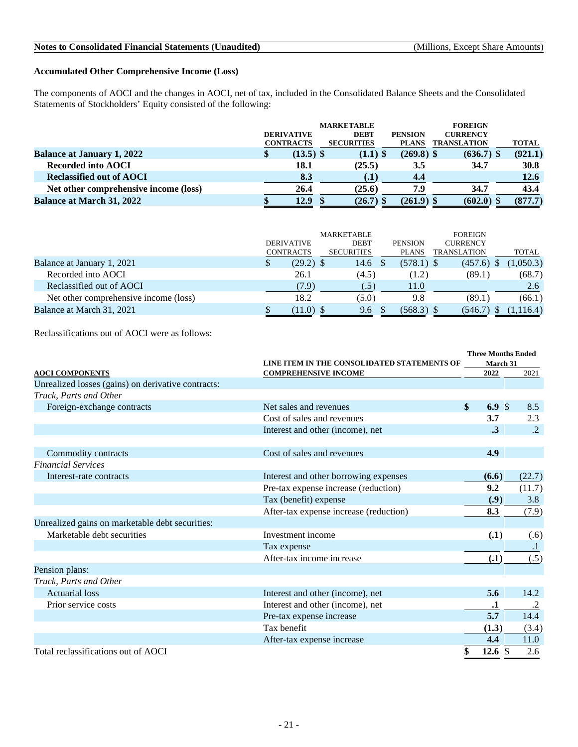# **Accumulated Other Comprehensive Income (Loss)**

The components of AOCI and the changes in AOCI, net of tax, included in the Consolidated Balance Sheets and the Consolidated Statements of Stockholders' Equity consisted of the following:

|                                       | <b>DERIVATIVE</b><br><b>CONTRACTS</b> | <b>MARKETABLE</b><br><b>DEBT</b><br><b>SECURITIES</b> | <b>PENSION</b><br><b>PLANS</b> | <b>FOREIGN</b><br><b>CURRENCY</b><br><b>TRANSLATION</b> | <b>TOTAL</b> |
|---------------------------------------|---------------------------------------|-------------------------------------------------------|--------------------------------|---------------------------------------------------------|--------------|
| <b>Balance at January 1, 2022</b>     | $(13.5)$ \$<br>\$                     | $(1.1)$ \$                                            | $(269.8)$ \$                   | $(636.7)$ \$                                            | (921.1)      |
| Recorded into AOCI                    | 18.1                                  | (25.5)                                                | 3.5                            | 34.7                                                    | 30.8         |
| <b>Reclassified out of AOCI</b>       | 8.3                                   | (.1)                                                  | 4.4                            |                                                         | <b>12.6</b>  |
| Net other comprehensive income (loss) | 26.4                                  | (25.6)                                                | 7.9                            | 34.7                                                    | 43.4         |
| <b>Balance at March 31, 2022</b>      | 12.9                                  | (26.7)                                                | $(261.9)$ \$                   | $(602.0)$ \$                                            | (877.7)      |

|                                       | <b>DERIVATIVE</b><br><b>CONTRACTS</b> |             | MARKETABLE<br><b>DEBT</b><br><b>SECURITIES</b> |       | <b>PENSION</b><br><b>PLANS</b> | <b>FOREIGN</b><br><b>CURRENCY</b><br><b>TRANSLATION</b> | TOTAL     |
|---------------------------------------|---------------------------------------|-------------|------------------------------------------------|-------|--------------------------------|---------------------------------------------------------|-----------|
| Balance at January 1, 2021            | \$                                    | $(29.2)$ \$ |                                                | 14.6  | $(578.1)$ \$                   | $(457.6)$ \$                                            | (1,050.3) |
| Recorded into AOCI                    |                                       | 26.1        |                                                | (4.5) | (1.2)                          | (89.1)                                                  | (68.7)    |
| Reclassified out of AOCI              |                                       | (7.9)       |                                                | (.5)  | 11.0                           |                                                         | 2.6       |
| Net other comprehensive income (loss) |                                       | 18.2        |                                                | (5.0) | 9.8                            | (89.1)                                                  | (66.1)    |
| Balance at March 31, 2021             |                                       | $(11.0)$ \$ |                                                | 9.6   | $(568.3)$ \$                   | (546.7)                                                 | 16.4)     |

Reclassifications out of AOCI were as follows:

|                                                       |                                             |    |                | <b>Three Months Ended</b> |  |
|-------------------------------------------------------|---------------------------------------------|----|----------------|---------------------------|--|
|                                                       | LINE ITEM IN THE CONSOLIDATED STATEMENTS OF |    | March 31       |                           |  |
| <b>AOCI COMPONENTS</b><br><b>COMPREHENSIVE INCOME</b> |                                             |    | 2022           | 2021                      |  |
| Unrealized losses (gains) on derivative contracts:    |                                             |    |                |                           |  |
| Truck, Parts and Other                                |                                             |    |                |                           |  |
| Foreign-exchange contracts                            | Net sales and revenues                      | \$ | 6.9 $\sqrt{3}$ | 8.5                       |  |
|                                                       | Cost of sales and revenues                  |    | 3.7            | 2.3                       |  |
|                                                       | Interest and other (income), net            |    | $\mathbf{.3}$  | $\cdot$ 2                 |  |
| Commodity contracts                                   | Cost of sales and revenues                  |    | 4.9            |                           |  |
| <b>Financial Services</b>                             |                                             |    |                |                           |  |
| Interest-rate contracts                               | Interest and other borrowing expenses       |    | (6.6)          | (22.7)                    |  |
|                                                       | Pre-tax expense increase (reduction)        |    | 9.2            | (11.7)                    |  |
|                                                       | Tax (benefit) expense                       |    | (0.9)          | 3.8                       |  |
|                                                       | After-tax expense increase (reduction)      |    | 8.3            | (7.9)                     |  |
| Unrealized gains on marketable debt securities:       |                                             |    |                |                           |  |
| Marketable debt securities                            | Investment income                           |    | (.1)           | (.6)                      |  |
|                                                       | Tax expense                                 |    |                | $\cdot$                   |  |
|                                                       | After-tax income increase                   |    | (.1)           | (.5)                      |  |
| Pension plans:                                        |                                             |    |                |                           |  |
| Truck, Parts and Other                                |                                             |    |                |                           |  |
| <b>Actuarial loss</b>                                 | Interest and other (income), net            |    | 5.6            | 14.2                      |  |
| Prior service costs                                   | Interest and other (income), net            |    | $\cdot$        | .2                        |  |
|                                                       | Pre-tax expense increase                    |    | 5.7            | 14.4                      |  |
|                                                       | Tax benefit                                 |    | (1.3)          | (3.4)                     |  |
|                                                       | After-tax expense increase                  |    | 4,4            | 11.0                      |  |
| Total reclassifications out of AOCI                   |                                             | \$ | 12.6 $$$       | 2.6                       |  |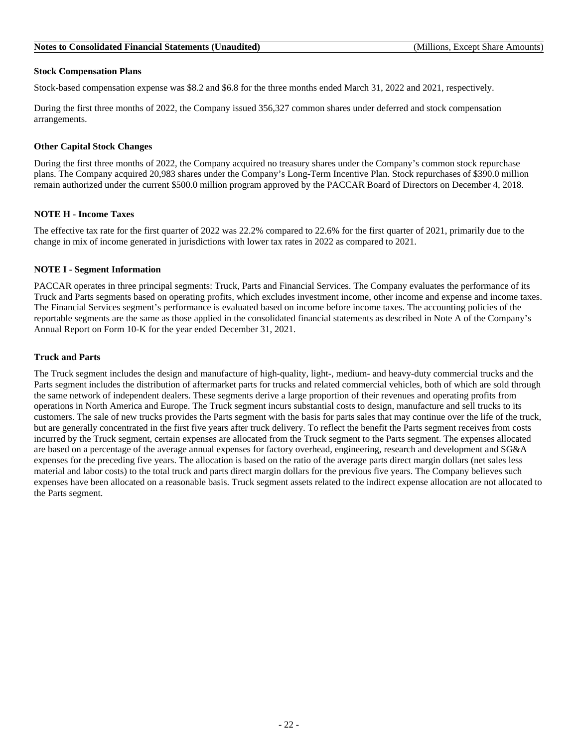#### **Stock Compensation Plans**

Stock-based compensation expense was \$8.2 and \$6.8 for the three months ended March 31, 2022 and 2021, respectively.

During the first three months of 2022, the Company issued 356,327 common shares under deferred and stock compensation arrangements.

#### **Other Capital Stock Changes**

During the first three months of 2022, the Company acquired no treasury shares under the Company's common stock repurchase plans. The Company acquired 20,983 shares under the Company's Long-Term Incentive Plan. Stock repurchases of \$390.0 million remain authorized under the current \$500.0 million program approved by the PACCAR Board of Directors on December 4, 2018.

#### **NOTE H - Income Taxes**

The effective tax rate for the first quarter of 2022 was 22.2% compared to 22.6% for the first quarter of 2021, primarily due to the change in mix of income generated in jurisdictions with lower tax rates in 2022 as compared to 2021.

#### **NOTE I - Segment Information**

PACCAR operates in three principal segments: Truck, Parts and Financial Services. The Company evaluates the performance of its Truck and Parts segments based on operating profits, which excludes investment income, other income and expense and income taxes. The Financial Services segment's performance is evaluated based on income before income taxes. The accounting policies of the reportable segments are the same as those applied in the consolidated financial statements as described in Note A of the Company's Annual Report on Form 10-K for the year ended December 31, 2021.

#### **Truck and Parts**

The Truck segment includes the design and manufacture of high-quality, light-, medium- and heavy-duty commercial trucks and the Parts segment includes the distribution of aftermarket parts for trucks and related commercial vehicles, both of which are sold through the same network of independent dealers. These segments derive a large proportion of their revenues and operating profits from operations in North America and Europe. The Truck segment incurs substantial costs to design, manufacture and sell trucks to its customers. The sale of new trucks provides the Parts segment with the basis for parts sales that may continue over the life of the truck, but are generally concentrated in the first five years after truck delivery. To reflect the benefit the Parts segment receives from costs incurred by the Truck segment, certain expenses are allocated from the Truck segment to the Parts segment. The expenses allocated are based on a percentage of the average annual expenses for factory overhead, engineering, research and development and SG&A expenses for the preceding five years. The allocation is based on the ratio of the average parts direct margin dollars (net sales less material and labor costs) to the total truck and parts direct margin dollars for the previous five years. The Company believes such expenses have been allocated on a reasonable basis. Truck segment assets related to the indirect expense allocation are not allocated to the Parts segment.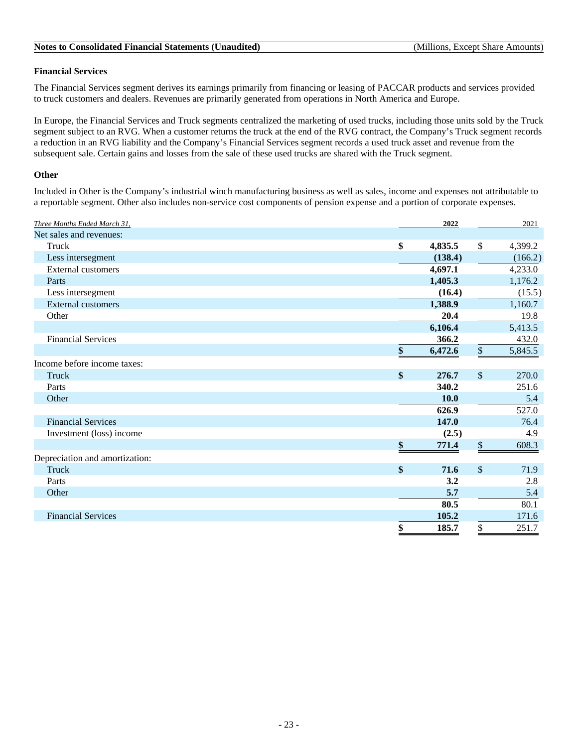### **Financial Services**

The Financial Services segment derives its earnings primarily from financing or leasing of PACCAR products and services provided to truck customers and dealers. Revenues are primarily generated from operations in North America and Europe.

In Europe, the Financial Services and Truck segments centralized the marketing of used trucks, including those units sold by the Truck segment subject to an RVG. When a customer returns the truck at the end of the RVG contract, the Company's Truck segment records a reduction in an RVG liability and the Company's Financial Services segment records a used truck asset and revenue from the subsequent sale. Certain gains and losses from the sale of these used trucks are shared with the Truck segment.

#### **Other**

Included in Other is the Company's industrial winch manufacturing business as well as sales, income and expenses not attributable to a reportable segment. Other also includes non-service cost components of pension expense and a portion of corporate expenses.

| 2022          |                  | 2021         |
|---------------|------------------|--------------|
|               |                  |              |
| \$<br>4,835.5 |                  | 4,399.2      |
| (138.4)       |                  | (166.2)      |
| 4,697.1       |                  | 4,233.0      |
| 1,405.3       |                  | 1,176.2      |
| (16.4)        |                  | (15.5)       |
| 1,388.9       |                  | 1,160.7      |
| 20.4          |                  | 19.8         |
| 6,106.4       |                  | 5,413.5      |
| 366.2         |                  | 432.0        |
| \$<br>6,472.6 | $\underline{\$}$ | 5,845.5      |
|               |                  |              |
| \$<br>276.7   | $\mathcal{S}$    | 270.0        |
| 340.2         |                  | 251.6        |
| <b>10.0</b>   |                  | 5.4          |
| 626.9         |                  | 527.0        |
| 147.0         |                  | 76.4         |
| (2.5)         |                  | 4.9          |
| \$<br>771.4   | $\mathbb{S}$     | 608.3        |
|               |                  |              |
| \$<br>71.6    | $\mathcal{S}$    | 71.9         |
| 3.2           |                  | 2.8          |
| 5.7           |                  | 5.4          |
| 80.5          |                  | 80.1         |
| 105.2         |                  | 171.6        |
| \$<br>185.7   | \$               | 251.7        |
|               |                  | $\mathbb{S}$ |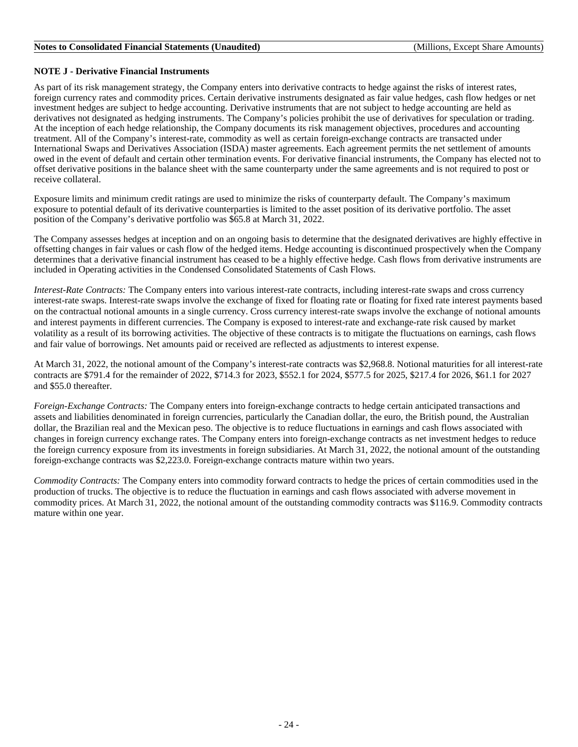#### **NOTE J - Derivative Financial Instruments**

As part of its risk management strategy, the Company enters into derivative contracts to hedge against the risks of interest rates, foreign currency rates and commodity prices. Certain derivative instruments designated as fair value hedges, cash flow hedges or net investment hedges are subject to hedge accounting. Derivative instruments that are not subject to hedge accounting are held as derivatives not designated as hedging instruments. The Company's policies prohibit the use of derivatives for speculation or trading. At the inception of each hedge relationship, the Company documents its risk management objectives, procedures and accounting treatment. All of the Company's interest-rate, commodity as well as certain foreign-exchange contracts are transacted under International Swaps and Derivatives Association (ISDA) master agreements. Each agreement permits the net settlement of amounts owed in the event of default and certain other termination events. For derivative financial instruments, the Company has elected not to offset derivative positions in the balance sheet with the same counterparty under the same agreements and is not required to post or receive collateral.

Exposure limits and minimum credit ratings are used to minimize the risks of counterparty default. The Company's maximum exposure to potential default of its derivative counterparties is limited to the asset position of its derivative portfolio. The asset position of the Company's derivative portfolio was \$65.8 at March 31, 2022.

The Company assesses hedges at inception and on an ongoing basis to determine that the designated derivatives are highly effective in offsetting changes in fair values or cash flow of the hedged items. Hedge accounting is discontinued prospectively when the Company determines that a derivative financial instrument has ceased to be a highly effective hedge. Cash flows from derivative instruments are included in Operating activities in the Condensed Consolidated Statements of Cash Flows.

*Interest-Rate Contracts:* The Company enters into various interest-rate contracts, including interest-rate swaps and cross currency interest-rate swaps. Interest-rate swaps involve the exchange of fixed for floating rate or floating for fixed rate interest payments based on the contractual notional amounts in a single currency. Cross currency interest-rate swaps involve the exchange of notional amounts and interest payments in different currencies. The Company is exposed to interest-rate and exchange-rate risk caused by market volatility as a result of its borrowing activities. The objective of these contracts is to mitigate the fluctuations on earnings, cash flows and fair value of borrowings. Net amounts paid or received are reflected as adjustments to interest expense.

At March 31, 2022, the notional amount of the Company's interest-rate contracts was \$2,968.8. Notional maturities for all interest-rate contracts are \$791.4 for the remainder of 2022, \$714.3 for 2023, \$552.1 for 2024, \$577.5 for 2025, \$217.4 for 2026, \$61.1 for 2027 and \$55.0 thereafter.

*Foreign-Exchange Contracts:* The Company enters into foreign-exchange contracts to hedge certain anticipated transactions and assets and liabilities denominated in foreign currencies, particularly the Canadian dollar, the euro, the British pound, the Australian dollar, the Brazilian real and the Mexican peso. The objective is to reduce fluctuations in earnings and cash flows associated with changes in foreign currency exchange rates. The Company enters into foreign-exchange contracts as net investment hedges to reduce the foreign currency exposure from its investments in foreign subsidiaries. At March 31, 2022, the notional amount of the outstanding foreign-exchange contracts was \$2,223.0. Foreign-exchange contracts mature within two years.

*Commodity Contracts:* The Company enters into commodity forward contracts to hedge the prices of certain commodities used in the production of trucks. The objective is to reduce the fluctuation in earnings and cash flows associated with adverse movement in commodity prices. At March 31, 2022, the notional amount of the outstanding commodity contracts was \$116.9. Commodity contracts mature within one year.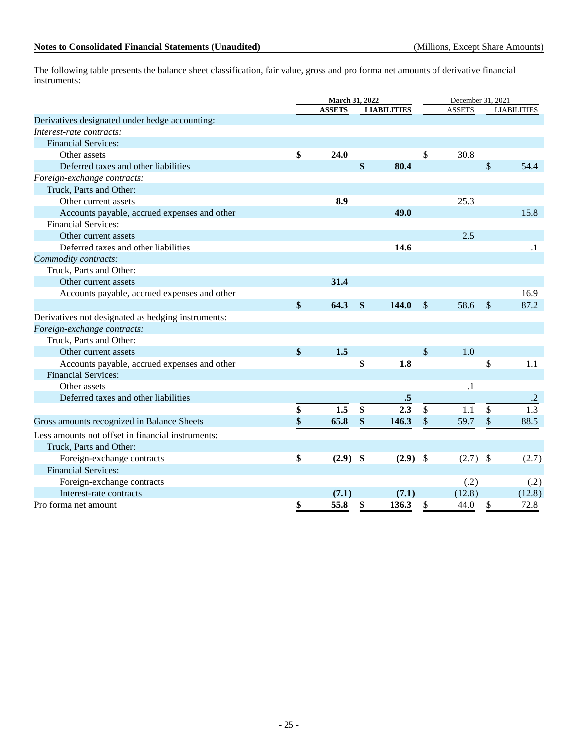The following table presents the balance sheet classification, fair value, gross and pro forma net amounts of derivative financial instruments:

|                                                    |                 | <b>March 31, 2022</b> |    |                    |       | December 31, 2021 |               |                    |
|----------------------------------------------------|-----------------|-----------------------|----|--------------------|-------|-------------------|---------------|--------------------|
|                                                    |                 | <b>ASSETS</b>         |    | <b>LIABILITIES</b> |       | <b>ASSETS</b>     |               | <b>LIABILITIES</b> |
| Derivatives designated under hedge accounting:     |                 |                       |    |                    |       |                   |               |                    |
| Interest-rate contracts:                           |                 |                       |    |                    |       |                   |               |                    |
| <b>Financial Services:</b>                         |                 |                       |    |                    |       |                   |               |                    |
| Other assets                                       | \$              | 24.0                  |    |                    | \$    | 30.8              |               |                    |
| Deferred taxes and other liabilities               |                 |                       | \$ | 80.4               |       |                   | $\mathbb{S}$  | 54.4               |
| Foreign-exchange contracts:                        |                 |                       |    |                    |       |                   |               |                    |
| Truck, Parts and Other:                            |                 |                       |    |                    |       |                   |               |                    |
| Other current assets                               |                 | 8.9                   |    |                    |       | 25.3              |               |                    |
| Accounts payable, accrued expenses and other       |                 |                       |    | 49.0               |       |                   |               | 15.8               |
| <b>Financial Services:</b>                         |                 |                       |    |                    |       |                   |               |                    |
| Other current assets                               |                 |                       |    |                    |       | 2.5               |               |                    |
| Deferred taxes and other liabilities               |                 |                       |    | 14.6               |       |                   |               | $\cdot$ 1          |
| Commodity contracts:                               |                 |                       |    |                    |       |                   |               |                    |
| Truck, Parts and Other:                            |                 |                       |    |                    |       |                   |               |                    |
| Other current assets                               |                 | 31.4                  |    |                    |       |                   |               |                    |
| Accounts payable, accrued expenses and other       |                 |                       |    |                    |       |                   |               | 16.9               |
|                                                    | \$              | 64.3                  | \$ | 144.0              | $\$\$ | 58.6              | $\frac{1}{2}$ | 87.2               |
| Derivatives not designated as hedging instruments: |                 |                       |    |                    |       |                   |               |                    |
| Foreign-exchange contracts:                        |                 |                       |    |                    |       |                   |               |                    |
| Truck, Parts and Other:                            |                 |                       |    |                    |       |                   |               |                    |
| Other current assets                               | \$              | 1.5                   |    |                    | \$    | 1.0               |               |                    |
| Accounts payable, accrued expenses and other       |                 |                       | \$ | 1.8                |       |                   | \$            | 1.1                |
| <b>Financial Services:</b>                         |                 |                       |    |                    |       |                   |               |                    |
| Other assets                                       |                 |                       |    |                    |       | $\cdot$           |               |                    |
| Deferred taxes and other liabilities               |                 |                       |    | .5                 |       |                   |               | $\cdot$ .2         |
|                                                    | $\frac{\$}{}$   | 1.5                   | \$ | 2.3                | \$    | 1.1               | \$            | 1.3                |
| Gross amounts recognized in Balance Sheets         | $\overline{\$}$ | 65.8                  | \$ | 146.3              | \$    | 59.7              | \$            | 88.5               |
| Less amounts not offset in financial instruments:  |                 |                       |    |                    |       |                   |               |                    |
| Truck, Parts and Other:                            |                 |                       |    |                    |       |                   |               |                    |
| Foreign-exchange contracts                         | \$              | $(2.9)$ \$            |    | $(2.9)$ \$         |       | $(2.7)$ \$        |               | (2.7)              |
| <b>Financial Services:</b>                         |                 |                       |    |                    |       |                   |               |                    |
| Foreign-exchange contracts                         |                 |                       |    |                    |       | (.2)              |               | (.2)               |
| Interest-rate contracts                            |                 | (7.1)                 |    | (7.1)              |       | (12.8)            |               | (12.8)             |
| Pro forma net amount                               | \$              | 55.8                  | \$ | 136.3              | \$    | 44.0              | \$            | 72.8               |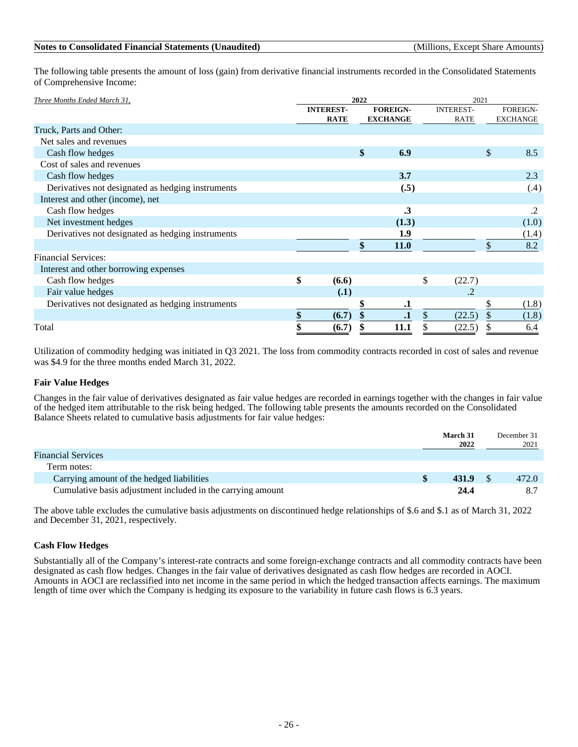The following table presents the amount of loss (gain) from derivative financial instruments recorded in the Consolidated Statements of Comprehensive Income:

| Three Months Ended March 31,                      |                  |    | 2021            |                  |     |                 |
|---------------------------------------------------|------------------|----|-----------------|------------------|-----|-----------------|
|                                                   | <b>INTEREST-</b> |    | <b>FOREIGN-</b> | <b>INTEREST-</b> |     | <b>FOREIGN-</b> |
|                                                   | <b>RATE</b>      |    | <b>EXCHANGE</b> | <b>RATE</b>      |     | <b>EXCHANGE</b> |
| Truck, Parts and Other:                           |                  |    |                 |                  |     |                 |
| Net sales and revenues                            |                  |    |                 |                  |     |                 |
| Cash flow hedges                                  |                  | \$ | 6.9             |                  | \$  | 8.5             |
| Cost of sales and revenues                        |                  |    |                 |                  |     |                 |
| Cash flow hedges                                  |                  |    | 3.7             |                  |     | 2.3             |
| Derivatives not designated as hedging instruments |                  |    | (.5)            |                  |     | (.4)            |
| Interest and other (income), net                  |                  |    |                 |                  |     |                 |
| Cash flow hedges                                  |                  |    | $\cdot$ 3       |                  |     | $\cdot$         |
| Net investment hedges                             |                  |    | (1.3)           |                  |     | (1.0)           |
| Derivatives not designated as hedging instruments |                  |    | 1.9             |                  |     | (1.4)           |
|                                                   |                  | \$ | 11.0            |                  | \$  | 8.2             |
| <b>Financial Services:</b>                        |                  |    |                 |                  |     |                 |
| Interest and other borrowing expenses             |                  |    |                 |                  |     |                 |
| Cash flow hedges                                  | \$<br>(6.6)      |    |                 | \$<br>(22.7)     |     |                 |
| Fair value hedges                                 | (.1)             |    |                 | $\cdot$          |     |                 |
| Derivatives not designated as hedging instruments |                  | \$ | $\mathbf{.1}$   |                  |     | (1.8)           |
|                                                   | \$<br>(6.7)      | \$ | $\cdot$ 1       | \$<br>(22.5)     | \$. | (1.8)           |
| Total                                             | (6.7)            |    | 11.1            | (22.5)           |     | 6.4             |

Utilization of commodity hedging was initiated in Q3 2021. The loss from commodity contracts recorded in cost of sales and revenue was \$4.9 for the three months ended March 31, 2022.

#### **Fair Value Hedges**

Changes in the fair value of derivatives designated as fair value hedges are recorded in earnings together with the changes in fair value of the hedged item attributable to the risk being hedged. The following table presents the amounts recorded on the Consolidated Balance Sheets related to cumulative basis adjustments for fair value hedges:

| <b>Financial Services</b>                                   | March 31<br>2022 | December 31<br>2021 |
|-------------------------------------------------------------|------------------|---------------------|
|                                                             |                  |                     |
| Term notes:                                                 |                  |                     |
| Carrying amount of the hedged liabilities                   | 431.9            | 472.0               |
| Cumulative basis adjustment included in the carrying amount | 24.4             |                     |

The above table excludes the cumulative basis adjustments on discontinued hedge relationships of \$.6 and \$.1 as of March 31, 2022 and December 31, 2021, respectively.

#### **Cash Flow Hedges**

Substantially all of the Company's interest-rate contracts and some foreign-exchange contracts and all commodity contracts have been designated as cash flow hedges. Changes in the fair value of derivatives designated as cash flow hedges are recorded in AOCI. Amounts in AOCI are reclassified into net income in the same period in which the hedged transaction affects earnings. The maximum length of time over which the Company is hedging its exposure to the variability in future cash flows is 6.3 years.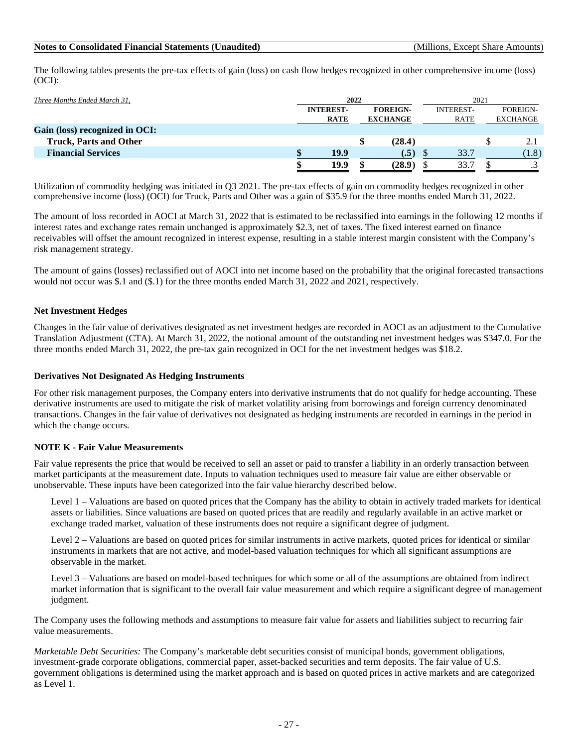The following tables presents the pre-tax effects of gain (loss) on cash flow hedges recognized in other comprehensive income (loss) (OCI):

| Three Months Ended March 31,   | 2022 |                                |                 |        |  |      | 2021 |             |  |                  |  |                 |
|--------------------------------|------|--------------------------------|-----------------|--------|--|------|------|-------------|--|------------------|--|-----------------|
|                                |      | <b>INTEREST-</b>               | <b>FOREIGN-</b> |        |  |      |      |             |  | <b>INTEREST-</b> |  | <b>FOREIGN-</b> |
|                                |      | <b>EXCHANGE</b><br><b>RATE</b> |                 |        |  |      |      | <b>RATE</b> |  | EXCHANGE         |  |                 |
| Gain (loss) recognized in OCI: |      |                                |                 |        |  |      |      |             |  |                  |  |                 |
| <b>Truck, Parts and Other</b>  |      |                                | \$              | (28.4) |  |      |      | 2.1         |  |                  |  |                 |
| <b>Financial Services</b>      |      | <b>19.9</b>                    |                 | (.5)   |  | 33.7 |      | (1.8)       |  |                  |  |                 |
|                                |      | 19.9                           |                 | (28.9) |  | 33.7 |      |             |  |                  |  |                 |

Utilization of commodity hedging was initiated in Q3 2021. The pre-tax effects of gain on commodity hedges recognized in other comprehensive income (loss) (OCI) for Truck, Parts and Other was a gain of \$35.9 for the three months ended March 31, 2022.

The amount of loss recorded in AOCI at March 31, 2022 that is estimated to be reclassified into earnings in the following 12 months if interest rates and exchange rates remain unchanged is approximately \$2.3, net of taxes. The fixed interest earned on finance receivables will offset the amount recognized in interest expense, resulting in a stable interest margin consistent with the Company's risk management strategy.

The amount of gains (losses) reclassified out of AOCI into net income based on the probability that the original forecasted transactions would not occur was \$.1 and (\$.1) for the three months ended March 31, 2022 and 2021, respectively.

#### **Net Investment Hedges**

Changes in the fair value of derivatives designated as net investment hedges are recorded in AOCI as an adjustment to the Cumulative Translation Adjustment (CTA). At March 31, 2022, the notional amount of the outstanding net investment hedges was \$347.0. For the three months ended March 31, 2022, the pre-tax gain recognized in OCI for the net investment hedges was \$18.2.

#### **Derivatives Not Designated As Hedging Instruments**

For other risk management purposes, the Company enters into derivative instruments that do not qualify for hedge accounting. These derivative instruments are used to mitigate the risk of market volatility arising from borrowings and foreign currency denominated transactions. Changes in the fair value of derivatives not designated as hedging instruments are recorded in earnings in the period in which the change occurs.

#### **NOTE K - Fair Value Measurements**

Fair value represents the price that would be received to sell an asset or paid to transfer a liability in an orderly transaction between market participants at the measurement date. Inputs to valuation techniques used to measure fair value are either observable or unobservable. These inputs have been categorized into the fair value hierarchy described below.

Level 1 – Valuations are based on quoted prices that the Company has the ability to obtain in actively traded markets for identical assets or liabilities. Since valuations are based on quoted prices that are readily and regularly available in an active market or exchange traded market, valuation of these instruments does not require a significant degree of judgment.

Level 2 – Valuations are based on quoted prices for similar instruments in active markets, quoted prices for identical or similar instruments in markets that are not active, and model-based valuation techniques for which all significant assumptions are observable in the market.

Level 3 – Valuations are based on model-based techniques for which some or all of the assumptions are obtained from indirect market information that is significant to the overall fair value measurement and which require a significant degree of management judgment.

The Company uses the following methods and assumptions to measure fair value for assets and liabilities subject to recurring fair value measurements.

*Marketable Debt Securities:* The Company's marketable debt securities consist of municipal bonds, government obligations, investment-grade corporate obligations, commercial paper, asset-backed securities and term deposits. The fair value of U.S. government obligations is determined using the market approach and is based on quoted prices in active markets and are categorized as Level 1.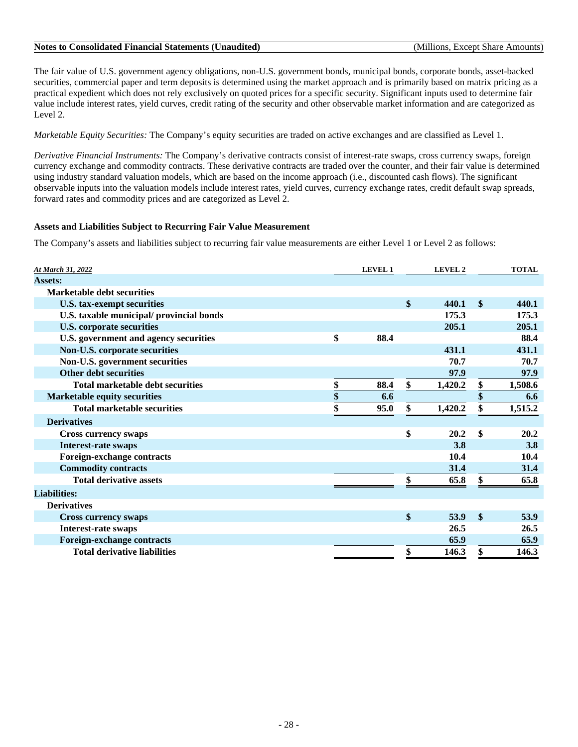The fair value of U.S. government agency obligations, non-U.S. government bonds, municipal bonds, corporate bonds, asset-backed securities, commercial paper and term deposits is determined using the market approach and is primarily based on matrix pricing as a practical expedient which does not rely exclusively on quoted prices for a specific security. Significant inputs used to determine fair value include interest rates, yield curves, credit rating of the security and other observable market information and are categorized as Level 2.

*Marketable Equity Securities:* The Company's equity securities are traded on active exchanges and are classified as Level 1.

*Derivative Financial Instruments:* The Company's derivative contracts consist of interest-rate swaps, cross currency swaps, foreign currency exchange and commodity contracts. These derivative contracts are traded over the counter, and their fair value is determined using industry standard valuation models, which are based on the income approach (i.e., discounted cash flows). The significant observable inputs into the valuation models include interest rates, yield curves, currency exchange rates, credit default swap spreads, forward rates and commodity prices and are categorized as Level 2.

#### **Assets and Liabilities Subject to Recurring Fair Value Measurement**

The Company's assets and liabilities subject to recurring fair value measurements are either Level 1 or Level 2 as follows:

| At March 31, 2022                        | <b>LEVEL 1</b> | <b>LEVEL 2</b> | <b>TOTAL</b>  |
|------------------------------------------|----------------|----------------|---------------|
| <b>Assets:</b>                           |                |                |               |
| <b>Marketable debt securities</b>        |                |                |               |
| <b>U.S. tax-exempt securities</b>        |                | \$<br>440.1    | \$<br>440.1   |
| U.S. taxable municipal/ provincial bonds |                | 175.3          | 175.3         |
| <b>U.S. corporate securities</b>         |                | 205.1          | 205.1         |
| U.S. government and agency securities    | \$<br>88.4     |                | 88.4          |
| Non-U.S. corporate securities            |                | 431.1          | 431.1         |
| Non-U.S. government securities           |                | 70.7           | 70.7          |
| <b>Other debt securities</b>             |                | 97.9           | 97.9          |
| <b>Total marketable debt securities</b>  | \$<br>88.4     | \$<br>1,420.2  | \$<br>1,508.6 |
| <b>Marketable equity securities</b>      | \$<br>6.6      |                | \$<br>6.6     |
| <b>Total marketable securities</b>       | \$<br>95.0     | \$<br>1,420.2  | \$<br>1,515.2 |
| <b>Derivatives</b>                       |                |                |               |
| <b>Cross currency swaps</b>              |                | \$<br>20.2     | \$<br>20.2    |
| <b>Interest-rate swaps</b>               |                | 3.8            | 3.8           |
| Foreign-exchange contracts               |                | 10.4           | 10.4          |
| <b>Commodity contracts</b>               |                | 31.4           | 31.4          |
| <b>Total derivative assets</b>           |                | 65.8           | \$<br>65.8    |
| <b>Liabilities:</b>                      |                |                |               |
| <b>Derivatives</b>                       |                |                |               |
| <b>Cross currency swaps</b>              |                | \$<br>53.9     | \$<br>53.9    |
| Interest-rate swaps                      |                | 26.5           | 26.5          |
| Foreign-exchange contracts               |                | 65.9           | 65.9          |
| <b>Total derivative liabilities</b>      |                | \$<br>146.3    | \$<br>146.3   |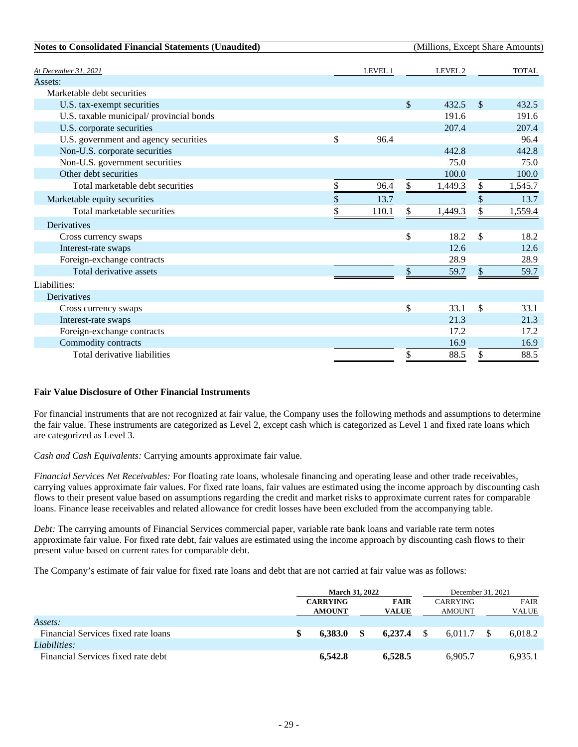| <b>Notes to Consolidated Financial Statements (Unaudited)</b> |             |               |         |               | (Millions, Except Share Amounts) |
|---------------------------------------------------------------|-------------|---------------|---------|---------------|----------------------------------|
|                                                               |             |               |         |               |                                  |
| At December 31, 2021                                          | LEVEL 1     |               | LEVEL 2 |               | <b>TOTAL</b>                     |
| Assets:                                                       |             |               |         |               |                                  |
| Marketable debt securities                                    |             |               |         |               |                                  |
| U.S. tax-exempt securities                                    |             | $\mathcal{S}$ | 432.5   | $\mathcal{S}$ | 432.5                            |
| U.S. taxable municipal/provincial bonds                       |             |               | 191.6   |               | 191.6                            |
| U.S. corporate securities                                     |             |               | 207.4   |               | 207.4                            |
| U.S. government and agency securities                         | \$<br>96.4  |               |         |               | 96.4                             |
| Non-U.S. corporate securities                                 |             |               | 442.8   |               | 442.8                            |
| Non-U.S. government securities                                |             |               | 75.0    |               | 75.0                             |
| Other debt securities                                         |             |               | 100.0   |               | 100.0                            |
| Total marketable debt securities                              | \$<br>96.4  | \$            | 1,449.3 | \$            | 1,545.7                          |
| Marketable equity securities                                  | \$<br>13.7  |               |         | \$            | 13.7                             |
| Total marketable securities                                   | \$<br>110.1 | \$            | 1,449.3 | \$            | 1,559.4                          |
| <b>Derivatives</b>                                            |             |               |         |               |                                  |
| Cross currency swaps                                          |             | \$            | 18.2    | \$            | 18.2                             |
| Interest-rate swaps                                           |             |               | 12.6    |               | 12.6                             |
| Foreign-exchange contracts                                    |             |               | 28.9    |               | 28.9                             |
| Total derivative assets                                       |             | \$            | 59.7    | $\mathbb{S}$  | 59.7                             |
| Liabilities:                                                  |             |               |         |               |                                  |
| Derivatives                                                   |             |               |         |               |                                  |
| Cross currency swaps                                          |             | \$            | 33.1    | \$            | 33.1                             |
| Interest-rate swaps                                           |             |               | 21.3    |               | 21.3                             |
| Foreign-exchange contracts                                    |             |               | 17.2    |               | 17.2                             |
| Commodity contracts                                           |             |               | 16.9    |               | 16.9                             |
| Total derivative liabilities                                  |             | \$            | 88.5    | \$            | 88.5                             |

# **Fair Value Disclosure of Other Financial Instruments**

For financial instruments that are not recognized at fair value, the Company uses the following methods and assumptions to determine the fair value. These instruments are categorized as Level 2, except cash which is categorized as Level 1 and fixed rate loans which are categorized as Level 3.

*Cash and Cash Equivalents:* Carrying amounts approximate fair value.

*Financial Services Net Receivables:* For floating rate loans, wholesale financing and operating lease and other trade receivables, carrying values approximate fair values. For fixed rate loans, fair values are estimated using the income approach by discounting cash flows to their present value based on assumptions regarding the credit and market risks to approximate current rates for comparable loans. Finance lease receivables and related allowance for credit losses have been excluded from the accompanying table.

*Debt:* The carrying amounts of Financial Services commercial paper, variable rate bank loans and variable rate term notes approximate fair value. For fixed rate debt, fair values are estimated using the income approach by discounting cash flows to their present value based on current rates for comparable debt.

The Company's estimate of fair value for fixed rate loans and debt that are not carried at fair value was as follows:

|                                     |                 | <b>March 31, 2022</b> |             |              |  | December 31, 2021 |  |         |  |  |  |  |  |  |  |  |  |  |  |               |              |  |
|-------------------------------------|-----------------|-----------------------|-------------|--------------|--|-------------------|--|---------|--|--|--|--|--|--|--|--|--|--|--|---------------|--------------|--|
|                                     | <b>CARRYING</b> |                       | <b>FAIR</b> |              |  | CARRYING          |  | FAIR    |  |  |  |  |  |  |  |  |  |  |  |               |              |  |
|                                     |                 | <b>AMOUNT</b>         |             | <b>VALUE</b> |  |                   |  |         |  |  |  |  |  |  |  |  |  |  |  | <b>AMOUNT</b> | <b>VALUE</b> |  |
| Assets:                             |                 |                       |             |              |  |                   |  |         |  |  |  |  |  |  |  |  |  |  |  |               |              |  |
| Financial Services fixed rate loans |                 | 6.383.0               | -SS         | 6.237.4      |  | 6.011.7           |  | 6,018.2 |  |  |  |  |  |  |  |  |  |  |  |               |              |  |
| Liabilities:                        |                 |                       |             |              |  |                   |  |         |  |  |  |  |  |  |  |  |  |  |  |               |              |  |
| Financial Services fixed rate debt  |                 | 6.542.8               |             | 6.528.5      |  | 6.905.7           |  | 6,935.1 |  |  |  |  |  |  |  |  |  |  |  |               |              |  |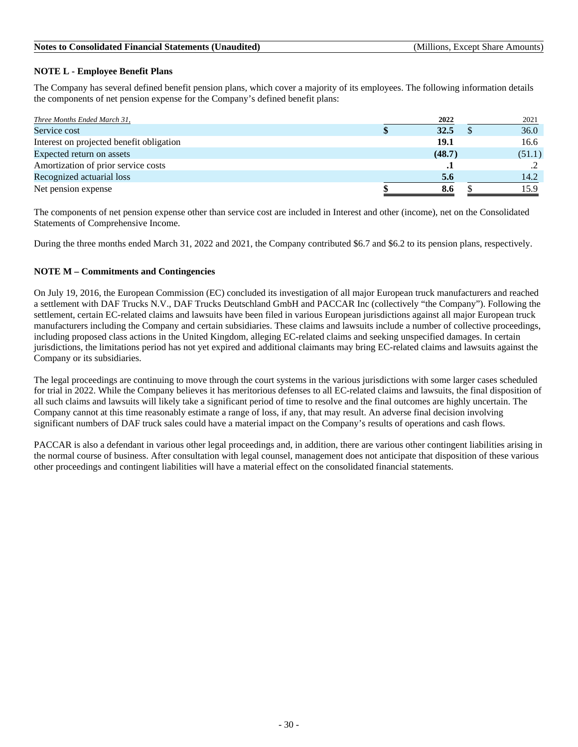#### **NOTE L - Employee Benefit Plans**

The Company has several defined benefit pension plans, which cover a majority of its employees. The following information details the components of net pension expense for the Company's defined benefit plans:

| Three Months Ended March 31,             | 2022        | 2021   |
|------------------------------------------|-------------|--------|
| Service cost                             | 32.5        | 36.0   |
| Interest on projected benefit obligation | <b>19.1</b> | 16.6   |
| Expected return on assets                | (48.7)      | (51.1) |
| Amortization of prior service costs      |             |        |
| Recognized actuarial loss                | 5.6         | 14.2   |
| Net pension expense                      | 8.6         | 15.9   |

The components of net pension expense other than service cost are included in Interest and other (income), net on the Consolidated Statements of Comprehensive Income.

During the three months ended March 31, 2022 and 2021, the Company contributed \$6.7 and \$6.2 to its pension plans, respectively.

# **NOTE M – Commitments and Contingencies**

On July 19, 2016, the European Commission (EC) concluded its investigation of all major European truck manufacturers and reached a settlement with DAF Trucks N.V., DAF Trucks Deutschland GmbH and PACCAR Inc (collectively "the Company"). Following the settlement, certain EC-related claims and lawsuits have been filed in various European jurisdictions against all major European truck manufacturers including the Company and certain subsidiaries. These claims and lawsuits include a number of collective proceedings, including proposed class actions in the United Kingdom, alleging EC-related claims and seeking unspecified damages. In certain jurisdictions, the limitations period has not yet expired and additional claimants may bring EC-related claims and lawsuits against the Company or its subsidiaries.

The legal proceedings are continuing to move through the court systems in the various jurisdictions with some larger cases scheduled for trial in 2022. While the Company believes it has meritorious defenses to all EC-related claims and lawsuits, the final disposition of all such claims and lawsuits will likely take a significant period of time to resolve and the final outcomes are highly uncertain. The Company cannot at this time reasonably estimate a range of loss, if any, that may result. An adverse final decision involving significant numbers of DAF truck sales could have a material impact on the Company's results of operations and cash flows.

PACCAR is also a defendant in various other legal proceedings and, in addition, there are various other contingent liabilities arising in the normal course of business. After consultation with legal counsel, management does not anticipate that disposition of these various other proceedings and contingent liabilities will have a material effect on the consolidated financial statements.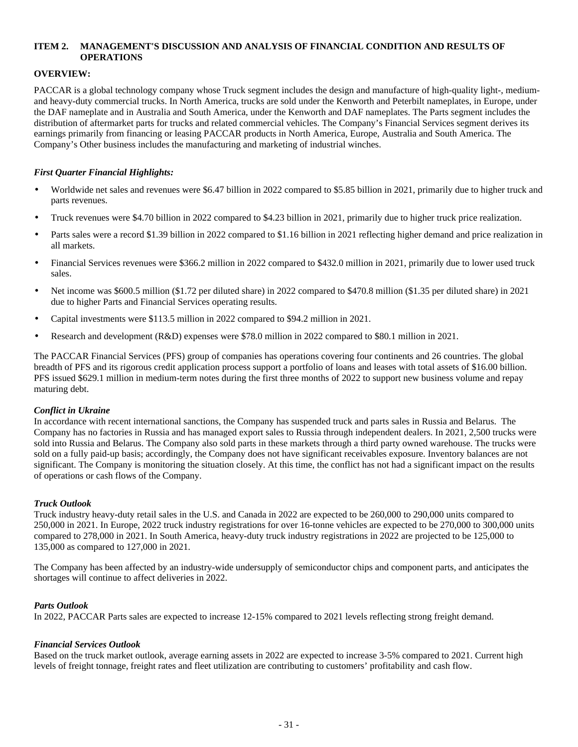# <span id="page-30-0"></span>**ITEM 2. MANAGEMENT'S DISCUSSION AND ANALYSIS OF FINANCIAL CONDITION AND RESULTS OF OPERATIONS**

### **OVERVIEW:**

PACCAR is a global technology company whose Truck segment includes the design and manufacture of high-quality light-, mediumand heavy-duty commercial trucks. In North America, trucks are sold under the Kenworth and Peterbilt nameplates, in Europe, under the DAF nameplate and in Australia and South America, under the Kenworth and DAF nameplates. The Parts segment includes the distribution of aftermarket parts for trucks and related commercial vehicles. The Company's Financial Services segment derives its earnings primarily from financing or leasing PACCAR products in North America, Europe, Australia and South America. The Company's Other business includes the manufacturing and marketing of industrial winches.

#### *First Quarter Financial Highlights:*

- Worldwide net sales and revenues were \$6.47 billion in 2022 compared to \$5.85 billion in 2021, primarily due to higher truck and parts revenues.
- Truck revenues were \$4.70 billion in 2022 compared to \$4.23 billion in 2021, primarily due to higher truck price realization.
- Parts sales were a record \$1.39 billion in 2022 compared to \$1.16 billion in 2021 reflecting higher demand and price realization in all markets.
- Financial Services revenues were \$366.2 million in 2022 compared to \$432.0 million in 2021, primarily due to lower used truck sales.
- Net income was \$600.5 million (\$1.72 per diluted share) in 2022 compared to \$470.8 million (\$1.35 per diluted share) in 2021 due to higher Parts and Financial Services operating results.
- Capital investments were \$113.5 million in 2022 compared to \$94.2 million in 2021.
- Research and development (R&D) expenses were \$78.0 million in 2022 compared to \$80.1 million in 2021.

The PACCAR Financial Services (PFS) group of companies has operations covering four continents and 26 countries. The global breadth of PFS and its rigorous credit application process support a portfolio of loans and leases with total assets of \$16.00 billion. PFS issued \$629.1 million in medium-term notes during the first three months of 2022 to support new business volume and repay maturing debt.

#### *Conflict in Ukraine*

In accordance with recent international sanctions, the Company has suspended truck and parts sales in Russia and Belarus. The Company has no factories in Russia and has managed export sales to Russia through independent dealers. In 2021, 2,500 trucks were sold into Russia and Belarus. The Company also sold parts in these markets through a third party owned warehouse. The trucks were sold on a fully paid-up basis; accordingly, the Company does not have significant receivables exposure. Inventory balances are not significant. The Company is monitoring the situation closely. At this time, the conflict has not had a significant impact on the results of operations or cash flows of the Company.

# *Truck Outlook*

Truck industry heavy-duty retail sales in the U.S. and Canada in 2022 are expected to be 260,000 to 290,000 units compared to 250,000 in 2021. In Europe, 2022 truck industry registrations for over 16-tonne vehicles are expected to be 270,000 to 300,000 units compared to 278,000 in 2021. In South America, heavy-duty truck industry registrations in 2022 are projected to be 125,000 to 135,000 as compared to 127,000 in 2021.

The Company has been affected by an industry-wide undersupply of semiconductor chips and component parts, and anticipates the shortages will continue to affect deliveries in 2022.

#### *Parts Outlook*

In 2022, PACCAR Parts sales are expected to increase 12-15% compared to 2021 levels reflecting strong freight demand.

#### *Financial Services Outlook*

Based on the truck market outlook, average earning assets in 2022 are expected to increase 3-5% compared to 2021. Current high levels of freight tonnage, freight rates and fleet utilization are contributing to customers' profitability and cash flow.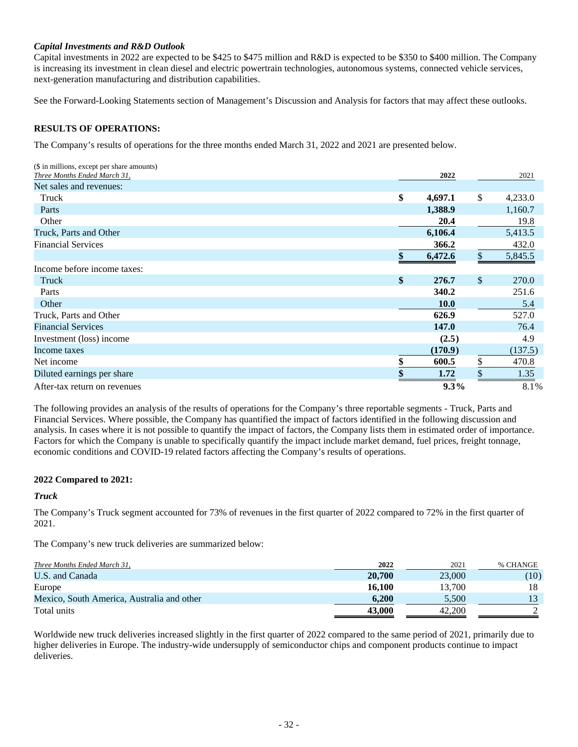# *Capital Investments and R&D Outlook*

Capital investments in 2022 are expected to be \$425 to \$475 million and R&D is expected to be \$350 to \$400 million. The Company is increasing its investment in clean diesel and electric powertrain technologies, autonomous systems, connected vehicle services, next-generation manufacturing and distribution capabilities.

See the Forward-Looking Statements section of Management's Discussion and Analysis for factors that may affect these outlooks.

### **RESULTS OF OPERATIONS:**

The Company's results of operations for the three months ended March 31, 2022 and 2021 are presented below.

| (\$ in millions, except per share amounts) |               |                        |         |
|--------------------------------------------|---------------|------------------------|---------|
| Three Months Ended March 31,               |               | 2022                   | 2021    |
| Net sales and revenues:                    |               |                        |         |
| Truck                                      | \$<br>4,697.1 | $\mathbb{S}$           | 4,233.0 |
| Parts                                      | 1,388.9       |                        | 1,160.7 |
| Other                                      |               | 20.4                   | 19.8    |
| Truck, Parts and Other                     | 6,106.4       |                        | 5,413.5 |
| <b>Financial Services</b>                  |               | 366.2                  | 432.0   |
|                                            | \$<br>6,472.6 | \$                     | 5,845.5 |
| Income before income taxes:                |               |                        |         |
| Truck                                      | \$            | $\mathcal{S}$<br>276.7 | 270.0   |
| Parts                                      |               | 340.2                  | 251.6   |
| Other                                      |               | <b>10.0</b>            | 5.4     |
| Truck, Parts and Other                     |               | 626.9                  | 527.0   |
| <b>Financial Services</b>                  |               | 147.0                  | 76.4    |
| Investment (loss) income                   |               | (2.5)                  | 4.9     |
| Income taxes                               |               | (170.9)                | (137.5) |
| Net income                                 | \$            | \$<br>600.5            | 470.8   |
| Diluted earnings per share                 | \$            | \$<br>1.72             | 1.35    |
| After-tax return on revenues               |               | $9.3\%$                | 8.1%    |

The following provides an analysis of the results of operations for the Company's three reportable segments - Truck, Parts and Financial Services. Where possible, the Company has quantified the impact of factors identified in the following discussion and analysis. In cases where it is not possible to quantify the impact of factors, the Company lists them in estimated order of importance. Factors for which the Company is unable to specifically quantify the impact include market demand, fuel prices, freight tonnage, economic conditions and COVID-19 related factors affecting the Company's results of operations.

# **2022 Compared to 2021:**

#### *Truck*

The Company's Truck segment accounted for 73% of revenues in the first quarter of 2022 compared to 72% in the first quarter of 2021.

The Company's new truck deliveries are summarized below:

| Three Months Ended March 31,               | 2022   | 2021   | % CHANGE |
|--------------------------------------------|--------|--------|----------|
| U.S. and Canada                            | 20,700 | 23,000 | (10)     |
| Europe                                     | 16.100 | 13.700 | 18       |
| Mexico, South America, Australia and other | 6.200  | 5.500  |          |
| Total units                                | 43,000 | 42,200 |          |

Worldwide new truck deliveries increased slightly in the first quarter of 2022 compared to the same period of 2021, primarily due to higher deliveries in Europe. The industry-wide undersupply of semiconductor chips and component products continue to impact deliveries.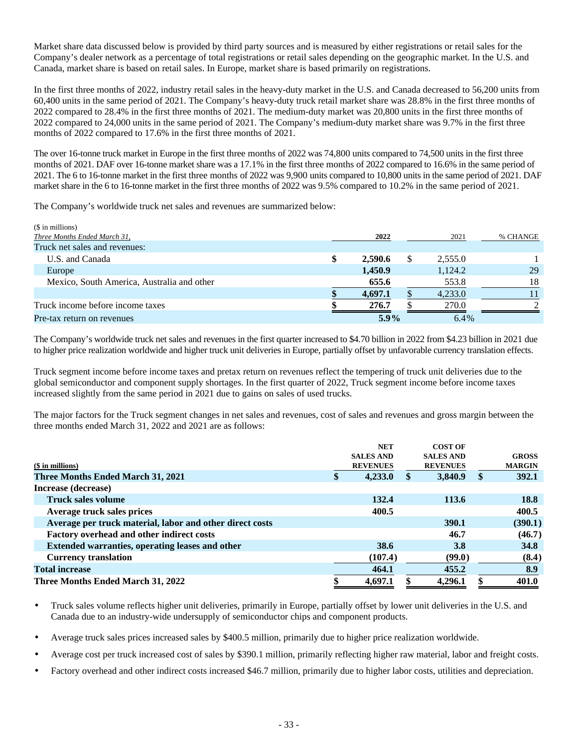Market share data discussed below is provided by third party sources and is measured by either registrations or retail sales for the Company's dealer network as a percentage of total registrations or retail sales depending on the geographic market. In the U.S. and Canada, market share is based on retail sales. In Europe, market share is based primarily on registrations.

In the first three months of 2022, industry retail sales in the heavy-duty market in the U.S. and Canada decreased to 56,200 units from 60,400 units in the same period of 2021. The Company's heavy-duty truck retail market share was 28.8% in the first three months of 2022 compared to 28.4% in the first three months of 2021. The medium-duty market was 20,800 units in the first three months of 2022 compared to 24,000 units in the same period of 2021. The Company's medium-duty market share was 9.7% in the first three months of 2022 compared to 17.6% in the first three months of 2021.

The over 16-tonne truck market in Europe in the first three months of 2022 was 74,800 units compared to 74,500 units in the first three months of 2021. DAF over 16-tonne market share was a 17.1% in the first three months of 2022 compared to 16.6% in the same period of 2021. The 6 to 16-tonne market in the first three months of 2022 was 9,900 units compared to 10,800 units in the same period of 2021. DAF market share in the 6 to 16-tonne market in the first three months of 2022 was 9.5% compared to 10.2% in the same period of 2021.

The Company's worldwide truck net sales and revenues are summarized below:

| (\$ in millions)                           |               |         |          |
|--------------------------------------------|---------------|---------|----------|
| Three Months Ended March 31,               | 2022          | 2021    | % CHANGE |
| Truck net sales and revenues:              |               |         |          |
| U.S. and Canada                            | \$<br>2,590.6 | 2,555.0 |          |
| Europe                                     | 1,450.9       | 1,124.2 | 29       |
| Mexico, South America, Australia and other | 655.6         | 553.8   | 18       |
|                                            | 4.697.1       | 4,233.0 |          |
| Truck income before income taxes           | 276.7         | 270.0   | ◠        |
| Pre-tax return on revenues                 | $5.9\%$       | 6.4%    |          |

The Company's worldwide truck net sales and revenues in the first quarter increased to \$4.70 billion in 2022 from \$4.23 billion in 2021 due to higher price realization worldwide and higher truck unit deliveries in Europe, partially offset by unfavorable currency translation effects.

Truck segment income before income taxes and pretax return on revenues reflect the tempering of truck unit deliveries due to the global semiconductor and component supply shortages. In the first quarter of 2022, Truck segment income before income taxes increased slightly from the same period in 2021 due to gains on sales of used trucks.

The major factors for the Truck segment changes in net sales and revenues, cost of sales and revenues and gross margin between the three months ended March 31, 2022 and 2021 are as follows:

| $$$ in millions)<br>Three Months Ended March 31, 2021<br>Increase (decrease) | \$<br><b>NET</b><br><b>SALES AND</b><br><b>REVENUES</b><br>4,233.0 | <b>COST OF</b><br><b>SALES AND</b><br><b>REVENUES</b><br>3,840.9 | \$. | <b>GROSS</b><br><b>MARGIN</b><br>392.1 |
|------------------------------------------------------------------------------|--------------------------------------------------------------------|------------------------------------------------------------------|-----|----------------------------------------|
| <b>Truck sales volume</b>                                                    | 132.4                                                              | 113.6                                                            |     | <b>18.8</b>                            |
| Average truck sales prices                                                   | 400.5                                                              |                                                                  |     | 400.5                                  |
| Average per truck material, labor and other direct costs                     |                                                                    | 390.1                                                            |     | (390.1)                                |
| Factory overhead and other indirect costs                                    |                                                                    | 46.7                                                             |     | (46.7)                                 |
| <b>Extended warranties, operating leases and other</b>                       | 38.6                                                               | 3.8                                                              |     | <b>34.8</b>                            |
| <b>Currency translation</b>                                                  | (107.4)                                                            | (99.0)                                                           |     | (8.4)                                  |
| <b>Total increase</b>                                                        | 464.1                                                              | 455.2                                                            |     | 8.9                                    |
| Three Months Ended March 31, 2022                                            | 4,697.1                                                            | 4,296.1                                                          |     | 401.0                                  |

• Truck sales volume reflects higher unit deliveries, primarily in Europe, partially offset by lower unit deliveries in the U.S. and Canada due to an industry-wide undersupply of semiconductor chips and component products.

• Average truck sales prices increased sales by \$400.5 million, primarily due to higher price realization worldwide.

• Average cost per truck increased cost of sales by \$390.1 million, primarily reflecting higher raw material, labor and freight costs.

• Factory overhead and other indirect costs increased \$46.7 million, primarily due to higher labor costs, utilities and depreciation.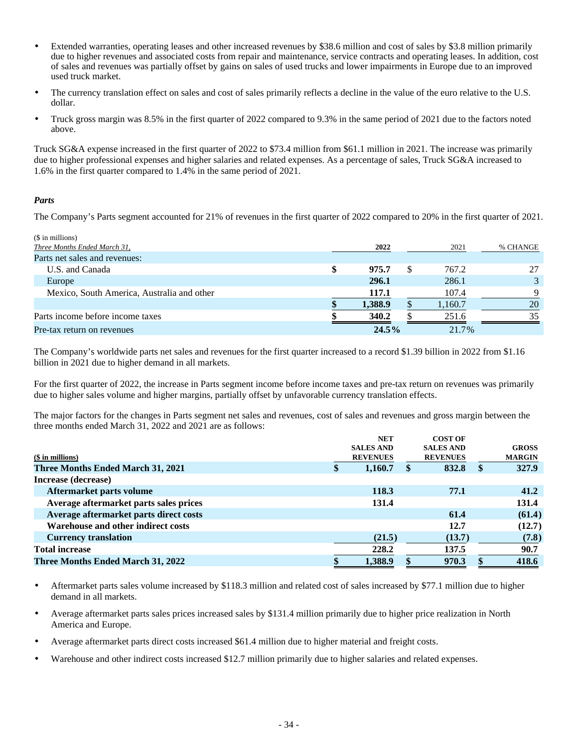- Extended warranties, operating leases and other increased revenues by \$38.6 million and cost of sales by \$3.8 million primarily due to higher revenues and associated costs from repair and maintenance, service contracts and operating leases. In addition, cost of sales and revenues was partially offset by gains on sales of used trucks and lower impairments in Europe due to an improved used truck market.
- The currency translation effect on sales and cost of sales primarily reflects a decline in the value of the euro relative to the U.S. dollar.
- Truck gross margin was 8.5% in the first quarter of 2022 compared to 9.3% in the same period of 2021 due to the factors noted above.

Truck SG&A expense increased in the first quarter of 2022 to \$73.4 million from \$61.1 million in 2021. The increase was primarily due to higher professional expenses and higher salaries and related expenses. As a percentage of sales, Truck SG&A increased to 1.6% in the first quarter compared to 1.4% in the same period of 2021.

# *Parts*

The Company's Parts segment accounted for 21% of revenues in the first quarter of 2022 compared to 20% in the first quarter of 2021.

| (\$ in millions)                           |             |         |          |
|--------------------------------------------|-------------|---------|----------|
| Three Months Ended March 31,               | 2022        | 2021    | % CHANGE |
| Parts net sales and revenues:              |             |         |          |
| U.S. and Canada                            | \$<br>975.7 | 767.2   | 27       |
| Europe                                     | 296.1       | 286.1   | 3        |
| Mexico, South America, Australia and other | 117.1       | 107.4   | 9        |
|                                            | 1,388.9     | 1,160.7 | 20       |
| Parts income before income taxes           | 340.2       | 251.6   | 35       |
| Pre-tax return on revenues                 | $24.5\%$    | 21.7%   |          |

The Company's worldwide parts net sales and revenues for the first quarter increased to a record \$1.39 billion in 2022 from \$1.16 billion in 2021 due to higher demand in all markets.

For the first quarter of 2022, the increase in Parts segment income before income taxes and pre-tax return on revenues was primarily due to higher sales volume and higher margins, partially offset by unfavorable currency translation effects.

The major factors for the changes in Parts segment net sales and revenues, cost of sales and revenues and gross margin between the three months ended March 31, 2022 and 2021 are as follows:

|                                        | <b>NET</b>       | <b>COST OF</b>   |          |               |
|----------------------------------------|------------------|------------------|----------|---------------|
|                                        | <b>SALES AND</b> | <b>SALES AND</b> |          | <b>GROSS</b>  |
| $$$ in millions)                       | <b>REVENUES</b>  | <b>REVENUES</b>  |          | <b>MARGIN</b> |
| Three Months Ended March 31, 2021      | \$<br>1,160.7    | 832.8            | <b>S</b> | 327.9         |
| Increase (decrease)                    |                  |                  |          |               |
| Aftermarket parts volume               | 118.3            | 77.1             |          | 41.2          |
| Average aftermarket parts sales prices | 131.4            |                  |          | 131.4         |
| Average aftermarket parts direct costs |                  | 61.4             |          | (61.4)        |
| Warehouse and other indirect costs     |                  | 12.7             |          | (12.7)        |
| <b>Currency translation</b>            | (21.5)           | (13.7)           |          | (7.8)         |
| <b>Total increase</b>                  | 228.2            | 137.5            |          | 90.7          |
| Three Months Ended March 31, 2022      | \$<br>1,388.9    | 970.3            |          | 418.6         |

- Aftermarket parts sales volume increased by \$118.3 million and related cost of sales increased by \$77.1 million due to higher demand in all markets.
- Average aftermarket parts sales prices increased sales by \$131.4 million primarily due to higher price realization in North America and Europe.
- Average aftermarket parts direct costs increased \$61.4 million due to higher material and freight costs.
- Warehouse and other indirect costs increased \$12.7 million primarily due to higher salaries and related expenses.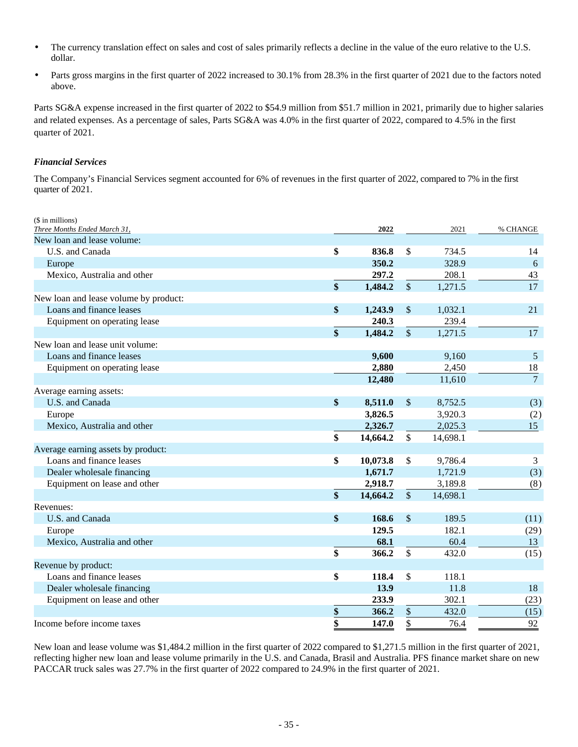- The currency translation effect on sales and cost of sales primarily reflects a decline in the value of the euro relative to the U.S. dollar.
- Parts gross margins in the first quarter of 2022 increased to 30.1% from 28.3% in the first quarter of 2021 due to the factors noted above.

Parts SG&A expense increased in the first quarter of 2022 to \$54.9 million from \$51.7 million in 2021, primarily due to higher salaries and related expenses. As a percentage of sales, Parts SG&A was 4.0% in the first quarter of 2022, compared to 4.5% in the first quarter of 2021.

# *Financial Services*

The Company's Financial Services segment accounted for 6% of revenues in the first quarter of 2022, compared to 7% in the first quarter of 2021.

| (\$ in millions)                      |                |                           |          |                 |
|---------------------------------------|----------------|---------------------------|----------|-----------------|
| Three Months Ended March 31,          | 2022           |                           | 2021     | % CHANGE        |
| New loan and lease volume:            |                |                           |          |                 |
| U.S. and Canada                       | \$<br>836.8    | \$                        | 734.5    | 14              |
| Europe                                | 350.2          |                           | 328.9    | 6               |
| Mexico, Australia and other           | 297.2          |                           | 208.1    | 43              |
|                                       | \$<br>1,484.2  | $\mathbb{S}$              | 1,271.5  | 17              |
| New loan and lease volume by product: |                |                           |          |                 |
| Loans and finance leases              | \$<br>1,243.9  | \$                        | 1,032.1  | 21              |
| Equipment on operating lease          | 240.3          |                           | 239.4    |                 |
|                                       | \$<br>1,484.2  | $\sqrt{\ }$               | 1,271.5  | 17              |
| New loan and lease unit volume:       |                |                           |          |                 |
| Loans and finance leases              | 9,600          |                           | 9,160    | 5               |
| Equipment on operating lease          | 2,880          |                           | 2,450    | $18\,$          |
|                                       | 12,480         |                           | 11,610   | $7\overline{ }$ |
| Average earning assets:               |                |                           |          |                 |
| U.S. and Canada                       | \$<br>8,511.0  | $\mathcal{S}$             | 8,752.5  | (3)             |
| Europe                                | 3,826.5        |                           | 3,920.3  | (2)             |
| Mexico, Australia and other           | 2,326.7        |                           | 2,025.3  | 15              |
|                                       | \$<br>14,664.2 | $\mathbb{S}$              | 14,698.1 |                 |
| Average earning assets by product:    |                |                           |          |                 |
| Loans and finance leases              | \$<br>10,073.8 | $\boldsymbol{\mathsf{S}}$ | 9,786.4  | 3               |
| Dealer wholesale financing            | 1,671.7        |                           | 1,721.9  | (3)             |
| Equipment on lease and other          | 2,918.7        |                           | 3,189.8  | (8)             |
|                                       | \$<br>14,664.2 | $\sqrt{\ }$               | 14,698.1 |                 |
| Revenues:                             |                |                           |          |                 |
| U.S. and Canada                       | \$<br>168.6    | \$                        | 189.5    | (11)            |
| Europe                                | 129.5          |                           | 182.1    | (29)            |
| Mexico, Australia and other           | 68.1           |                           | 60.4     | 13              |
|                                       | \$<br>366.2    | \$                        | 432.0    | (15)            |
| Revenue by product:                   |                |                           |          |                 |
| Loans and finance leases              | \$<br>118.4    | \$                        | 118.1    |                 |
| Dealer wholesale financing            | 13.9           |                           | 11.8     | 18              |
| Equipment on lease and other          | 233.9          |                           | 302.1    | (23)            |
|                                       | \$<br>366.2    | $\$\,$                    | 432.0    | (15)            |
| Income before income taxes            | \$<br>147.0    | \$                        | 76.4     | 92              |
|                                       |                |                           |          |                 |

New loan and lease volume was \$1,484.2 million in the first quarter of 2022 compared to \$1,271.5 million in the first quarter of 2021, reflecting higher new loan and lease volume primarily in the U.S. and Canada, Brasil and Australia. PFS finance market share on new PACCAR truck sales was 27.7% in the first quarter of 2022 compared to 24.9% in the first quarter of 2021.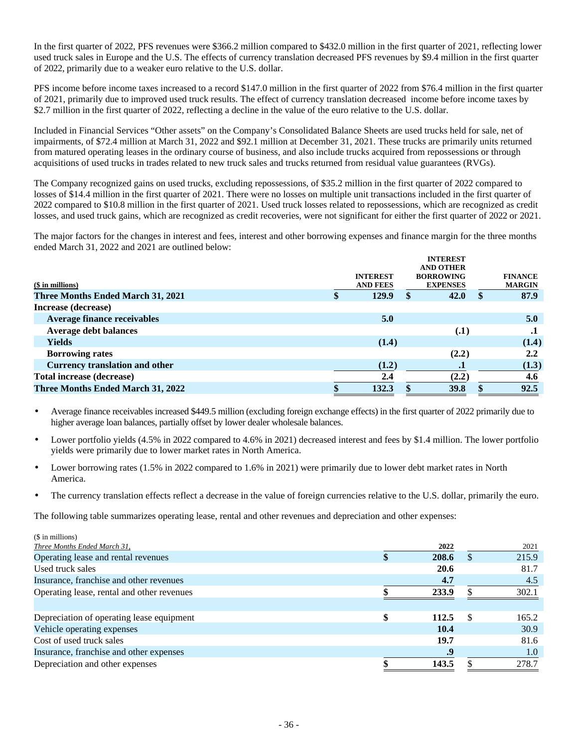In the first quarter of 2022, PFS revenues were \$366.2 million compared to \$432.0 million in the first quarter of 2021, reflecting lower used truck sales in Europe and the U.S. The effects of currency translation decreased PFS revenues by \$9.4 million in the first quarter of 2022, primarily due to a weaker euro relative to the U.S. dollar.

PFS income before income taxes increased to a record \$147.0 million in the first quarter of 2022 from \$76.4 million in the first quarter of 2021, primarily due to improved used truck results. The effect of currency translation decreased income before income taxes by \$2.7 million in the first quarter of 2022, reflecting a decline in the value of the euro relative to the U.S. dollar.

Included in Financial Services "Other assets" on the Company's Consolidated Balance Sheets are used trucks held for sale, net of impairments, of \$72.4 million at March 31, 2022 and \$92.1 million at December 31, 2021. These trucks are primarily units returned from matured operating leases in the ordinary course of business, and also include trucks acquired from repossessions or through acquisitions of used trucks in trades related to new truck sales and trucks returned from residual value guarantees (RVGs).

The Company recognized gains on used trucks, excluding repossessions, of \$35.2 million in the first quarter of 2022 compared to losses of \$14.4 million in the first quarter of 2021. There were no losses on multiple unit transactions included in the first quarter of 2022 compared to \$10.8 million in the first quarter of 2021. Used truck losses related to repossessions, which are recognized as credit losses, and used truck gains, which are recognized as credit recoveries, were not significant for either the first quarter of 2022 or 2021.

The major factors for the changes in interest and fees, interest and other borrowing expenses and finance margin for the three months ended March 31, 2022 and 2021 are outlined below:

|                                       |                 |   | <b>INTEREST</b>  |               |                  |
|---------------------------------------|-----------------|---|------------------|---------------|------------------|
|                                       |                 |   | <b>AND OTHER</b> |               |                  |
|                                       | <b>INTEREST</b> |   | <b>BORROWING</b> |               | <b>FINANCE</b>   |
| $$$ in millions)                      | <b>AND FEES</b> |   | <b>EXPENSES</b>  |               | <b>MARGIN</b>    |
| Three Months Ended March 31, 2021     | \$<br>129.9     | S | 42.0             | <sup>\$</sup> | 87.9             |
| Increase (decrease)                   |                 |   |                  |               |                  |
| Average finance receivables           | 5.0             |   |                  |               | 5.0              |
| <b>Average debt balances</b>          |                 |   | (.1)             |               | .1               |
| <b>Yields</b>                         | (1.4)           |   |                  |               | (1.4)            |
| <b>Borrowing rates</b>                |                 |   | (2.2)            |               | $2.2\phantom{0}$ |
| <b>Currency translation and other</b> | (1.2)           |   | ы.               |               | (1.3)            |
| <b>Total increase (decrease)</b>      | 2.4             |   | (2.2)            |               | 4.6              |
| Three Months Ended March 31, 2022     | \$<br>132.3     |   | 39.8             |               | 92.5             |

- Average finance receivables increased \$449.5 million (excluding foreign exchange effects) in the first quarter of 2022 primarily due to higher average loan balances, partially offset by lower dealer wholesale balances.
- Lower portfolio yields (4.5% in 2022 compared to 4.6% in 2021) decreased interest and fees by \$1.4 million. The lower portfolio yields were primarily due to lower market rates in North America.
- Lower borrowing rates (1.5% in 2022 compared to 1.6% in 2021) were primarily due to lower debt market rates in North America.
- The currency translation effects reflect a decrease in the value of foreign currencies relative to the U.S. dollar, primarily the euro.

The following table summarizes operating lease, rental and other revenues and depreciation and other expenses:

| $($$ in millions)                          |             |          |       |
|--------------------------------------------|-------------|----------|-------|
| Three Months Ended March 31,               | 2022        |          | 2021  |
| Operating lease and rental revenues        | 208.6       | <b>S</b> | 215.9 |
| Used truck sales                           | <b>20.6</b> |          | 81.7  |
| Insurance, franchise and other revenues    | 4.7         |          | 4.5   |
| Operating lease, rental and other revenues | 233.9       |          | 302.1 |
|                                            |             |          |       |
| Depreciation of operating lease equipment  | 112.5       |          | 165.2 |
| Vehicle operating expenses                 | 10.4        |          | 30.9  |
| Cost of used truck sales                   | 19.7        |          | 81.6  |
| Insurance, franchise and other expenses    | .9          |          | 1.0   |
| Depreciation and other expenses            | 143.5       |          | 278.7 |
|                                            |             |          |       |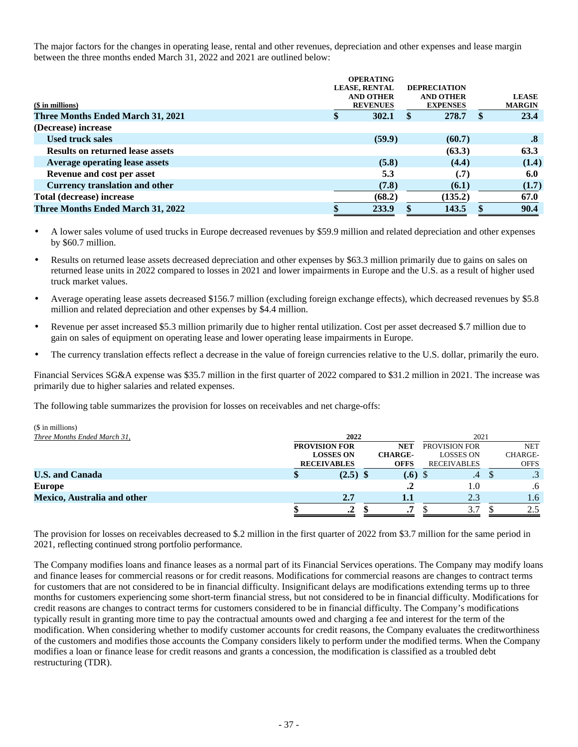The major factors for the changes in operating lease, rental and other revenues, depreciation and other expenses and lease margin between the three months ended March 31, 2022 and 2021 are outlined below:

| <b>OPERATING</b>     |                     |                       |
|----------------------|---------------------|-----------------------|
| <b>LEASE, RENTAL</b> | <b>DEPRECIATION</b> |                       |
| <b>AND OTHER</b>     | <b>AND OTHER</b>    | <b>LEASE</b>          |
| <b>REVENUES</b>      | <b>EXPENSES</b>     | <b>MARGIN</b>         |
| \$<br>302.1          | 278.7               | $\mathbf{\$}$<br>23.4 |
|                      |                     |                       |
| (59.9)               | (60.7)              | -8                    |
|                      | (63.3)              | 63.3                  |
| (5.8)                | (4.4)               | (1.4)                 |
| 5.3                  | (.7)                | 6.0                   |
| (7.8)                | (6.1)               | (1.7)                 |
| (68.2)               | (135.2)             | 67.0                  |
| 233.9                | 143.5               | 90.4                  |
|                      |                     |                       |

- A lower sales volume of used trucks in Europe decreased revenues by \$59.9 million and related depreciation and other expenses by \$60.7 million.
- Results on returned lease assets decreased depreciation and other expenses by \$63.3 million primarily due to gains on sales on returned lease units in 2022 compared to losses in 2021 and lower impairments in Europe and the U.S. as a result of higher used truck market values.
- Average operating lease assets decreased \$156.7 million (excluding foreign exchange effects), which decreased revenues by \$5.8 million and related depreciation and other expenses by \$4.4 million.
- Revenue per asset increased \$5.3 million primarily due to higher rental utilization. Cost per asset decreased \$.7 million due to gain on sales of equipment on operating lease and lower operating lease impairments in Europe.
- The currency translation effects reflect a decrease in the value of foreign currencies relative to the U.S. dollar, primarily the euro.

Financial Services SG&A expense was \$35.7 million in the first quarter of 2022 compared to \$31.2 million in 2021. The increase was primarily due to higher salaries and related expenses.

The following table summarizes the provision for losses on receivables and net charge-offs:

| (\$ in millions)             |      |                      |   |                |      |                      |  |             |
|------------------------------|------|----------------------|---|----------------|------|----------------------|--|-------------|
| Three Months Ended March 31, | 2022 |                      |   |                | 2021 |                      |  |             |
|                              |      | <b>PROVISION FOR</b> |   | <b>NET</b>     |      | <b>PROVISION FOR</b> |  | <b>NET</b>  |
|                              |      | <b>LOSSES ON</b>     |   | <b>CHARGE-</b> |      | <b>LOSSES ON</b>     |  | CHARGE-     |
|                              |      | <b>RECEIVABLES</b>   |   | <b>OFFS</b>    |      | <b>RECEIVABLES</b>   |  | <b>OFFS</b> |
| <b>U.S. and Canada</b>       | \$   | $(2.5)$ \$           |   | $(.6)$ \$      |      | $.4\phantom{0}$      |  | $\cdot$ 3   |
| <b>Europe</b>                |      |                      |   |                |      | 1.0                  |  | .6          |
| Mexico, Australia and other  |      | 2.7                  |   | 1.1            |      | 2.3                  |  | 1.6         |
|                              |      | $\cdot$ <sup>2</sup> | D | .7             |      | 3.7                  |  | 2.5         |

The provision for losses on receivables decreased to \$.2 million in the first quarter of 2022 from \$3.7 million for the same period in 2021, reflecting continued strong portfolio performance.

The Company modifies loans and finance leases as a normal part of its Financial Services operations. The Company may modify loans and finance leases for commercial reasons or for credit reasons. Modifications for commercial reasons are changes to contract terms for customers that are not considered to be in financial difficulty. Insignificant delays are modifications extending terms up to three months for customers experiencing some short-term financial stress, but not considered to be in financial difficulty. Modifications for credit reasons are changes to contract terms for customers considered to be in financial difficulty. The Company's modifications typically result in granting more time to pay the contractual amounts owed and charging a fee and interest for the term of the modification. When considering whether to modify customer accounts for credit reasons, the Company evaluates the creditworthiness of the customers and modifies those accounts the Company considers likely to perform under the modified terms. When the Company modifies a loan or finance lease for credit reasons and grants a concession, the modification is classified as a troubled debt restructuring (TDR).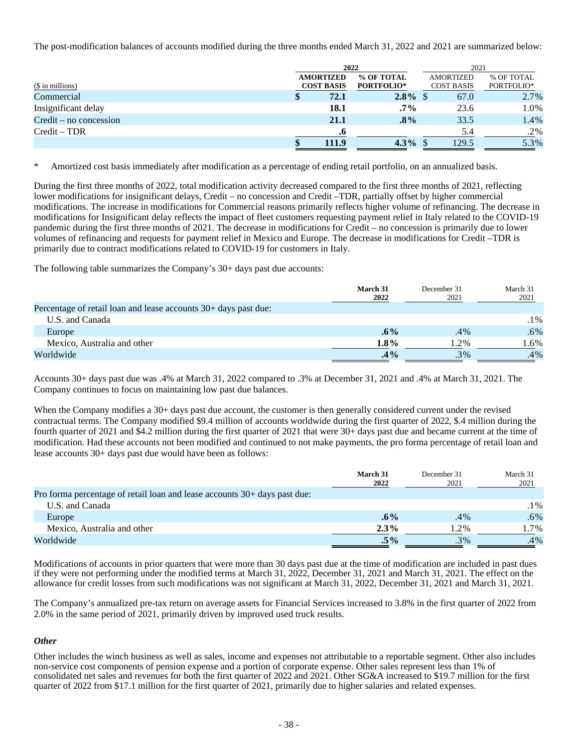The post-modification balances of accounts modified during the three months ended March 31, 2022 and 2021 are summarized below:

|                          | 2022             |                   |                   | 2021              |            |  |
|--------------------------|------------------|-------------------|-------------------|-------------------|------------|--|
|                          | <b>AMORTIZED</b> |                   | % OF TOTAL        | <b>AMORTIZED</b>  | % OF TOTAL |  |
| (\$ in millions)         |                  | <b>COST BASIS</b> | <b>PORTFOLIO*</b> | <b>COST BASIS</b> | PORTFOLIO* |  |
| Commercial               |                  | 72.1              | $2.8\%$ \$        | 67.0              | 2.7%       |  |
| Insignificant delay      |                  | 18.1              | $.7\%$            | 23.6              | 1.0%       |  |
| $Credit - no concession$ |                  | 21.1              | $.8\%$            | 33.5              | 1.4%       |  |
| $Credit - TDR$           |                  | .0                |                   | 5.4               | $.2\%$     |  |
|                          |                  | 111.9             | 4.3% \$           | 129.5             | 5.3%       |  |

\* Amortized cost basis immediately after modification as a percentage of ending retail portfolio, on an annualized basis.

During the first three months of 2022, total modification activity decreased compared to the first three months of 2021, reflecting lower modifications for insignificant delays, Credit – no concession and Credit –TDR, partially offset by higher commercial modifications. The increase in modifications for Commercial reasons primarily reflects higher volume of refinancing. The decrease in modifications for Insignificant delay reflects the impact of fleet customers requesting payment relief in Italy related to the COVID-19 pandemic during the first three months of 2021. The decrease in modifications for Credit – no concession is primarily due to lower volumes of refinancing and requests for payment relief in Mexico and Europe. The decrease in modifications for Credit –TDR is primarily due to contract modifications related to COVID-19 for customers in Italy.

The following table summarizes the Company's 30+ days past due accounts:

|                                                                 | <b>March 31</b><br>2022 | December 31<br>2021 | March 31<br>2021 |
|-----------------------------------------------------------------|-------------------------|---------------------|------------------|
| Percentage of retail loan and lease accounts 30+ days past due: |                         |                     |                  |
| U.S. and Canada                                                 |                         |                     | .1%              |
| Europe                                                          | $.6\%$                  | .4%                 | $.6\%$           |
| Mexico, Australia and other                                     | $1.8\%$                 | 1.2%                | 1.6%             |
| Worldwide                                                       | $.4\%$                  | $.3\%$              | .4%              |

Accounts 30+ days past due was .4% at March 31, 2022 compared to .3% at December 31, 2021 and .4% at March 31, 2021. The Company continues to focus on maintaining low past due balances.

When the Company modifies a 30+ days past due account, the customer is then generally considered current under the revised contractual terms. The Company modified \$9.4 million of accounts worldwide during the first quarter of 2022, \$.4 million during the fourth quarter of 2021 and \$4.2 million during the first quarter of 2021 that were 30+ days past due and became current at the time of modification. Had these accounts not been modified and continued to not make payments, the pro forma percentage of retail loan and lease accounts 30+ days past due would have been as follows:

|                                                                           | March 31<br>2022 | December 31<br>2021 | March 31<br>2021 |
|---------------------------------------------------------------------------|------------------|---------------------|------------------|
| Pro forma percentage of retail loan and lease accounts 30+ days past due: |                  |                     |                  |
| U.S. and Canada                                                           |                  |                     | $.1\%$           |
| Europe                                                                    | $.6\%$           | $.4\%$              | $.6\%$           |
| Mexico, Australia and other                                               | $2.3\%$          | 1.2%                | 1.7%             |
| Worldwide                                                                 | $.5\%$           | $.3\%$              | $.4\%$           |

Modifications of accounts in prior quarters that were more than 30 days past due at the time of modification are included in past dues if they were not performing under the modified terms at March 31, 2022, December 31, 2021 and March 31, 2021. The effect on the allowance for credit losses from such modifications was not significant at March 31, 2022, December 31, 2021 and March 31, 2021.

The Company's annualized pre-tax return on average assets for Financial Services increased to 3.8% in the first quarter of 2022 from 2.0% in the same period of 2021, primarily driven by improved used truck results.

#### *Other*

Other includes the winch business as well as sales, income and expenses not attributable to a reportable segment. Other also includes non-service cost components of pension expense and a portion of corporate expense. Other sales represent less than 1% of consolidated net sales and revenues for both the first quarter of 2022 and 2021. Other SG&A increased to \$19.7 million for the first quarter of 2022 from \$17.1 million for the first quarter of 2021, primarily due to higher salaries and related expenses.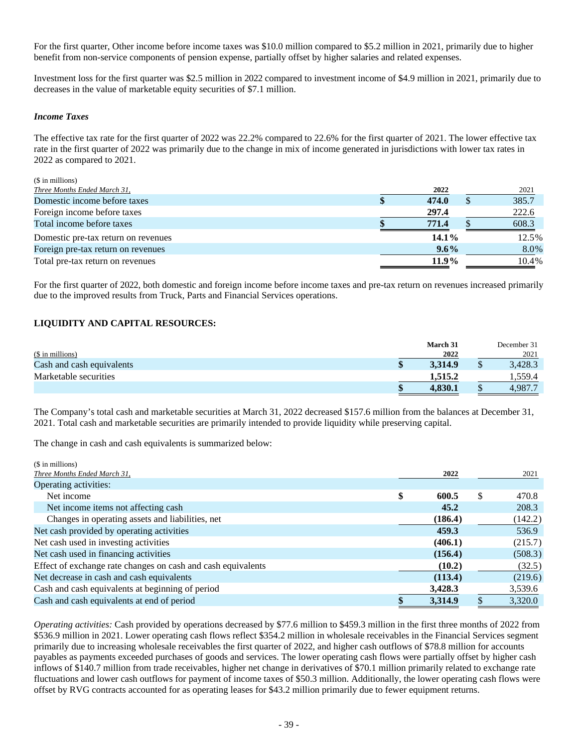For the first quarter, Other income before income taxes was \$10.0 million compared to \$5.2 million in 2021, primarily due to higher benefit from non-service components of pension expense, partially offset by higher salaries and related expenses.

Investment loss for the first quarter was \$2.5 million in 2022 compared to investment income of \$4.9 million in 2021, primarily due to decreases in the value of marketable equity securities of \$7.1 million.

#### *Income Taxes*

The effective tax rate for the first quarter of 2022 was 22.2% compared to 22.6% for the first quarter of 2021. The lower effective tax rate in the first quarter of 2022 was primarily due to the change in mix of income generated in jurisdictions with lower tax rates in 2022 as compared to 2021.

| 2022     | 2021  |
|----------|-------|
| 474.0    | 385.7 |
| 297.4    | 222.6 |
| 771.4    | 608.3 |
| $14.1\%$ | 12.5% |
| $9.6\%$  | 8.0%  |
| $11.9\%$ | 10.4% |
|          |       |

For the first quarter of 2022, both domestic and foreign income before income taxes and pre-tax return on revenues increased primarily due to the improved results from Truck, Parts and Financial Services operations.

# **LIQUIDITY AND CAPITAL RESOURCES:**

|                           | <b>March 31</b> |   | December 31 |
|---------------------------|-----------------|---|-------------|
| (\$ in millions)          | 2022            |   | 2021        |
| Cash and cash equivalents | 3.314.9         | D | 3,428.3     |
| Marketable securities     | 1.515.2         |   | 1,559.4     |
|                           | 4,830.1         |   | 4.987.7     |

The Company's total cash and marketable securities at March 31, 2022 decreased \$157.6 million from the balances at December 31, 2021. Total cash and marketable securities are primarily intended to provide liquidity while preserving capital.

The change in cash and cash equivalents is summarized below:

| (\$ in millions)                                             |             |             |
|--------------------------------------------------------------|-------------|-------------|
| Three Months Ended March 31,                                 | 2022        | 2021        |
| Operating activities:                                        |             |             |
| Net income                                                   | \$<br>600.5 | \$<br>470.8 |
| Net income items not affecting cash                          | 45.2        | 208.3       |
| Changes in operating assets and liabilities, net             | (186.4)     | (142.2)     |
| Net cash provided by operating activities                    | 459.3       | 536.9       |
| Net cash used in investing activities                        | (406.1)     | (215.7)     |
| Net cash used in financing activities                        | (156.4)     | (508.3)     |
| Effect of exchange rate changes on cash and cash equivalents | (10.2)      | (32.5)      |
| Net decrease in cash and cash equivalents                    | (113.4)     | (219.6)     |
| Cash and cash equivalents at beginning of period             | 3,428.3     | 3,539.6     |
| Cash and cash equivalents at end of period                   | 3.314.9     | 3,320.0     |

*Operating activities:* Cash provided by operations decreased by \$77.6 million to \$459.3 million in the first three months of 2022 from \$536.9 million in 2021. Lower operating cash flows reflect \$354.2 million in wholesale receivables in the Financial Services segment primarily due to increasing wholesale receivables the first quarter of 2022, and higher cash outflows of \$78.8 million for accounts payables as payments exceeded purchases of goods and services. The lower operating cash flows were partially offset by higher cash inflows of \$140.7 million from trade receivables, higher net change in derivatives of \$70.1 million primarily related to exchange rate fluctuations and lower cash outflows for payment of income taxes of \$50.3 million. Additionally, the lower operating cash flows were offset by RVG contracts accounted for as operating leases for \$43.2 million primarily due to fewer equipment returns.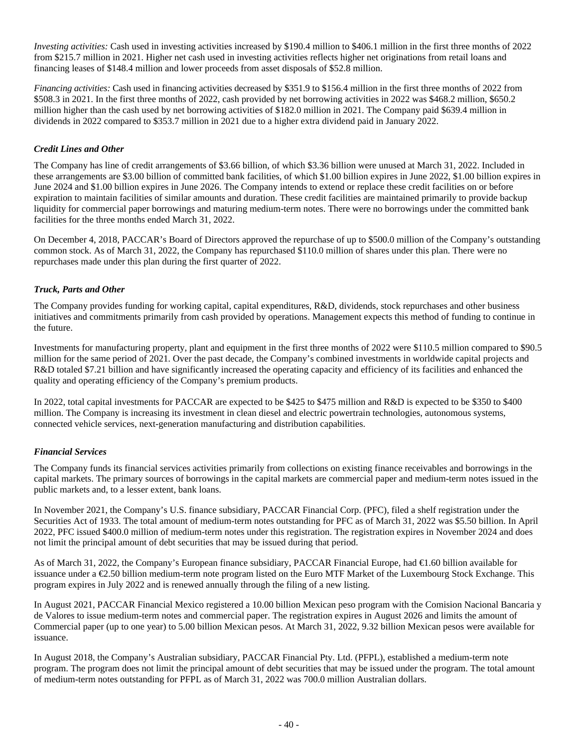*Investing activities:* Cash used in investing activities increased by \$190.4 million to \$406.1 million in the first three months of 2022 from \$215.7 million in 2021. Higher net cash used in investing activities reflects higher net originations from retail loans and financing leases of \$148.4 million and lower proceeds from asset disposals of \$52.8 million.

*Financing activities:* Cash used in financing activities decreased by \$351.9 to \$156.4 million in the first three months of 2022 from \$508.3 in 2021. In the first three months of 2022, cash provided by net borrowing activities in 2022 was \$468.2 million, \$650.2 million higher than the cash used by net borrowing activities of \$182.0 million in 2021. The Company paid \$639.4 million in dividends in 2022 compared to \$353.7 million in 2021 due to a higher extra dividend paid in January 2022.

# *Credit Lines and Other*

The Company has line of credit arrangements of \$3.66 billion, of which \$3.36 billion were unused at March 31, 2022. Included in these arrangements are \$3.00 billion of committed bank facilities, of which \$1.00 billion expires in June 2022, \$1.00 billion expires in June 2024 and \$1.00 billion expires in June 2026. The Company intends to extend or replace these credit facilities on or before expiration to maintain facilities of similar amounts and duration. These credit facilities are maintained primarily to provide backup liquidity for commercial paper borrowings and maturing medium-term notes. There were no borrowings under the committed bank facilities for the three months ended March 31, 2022.

On December 4, 2018, PACCAR's Board of Directors approved the repurchase of up to \$500.0 million of the Company's outstanding common stock. As of March 31, 2022, the Company has repurchased \$110.0 million of shares under this plan. There were no repurchases made under this plan during the first quarter of 2022.

# *Truck, Parts and Other*

The Company provides funding for working capital, capital expenditures, R&D, dividends, stock repurchases and other business initiatives and commitments primarily from cash provided by operations. Management expects this method of funding to continue in the future.

Investments for manufacturing property, plant and equipment in the first three months of 2022 were \$110.5 million compared to \$90.5 million for the same period of 2021. Over the past decade, the Company's combined investments in worldwide capital projects and R&D totaled \$7.21 billion and have significantly increased the operating capacity and efficiency of its facilities and enhanced the quality and operating efficiency of the Company's premium products.

In 2022, total capital investments for PACCAR are expected to be \$425 to \$475 million and R&D is expected to be \$350 to \$400 million. The Company is increasing its investment in clean diesel and electric powertrain technologies, autonomous systems, connected vehicle services, next-generation manufacturing and distribution capabilities.

# *Financial Services*

The Company funds its financial services activities primarily from collections on existing finance receivables and borrowings in the capital markets. The primary sources of borrowings in the capital markets are commercial paper and medium-term notes issued in the public markets and, to a lesser extent, bank loans.

In November 2021, the Company's U.S. finance subsidiary, PACCAR Financial Corp. (PFC), filed a shelf registration under the Securities Act of 1933. The total amount of medium-term notes outstanding for PFC as of March 31, 2022 was \$5.50 billion. In April 2022, PFC issued \$400.0 million of medium-term notes under this registration. The registration expires in November 2024 and does not limit the principal amount of debt securities that may be issued during that period.

As of March 31, 2022, the Company's European finance subsidiary, PACCAR Financial Europe, had €1.60 billion available for issuance under a  $\epsilon$ 2.50 billion medium-term note program listed on the Euro MTF Market of the Luxembourg Stock Exchange. This program expires in July 2022 and is renewed annually through the filing of a new listing.

In August 2021, PACCAR Financial Mexico registered a 10.00 billion Mexican peso program with the Comision Nacional Bancaria y de Valores to issue medium-term notes and commercial paper. The registration expires in August 2026 and limits the amount of Commercial paper (up to one year) to 5.00 billion Mexican pesos. At March 31, 2022, 9.32 billion Mexican pesos were available for issuance.

In August 2018, the Company's Australian subsidiary, PACCAR Financial Pty. Ltd. (PFPL), established a medium-term note program. The program does not limit the principal amount of debt securities that may be issued under the program. The total amount of medium-term notes outstanding for PFPL as of March 31, 2022 was 700.0 million Australian dollars.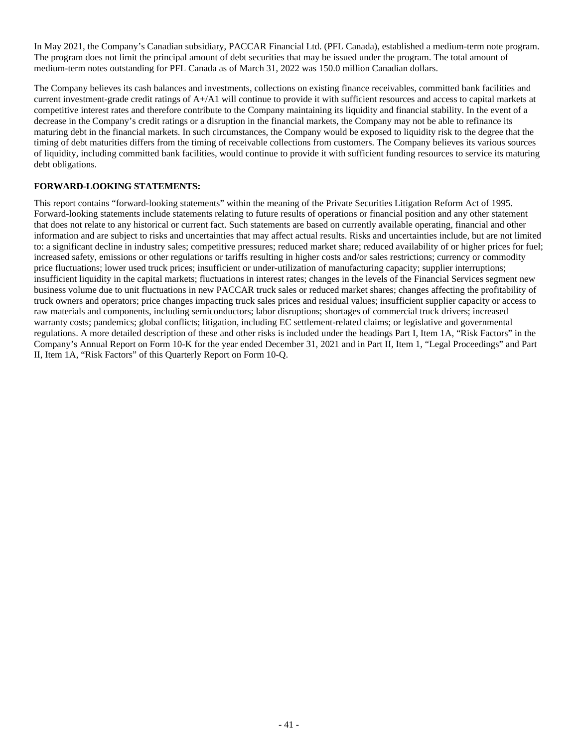In May 2021, the Company's Canadian subsidiary, PACCAR Financial Ltd. (PFL Canada), established a medium-term note program. The program does not limit the principal amount of debt securities that may be issued under the program. The total amount of medium-term notes outstanding for PFL Canada as of March 31, 2022 was 150.0 million Canadian dollars.

The Company believes its cash balances and investments, collections on existing finance receivables, committed bank facilities and current investment-grade credit ratings of A+/A1 will continue to provide it with sufficient resources and access to capital markets at competitive interest rates and therefore contribute to the Company maintaining its liquidity and financial stability. In the event of a decrease in the Company's credit ratings or a disruption in the financial markets, the Company may not be able to refinance its maturing debt in the financial markets. In such circumstances, the Company would be exposed to liquidity risk to the degree that the timing of debt maturities differs from the timing of receivable collections from customers. The Company believes its various sources of liquidity, including committed bank facilities, would continue to provide it with sufficient funding resources to service its maturing debt obligations.

# **FORWARD-LOOKING STATEMENTS:**

This report contains "forward-looking statements" within the meaning of the Private Securities Litigation Reform Act of 1995. Forward-looking statements include statements relating to future results of operations or financial position and any other statement that does not relate to any historical or current fact. Such statements are based on currently available operating, financial and other information and are subject to risks and uncertainties that may affect actual results. Risks and uncertainties include, but are not limited to: a significant decline in industry sales; competitive pressures; reduced market share; reduced availability of or higher prices for fuel; increased safety, emissions or other regulations or tariffs resulting in higher costs and/or sales restrictions; currency or commodity price fluctuations; lower used truck prices; insufficient or under-utilization of manufacturing capacity; supplier interruptions; insufficient liquidity in the capital markets; fluctuations in interest rates; changes in the levels of the Financial Services segment new business volume due to unit fluctuations in new PACCAR truck sales or reduced market shares; changes affecting the profitability of truck owners and operators; price changes impacting truck sales prices and residual values; insufficient supplier capacity or access to raw materials and components, including semiconductors; labor disruptions; shortages of commercial truck drivers; increased warranty costs; pandemics; global conflicts; litigation, including EC settlement-related claims; or legislative and governmental regulations. A more detailed description of these and other risks is included under the headings Part I, Item 1A, "Risk Factors" in the Company's Annual Report on Form 10-K for the year ended December 31, 2021 and in Part II, Item 1, "Legal Proceedings" and Part II, Item 1A, "Risk Factors" of this Quarterly Report on Form 10-Q.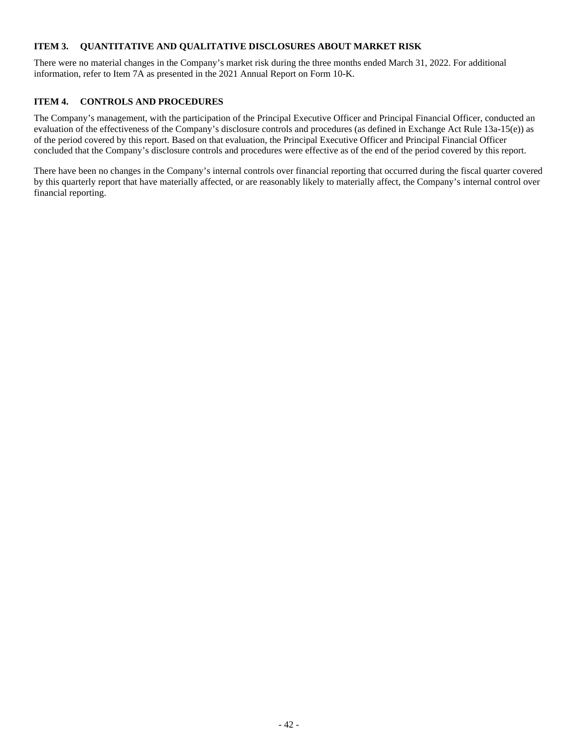# <span id="page-41-0"></span>**ITEM 3. QUANTITATIVE AND QUALITATIVE DISCLOSURES ABOUT MARKET RISK**

There were no material changes in the Company's market risk during the three months ended March 31, 2022. For additional information, refer to Item 7A as presented in the 2021 Annual Report on Form 10-K.

# <span id="page-41-1"></span>**ITEM 4. CONTROLS AND PROCEDURES**

The Company's management, with the participation of the Principal Executive Officer and Principal Financial Officer, conducted an evaluation of the effectiveness of the Company's disclosure controls and procedures (as defined in Exchange Act Rule 13a-15(e)) as of the period covered by this report. Based on that evaluation, the Principal Executive Officer and Principal Financial Officer concluded that the Company's disclosure controls and procedures were effective as of the end of the period covered by this report.

There have been no changes in the Company's internal controls over financial reporting that occurred during the fiscal quarter covered by this quarterly report that have materially affected, or are reasonably likely to materially affect, the Company's internal control over financial reporting.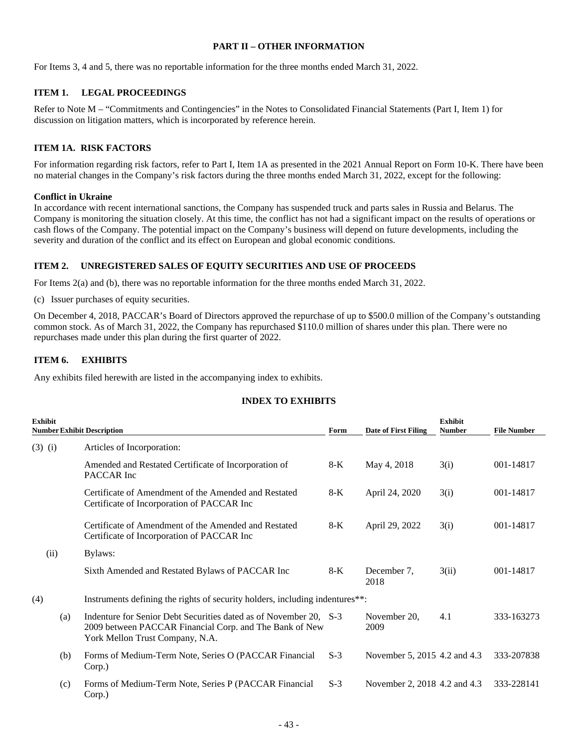# <span id="page-42-0"></span>**PART II – OTHER INFORMATION**

<span id="page-42-1"></span>For Items 3, 4 and 5, there was no reportable information for the three months ended March 31, 2022.

# **ITEM 1. LEGAL PROCEEDINGS**

Refer to Note M – "Commitments and Contingencies" in the Notes to Consolidated Financial Statements (Part I, Item 1) for discussion on litigation matters, which is incorporated by reference herein.

# <span id="page-42-2"></span>**ITEM 1A. RISK FACTORS**

For information regarding risk factors, refer to Part I, Item 1A as presented in the 2021 Annual Report on Form 10-K. There have been no material changes in the Company's risk factors during the three months ended March 31, 2022, except for the following:

#### **Conflict in Ukraine**

In accordance with recent international sanctions, the Company has suspended truck and parts sales in Russia and Belarus. The Company is monitoring the situation closely. At this time, the conflict has not had a significant impact on the results of operations or cash flows of the Company. The potential impact on the Company's business will depend on future developments, including the severity and duration of the conflict and its effect on European and global economic conditions.

# **ITEM 2. UNREGISTERED SALES OF EQUITY SECURITIES AND USE OF PROCEEDS**

For Items 2(a) and (b), there was no reportable information for the three months ended March 31, 2022.

(c) Issuer purchases of equity securities.

On December 4, 2018, PACCAR's Board of Directors approved the repurchase of up to \$500.0 million of the Company's outstanding common stock. As of March 31, 2022, the Company has repurchased \$110.0 million of shares under this plan. There were no repurchases made under this plan during the first quarter of 2022.

# <span id="page-42-4"></span>**ITEM 6. EXHIBITS**

Any exhibits filed herewith are listed in the accompanying index to exhibits.

# <span id="page-42-5"></span><span id="page-42-3"></span>**INDEX TO EXHIBITS**

| <b>Exhibit</b> | <b>Number Exhibit Description</b>                                                                                                                               | Form  | <b>Date of First Filing</b>  | <b>Exhibit</b><br><b>Number</b> | <b>File Number</b> |  |  |
|----------------|-----------------------------------------------------------------------------------------------------------------------------------------------------------------|-------|------------------------------|---------------------------------|--------------------|--|--|
| $(3)$ (i)      | Articles of Incorporation:                                                                                                                                      |       |                              |                                 |                    |  |  |
|                | Amended and Restated Certificate of Incorporation of<br>PACCAR Inc                                                                                              | 8-K   | May 4, 2018                  | 3(i)                            | 001-14817          |  |  |
|                | Certificate of Amendment of the Amended and Restated<br>Certificate of Incorporation of PACCAR Inc                                                              | $8-K$ | April 24, 2020               | 3(i)                            | 001-14817          |  |  |
|                | Certificate of Amendment of the Amended and Restated<br>Certificate of Incorporation of PACCAR Inc                                                              | 8-K   | April 29, 2022               | 3(i)                            | 001-14817          |  |  |
| (ii)           | Bylaws:                                                                                                                                                         |       |                              |                                 |                    |  |  |
|                | Sixth Amended and Restated Bylaws of PACCAR Inc                                                                                                                 | $8-K$ | December 7,<br>2018          | 3(ii)                           | 001-14817          |  |  |
| (4)            | Instruments defining the rights of security holders, including indentures**:                                                                                    |       |                              |                                 |                    |  |  |
| (a)            | Indenture for Senior Debt Securities dated as of November 20, S-3<br>2009 between PACCAR Financial Corp. and The Bank of New<br>York Mellon Trust Company, N.A. |       | November 20,<br>2009         | 4.1                             | 333-163273         |  |  |
| (b)            | Forms of Medium-Term Note, Series O (PACCAR Financial<br>Corp.)                                                                                                 | $S-3$ | November 5, 2015 4.2 and 4.3 |                                 | 333-207838         |  |  |
| (c)            | Forms of Medium-Term Note, Series P (PACCAR Financial<br>Corp.)                                                                                                 | $S-3$ | November 2, 2018 4.2 and 4.3 |                                 | 333-228141         |  |  |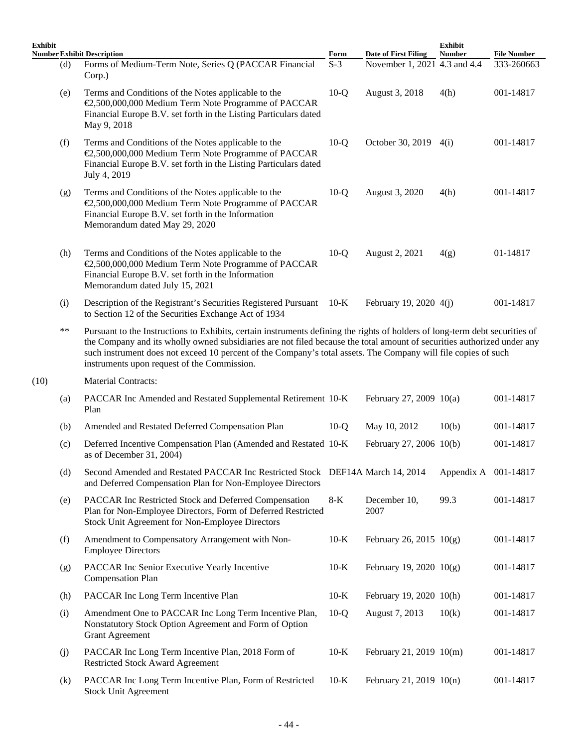| <b>Exhibit</b> |       | <b>Number Exhibit Description</b>                                                                                                                                                                                                                                                                                                                                                                                        | Form   | <b>Date of First Filing</b>  | <b>Exhibit</b><br><b>Number</b> | <b>File Number</b> |
|----------------|-------|--------------------------------------------------------------------------------------------------------------------------------------------------------------------------------------------------------------------------------------------------------------------------------------------------------------------------------------------------------------------------------------------------------------------------|--------|------------------------------|---------------------------------|--------------------|
|                | (d)   | Forms of Medium-Term Note, Series Q (PACCAR Financial<br>Corp.)                                                                                                                                                                                                                                                                                                                                                          | $S-3$  | November 1, 2021 4.3 and 4.4 |                                 | 333-260663         |
|                | (e)   | Terms and Conditions of the Notes applicable to the<br>€2,500,000,000 Medium Term Note Programme of PACCAR<br>Financial Europe B.V. set forth in the Listing Particulars dated<br>May 9, 2018                                                                                                                                                                                                                            | $10-Q$ | August 3, 2018               | 4(h)                            | 001-14817          |
|                | (f)   | Terms and Conditions of the Notes applicable to the<br>€2,500,000,000 Medium Term Note Programme of PACCAR<br>Financial Europe B.V. set forth in the Listing Particulars dated<br>July 4, 2019                                                                                                                                                                                                                           | $10-Q$ | October 30, 2019             | 4(i)                            | 001-14817          |
|                | (g)   | Terms and Conditions of the Notes applicable to the<br>€2,500,000,000 Medium Term Note Programme of PACCAR<br>Financial Europe B.V. set forth in the Information<br>Memorandum dated May 29, 2020                                                                                                                                                                                                                        | $10-Q$ | August 3, 2020               | 4(h)                            | 001-14817          |
|                | (h)   | Terms and Conditions of the Notes applicable to the<br>€2,500,000,000 Medium Term Note Programme of PACCAR<br>Financial Europe B.V. set forth in the Information<br>Memorandum dated July 15, 2021                                                                                                                                                                                                                       | $10-Q$ | August 2, 2021               | 4(g)                            | 01-14817           |
|                | (i)   | Description of the Registrant's Securities Registered Pursuant 10-K<br>to Section 12 of the Securities Exchange Act of 1934                                                                                                                                                                                                                                                                                              |        | February 19, 2020 4(j)       |                                 | 001-14817          |
|                | $***$ | Pursuant to the Instructions to Exhibits, certain instruments defining the rights of holders of long-term debt securities of<br>the Company and its wholly owned subsidiaries are not filed because the total amount of securities authorized under any<br>such instrument does not exceed 10 percent of the Company's total assets. The Company will file copies of such<br>instruments upon request of the Commission. |        |                              |                                 |                    |
| (10)           |       | Material Contracts:                                                                                                                                                                                                                                                                                                                                                                                                      |        |                              |                                 |                    |
|                | (a)   | PACCAR Inc Amended and Restated Supplemental Retirement 10-K<br>Plan                                                                                                                                                                                                                                                                                                                                                     |        | February 27, 2009 10(a)      |                                 | 001-14817          |
|                | (b)   | Amended and Restated Deferred Compensation Plan                                                                                                                                                                                                                                                                                                                                                                          | $10-Q$ | May 10, 2012                 | 10(b)                           | 001-14817          |
|                | (c)   | Deferred Incentive Compensation Plan (Amended and Restated 10-K<br>as of December 31, 2004)                                                                                                                                                                                                                                                                                                                              |        | February 27, 2006 10(b)      |                                 | 001-14817          |
|                | (d)   | Second Amended and Restated PACCAR Inc Restricted Stock DEF14A March 14, 2014<br>and Deferred Compensation Plan for Non-Employee Directors                                                                                                                                                                                                                                                                               |        |                              | Appendix A 001-14817            |                    |
|                | (e)   | PACCAR Inc Restricted Stock and Deferred Compensation<br>Plan for Non-Employee Directors, Form of Deferred Restricted<br>Stock Unit Agreement for Non-Employee Directors                                                                                                                                                                                                                                                 | $8-K$  | December 10,<br>2007         | 99.3                            | 001-14817          |
|                | (f)   | Amendment to Compensatory Arrangement with Non-<br><b>Employee Directors</b>                                                                                                                                                                                                                                                                                                                                             | $10-K$ | February 26, 2015 10(g)      |                                 | 001-14817          |
|                | (g)   | PACCAR Inc Senior Executive Yearly Incentive<br><b>Compensation Plan</b>                                                                                                                                                                                                                                                                                                                                                 | $10-K$ | February 19, 2020 $10(g)$    |                                 | 001-14817          |
|                | (h)   | PACCAR Inc Long Term Incentive Plan                                                                                                                                                                                                                                                                                                                                                                                      | $10-K$ | February 19, 2020 10(h)      |                                 | 001-14817          |
|                | (i)   | Amendment One to PACCAR Inc Long Term Incentive Plan,<br>Nonstatutory Stock Option Agreement and Form of Option<br><b>Grant Agreement</b>                                                                                                                                                                                                                                                                                | $10-Q$ | August 7, 2013               | 10(k)                           | 001-14817          |
|                | (j)   | PACCAR Inc Long Term Incentive Plan, 2018 Form of<br><b>Restricted Stock Award Agreement</b>                                                                                                                                                                                                                                                                                                                             | $10-K$ | February 21, 2019 10(m)      |                                 | 001-14817          |
|                | (k)   | PACCAR Inc Long Term Incentive Plan, Form of Restricted<br><b>Stock Unit Agreement</b>                                                                                                                                                                                                                                                                                                                                   | $10-K$ | February 21, 2019 10(n)      |                                 | 001-14817          |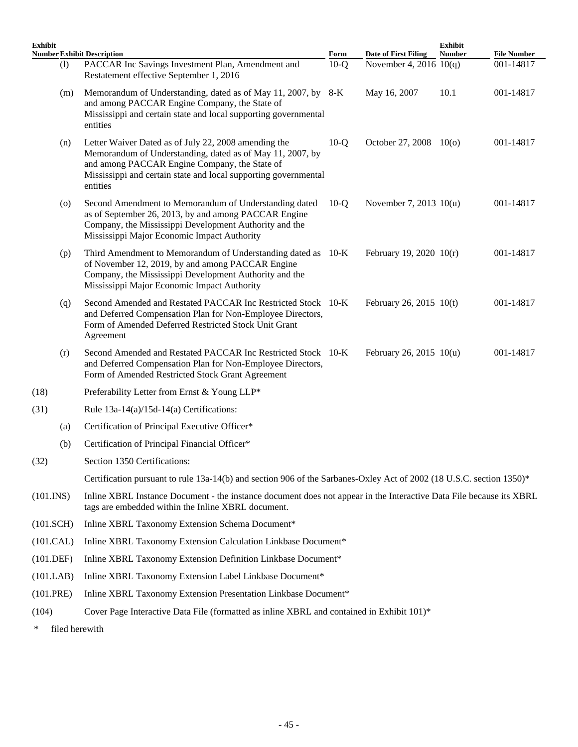| <b>Exhibit</b>                    |                                                                                                                                                                                                                                                   |        |                                                         | <b>Exhibit</b> |                                 |
|-----------------------------------|---------------------------------------------------------------------------------------------------------------------------------------------------------------------------------------------------------------------------------------------------|--------|---------------------------------------------------------|----------------|---------------------------------|
| <b>Number Exhibit Description</b> | PACCAR Inc Savings Investment Plan, Amendment and                                                                                                                                                                                                 | Form   | <b>Date of First Filing</b><br>November 4, 2016 $10(q)$ | <b>Number</b>  | <b>File Number</b><br>001-14817 |
| (1)                               | Restatement effective September 1, 2016                                                                                                                                                                                                           | $10-Q$ |                                                         |                |                                 |
| (m)                               | Memorandum of Understanding, dated as of May 11, 2007, by 8-K<br>and among PACCAR Engine Company, the State of<br>Mississippi and certain state and local supporting governmental<br>entities                                                     |        | May 16, 2007                                            | 10.1           | 001-14817                       |
| (n)                               | Letter Waiver Dated as of July 22, 2008 amending the<br>Memorandum of Understanding, dated as of May 11, 2007, by<br>and among PACCAR Engine Company, the State of<br>Mississippi and certain state and local supporting governmental<br>entities | $10-Q$ | October 27, 2008 $10(0)$                                |                | 001-14817                       |
| (0)                               | Second Amendment to Memorandum of Understanding dated<br>as of September 26, 2013, by and among PACCAR Engine<br>Company, the Mississippi Development Authority and the<br>Mississippi Major Economic Impact Authority                            | $10-Q$ | November 7, 2013 10(u)                                  |                | 001-14817                       |
| (p)                               | Third Amendment to Memorandum of Understanding dated as 10-K<br>of November 12, 2019, by and among PACCAR Engine<br>Company, the Mississippi Development Authority and the<br>Mississippi Major Economic Impact Authority                         |        | February 19, 2020 10(r)                                 |                | 001-14817                       |
| (q)                               | Second Amended and Restated PACCAR Inc Restricted Stock 10-K<br>and Deferred Compensation Plan for Non-Employee Directors,<br>Form of Amended Deferred Restricted Stock Unit Grant<br>Agreement                                                   |        | February 26, 2015 10(t)                                 |                | 001-14817                       |
| (r)                               | Second Amended and Restated PACCAR Inc Restricted Stock 10-K<br>and Deferred Compensation Plan for Non-Employee Directors,<br>Form of Amended Restricted Stock Grant Agreement                                                                    |        | February 26, 2015 $10(u)$                               |                | 001-14817                       |
| (18)                              | Preferability Letter from Ernst & Young LLP*                                                                                                                                                                                                      |        |                                                         |                |                                 |
| (31)                              | Rule $13a-14(a)/15d-14(a)$ Certifications:                                                                                                                                                                                                        |        |                                                         |                |                                 |
| (a)                               | Certification of Principal Executive Officer*                                                                                                                                                                                                     |        |                                                         |                |                                 |
| (b)                               | Certification of Principal Financial Officer*                                                                                                                                                                                                     |        |                                                         |                |                                 |
| (32)                              | Section 1350 Certifications:                                                                                                                                                                                                                      |        |                                                         |                |                                 |
|                                   | Certification pursuant to rule 13a-14(b) and section 906 of the Sarbanes-Oxley Act of 2002 (18 U.S.C. section 1350)*                                                                                                                              |        |                                                         |                |                                 |
| $(101.$ INS $)$                   | Inline XBRL Instance Document - the instance document does not appear in the Interactive Data File because its XBRL<br>tags are embedded within the Inline XBRL document.                                                                         |        |                                                         |                |                                 |
| $(101.$ SCH $)$                   | Inline XBRL Taxonomy Extension Schema Document*                                                                                                                                                                                                   |        |                                                         |                |                                 |
| (101.CAL)                         | Inline XBRL Taxonomy Extension Calculation Linkbase Document*                                                                                                                                                                                     |        |                                                         |                |                                 |
| (101.DEF)                         | Inline XBRL Taxonomy Extension Definition Linkbase Document*                                                                                                                                                                                      |        |                                                         |                |                                 |
| (101.LAB)                         | Inline XBRL Taxonomy Extension Label Linkbase Document*                                                                                                                                                                                           |        |                                                         |                |                                 |
| (101.PRE)                         | Inline XBRL Taxonomy Extension Presentation Linkbase Document*                                                                                                                                                                                    |        |                                                         |                |                                 |
| (104)                             | Cover Page Interactive Data File (formatted as inline XBRL and contained in Exhibit 101)*                                                                                                                                                         |        |                                                         |                |                                 |

\* filed herewith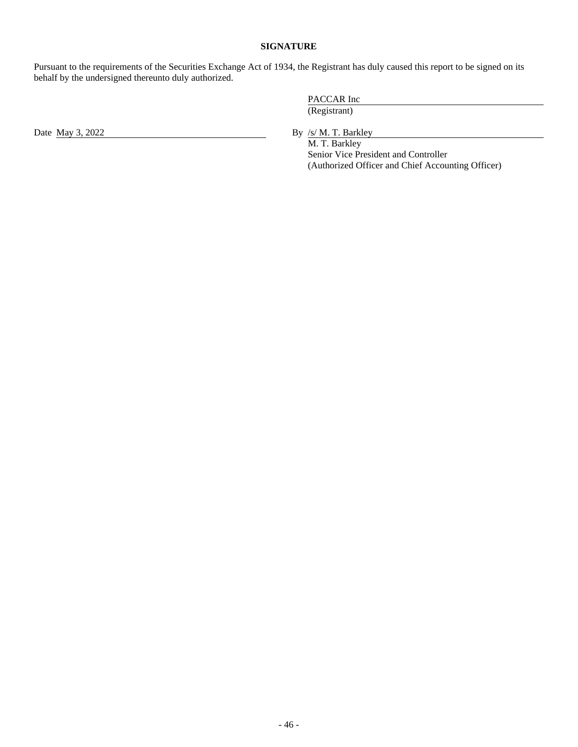# <span id="page-45-0"></span>**SIGNATURE**

Pursuant to the requirements of the Securities Exchange Act of 1934, the Registrant has duly caused this report to be signed on its behalf by the undersigned thereunto duly authorized.

PACCAR Inc (Registrant)

Date <u>May 3, 2022</u> By *S/M. T. Barkley* 

M. T. Barkley Senior Vice President and Controller (Authorized Officer and Chief Accounting Officer)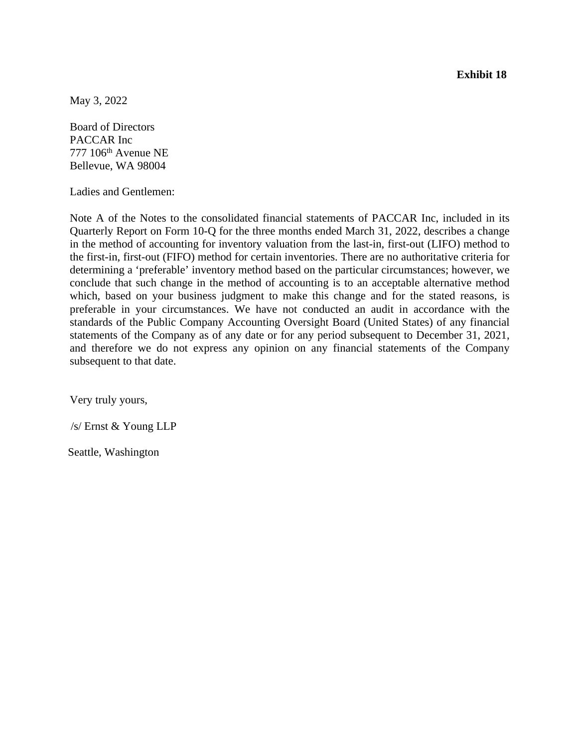**Exhibit 18** 

May 3, 2022

Board of Directors PACCAR Inc 777 106th Avenue NE Bellevue, WA 98004

Ladies and Gentlemen:

Note A of the Notes to the consolidated financial statements of PACCAR Inc, included in its Quarterly Report on Form 10-Q for the three months ended March 31, 2022, describes a change in the method of accounting for inventory valuation from the last-in, first-out (LIFO) method to the first-in, first-out (FIFO) method for certain inventories. There are no authoritative criteria for determining a 'preferable' inventory method based on the particular circumstances; however, we conclude that such change in the method of accounting is to an acceptable alternative method which, based on your business judgment to make this change and for the stated reasons, is preferable in your circumstances. We have not conducted an audit in accordance with the standards of the Public Company Accounting Oversight Board (United States) of any financial statements of the Company as of any date or for any period subsequent to December 31, 2021, and therefore we do not express any opinion on any financial statements of the Company subsequent to that date.

Very truly yours,

/s/ Ernst & Young LLP

Seattle, Washington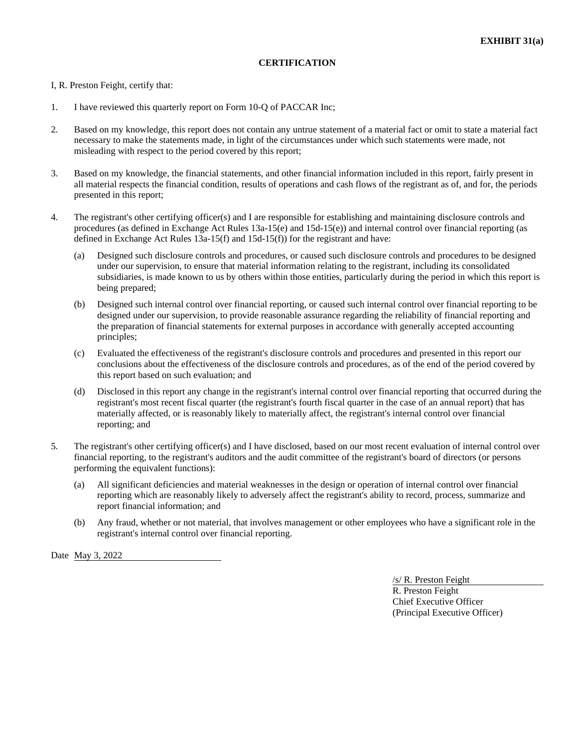#### **CERTIFICATION**

I, R. Preston Feight, certify that:

- 1. I have reviewed this quarterly report on Form 10-Q of PACCAR Inc;
- 2. Based on my knowledge, this report does not contain any untrue statement of a material fact or omit to state a material fact necessary to make the statements made, in light of the circumstances under which such statements were made, not misleading with respect to the period covered by this report;
- 3. Based on my knowledge, the financial statements, and other financial information included in this report, fairly present in all material respects the financial condition, results of operations and cash flows of the registrant as of, and for, the periods presented in this report;
- 4. The registrant's other certifying officer(s) and I are responsible for establishing and maintaining disclosure controls and procedures (as defined in Exchange Act Rules 13a-15(e) and 15d-15(e)) and internal control over financial reporting (as defined in Exchange Act Rules 13a-15(f) and 15d-15(f)) for the registrant and have:
	- (a) Designed such disclosure controls and procedures, or caused such disclosure controls and procedures to be designed under our supervision, to ensure that material information relating to the registrant, including its consolidated subsidiaries, is made known to us by others within those entities, particularly during the period in which this report is being prepared;
	- (b) Designed such internal control over financial reporting, or caused such internal control over financial reporting to be designed under our supervision, to provide reasonable assurance regarding the reliability of financial reporting and the preparation of financial statements for external purposes in accordance with generally accepted accounting principles;
	- (c) Evaluated the effectiveness of the registrant's disclosure controls and procedures and presented in this report our conclusions about the effectiveness of the disclosure controls and procedures, as of the end of the period covered by this report based on such evaluation; and
	- (d) Disclosed in this report any change in the registrant's internal control over financial reporting that occurred during the registrant's most recent fiscal quarter (the registrant's fourth fiscal quarter in the case of an annual report) that has materially affected, or is reasonably likely to materially affect, the registrant's internal control over financial reporting; and
- 5. The registrant's other certifying officer(s) and I have disclosed, based on our most recent evaluation of internal control over financial reporting, to the registrant's auditors and the audit committee of the registrant's board of directors (or persons performing the equivalent functions):
	- (a) All significant deficiencies and material weaknesses in the design or operation of internal control over financial reporting which are reasonably likely to adversely affect the registrant's ability to record, process, summarize and report financial information; and
	- (b) Any fraud, whether or not material, that involves management or other employees who have a significant role in the registrant's internal control over financial reporting.

Date May 3, 2022

/s/ R. Preston Feight

R. Preston Feight Chief Executive Officer (Principal Executive Officer)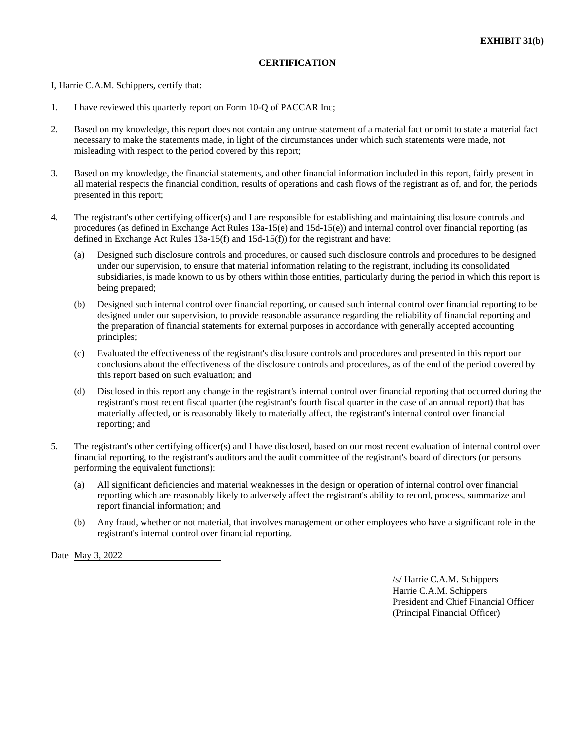#### **CERTIFICATION**

I, Harrie C.A.M. Schippers, certify that:

- 1. I have reviewed this quarterly report on Form 10-Q of PACCAR Inc;
- 2. Based on my knowledge, this report does not contain any untrue statement of a material fact or omit to state a material fact necessary to make the statements made, in light of the circumstances under which such statements were made, not misleading with respect to the period covered by this report;
- 3. Based on my knowledge, the financial statements, and other financial information included in this report, fairly present in all material respects the financial condition, results of operations and cash flows of the registrant as of, and for, the periods presented in this report;
- 4. The registrant's other certifying officer(s) and I are responsible for establishing and maintaining disclosure controls and procedures (as defined in Exchange Act Rules 13a-15(e) and 15d-15(e)) and internal control over financial reporting (as defined in Exchange Act Rules 13a-15(f) and 15d-15(f)) for the registrant and have:
	- (a) Designed such disclosure controls and procedures, or caused such disclosure controls and procedures to be designed under our supervision, to ensure that material information relating to the registrant, including its consolidated subsidiaries, is made known to us by others within those entities, particularly during the period in which this report is being prepared;
	- (b) Designed such internal control over financial reporting, or caused such internal control over financial reporting to be designed under our supervision, to provide reasonable assurance regarding the reliability of financial reporting and the preparation of financial statements for external purposes in accordance with generally accepted accounting principles;
	- (c) Evaluated the effectiveness of the registrant's disclosure controls and procedures and presented in this report our conclusions about the effectiveness of the disclosure controls and procedures, as of the end of the period covered by this report based on such evaluation; and
	- (d) Disclosed in this report any change in the registrant's internal control over financial reporting that occurred during the registrant's most recent fiscal quarter (the registrant's fourth fiscal quarter in the case of an annual report) that has materially affected, or is reasonably likely to materially affect, the registrant's internal control over financial reporting; and
- 5. The registrant's other certifying officer(s) and I have disclosed, based on our most recent evaluation of internal control over financial reporting, to the registrant's auditors and the audit committee of the registrant's board of directors (or persons performing the equivalent functions):
	- (a) All significant deficiencies and material weaknesses in the design or operation of internal control over financial reporting which are reasonably likely to adversely affect the registrant's ability to record, process, summarize and report financial information; and
	- (b) Any fraud, whether or not material, that involves management or other employees who have a significant role in the registrant's internal control over financial reporting.

Date May 3, 2022

/s/ Harrie C.A.M. Schippers

Harrie C.A.M. Schippers President and Chief Financial Officer (Principal Financial Officer)